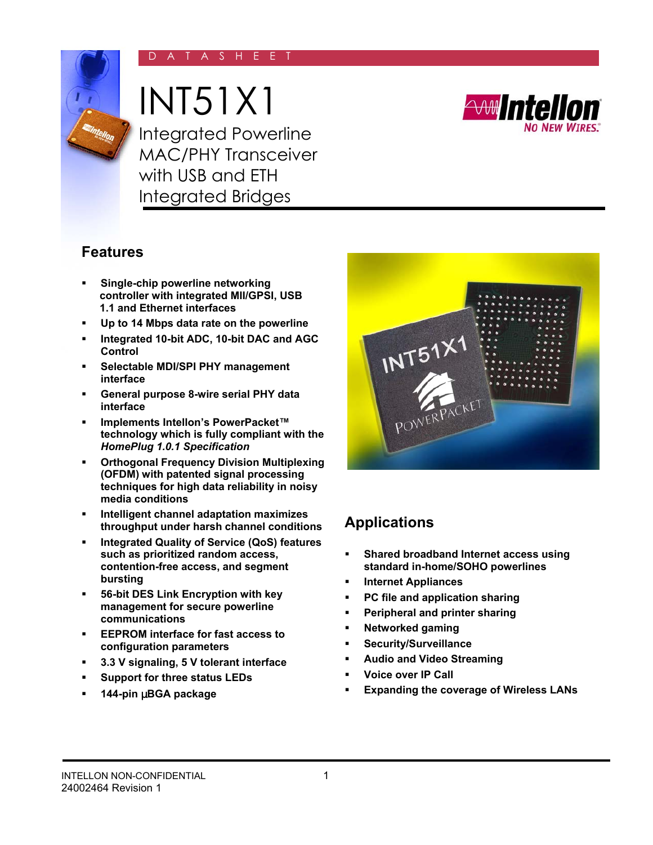## A S H E E



INT51X1



Integrated Powerline MAC/PHY Transceiver with USB and ETH Integrated Bridges

# **Features**

- **Single-chip powerline networking controller with integrated MII/GPSI, USB 1.1 and Ethernet interfaces**
- **Up to 14 Mbps data rate on the powerline**
- **Integrated 10-bit ADC, 10-bit DAC and AGC Control**
- **Selectable MDI/SPI PHY management interface**
- **General purpose 8-wire serial PHY data interface**
- **Implements Intellon's PowerPacket™ technology which is fully compliant with the**  *HomePlug 1.0.1 Specification*
- **Orthogonal Frequency Division Multiplexing (OFDM) with patented signal processing techniques for high data reliability in noisy media conditions**
- **Intelligent channel adaptation maximizes throughput under harsh channel conditions**
- **Integrated Quality of Service (QoS) features such as prioritized random access, contention-free access, and segment bursting**
- **56-bit DES Link Encryption with key management for secure powerline communications**
- **EEPROM interface for fast access to configuration parameters**
- **3.3 V signaling, 5 V tolerant interface**
- **Support for three status LEDs**
- **144-pin** µ**BGA package**



# **Applications**

- **Shared broadband Internet access using standard in-home/SOHO powerlines**
- **Internet Appliances**
- **PC file and application sharing**
- **Peripheral and printer sharing**
- **Networked gaming**
- **Security/Surveillance**
- **Audio and Video Streaming**
- **Voice over IP Call**
- **Expanding the coverage of Wireless LANs**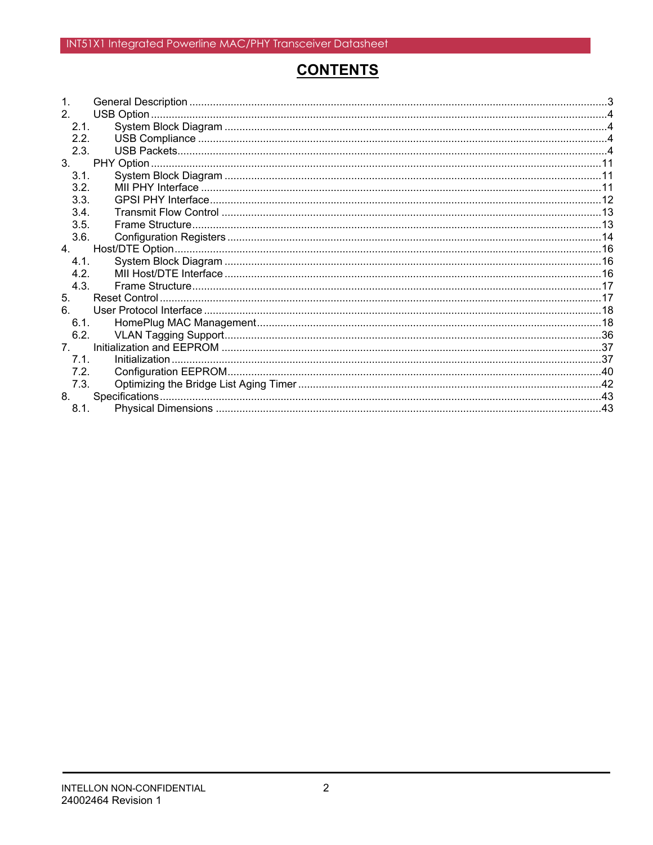# **CONTENTS**

| $\mathbf 1$    |  |
|----------------|--|
| 2 <sub>1</sub> |  |
| 2.1.           |  |
| 2.2.           |  |
| 2.3.           |  |
| 3.             |  |
| 3.1.           |  |
| 3.2.           |  |
| 3.3.           |  |
| 3.4.           |  |
| 3.5.           |  |
| 3.6.           |  |
| 4 <sub>1</sub> |  |
| 4.1            |  |
| 4.2.           |  |
| 4.3.           |  |
| 5.             |  |
| 6.             |  |
| 6.1.           |  |
| 6.2.           |  |
| $7^{\circ}$    |  |
| 7.1.           |  |
| 7.2.           |  |
| 7.3.           |  |
| 8.             |  |
| 8.1.           |  |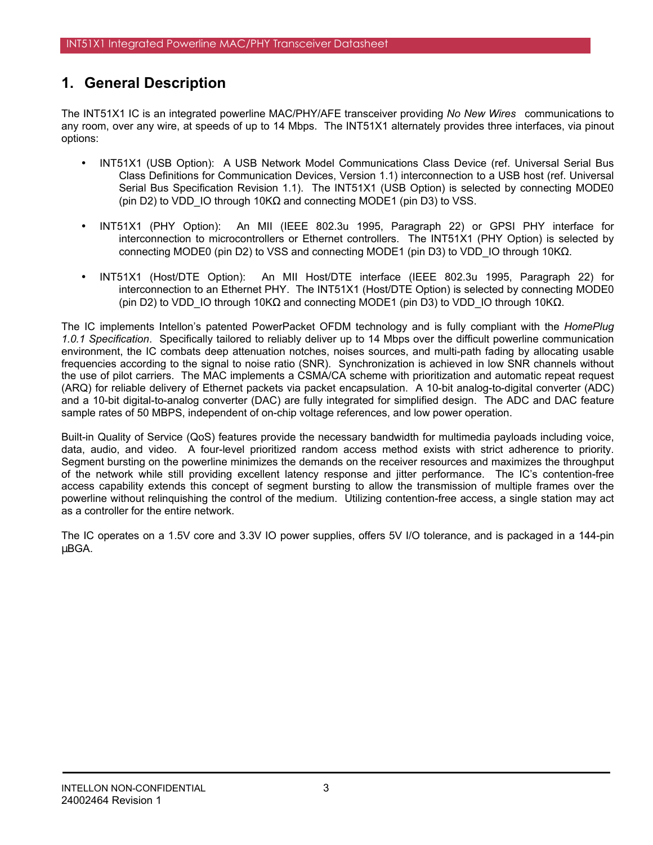# **1. General Description**

The INT51X1 IC is an integrated powerline MAC/PHY/AFE transceiver providing *No New Wires* communications to any room, over any wire, at speeds of up to 14 Mbps. The INT51X1 alternately provides three interfaces, via pinout options:

- INT51X1 (USB Option): A USB Network Model Communications Class Device (ref. Universal Serial Bus Class Definitions for Communication Devices, Version 1.1) interconnection to a USB host (ref. Universal Serial Bus Specification Revision 1.1). The INT51X1 (USB Option) is selected by connecting MODE0 (pin D2) to VDD IO through 10KΩ and connecting MODE1 (pin D3) to VSS.
- INT51X1 (PHY Option): An MII (IEEE 802.3u 1995, Paragraph 22) or GPSI PHY interface for interconnection to microcontrollers or Ethernet controllers. The INT51X1 (PHY Option) is selected by connecting MODE0 (pin D2) to VSS and connecting MODE1 (pin D3) to VDD IO through 10KΩ.
- INT51X1 (Host/DTE Option): An MII Host/DTE interface (IEEE 802.3u 1995, Paragraph 22) for interconnection to an Ethernet PHY. The INT51X1 (Host/DTE Option) is selected by connecting MODE0 (pin D2) to VDD\_IO through 10K $\Omega$  and connecting MODE1 (pin D3) to VDD\_IO through 10K $\Omega$ .

The IC implements Intellon's patented PowerPacket OFDM technology and is fully compliant with the *HomePlug 1.0.1 Specification*. Specifically tailored to reliably deliver up to 14 Mbps over the difficult powerline communication environment, the IC combats deep attenuation notches, noises sources, and multi-path fading by allocating usable frequencies according to the signal to noise ratio (SNR). Synchronization is achieved in low SNR channels without the use of pilot carriers. The MAC implements a CSMA/CA scheme with prioritization and automatic repeat request (ARQ) for reliable delivery of Ethernet packets via packet encapsulation. A 10-bit analog-to-digital converter (ADC) and a 10-bit digital-to-analog converter (DAC) are fully integrated for simplified design. The ADC and DAC feature sample rates of 50 MBPS, independent of on-chip voltage references, and low power operation.

Built-in Quality of Service (QoS) features provide the necessary bandwidth for multimedia payloads including voice, data, audio, and video. A four-level prioritized random access method exists with strict adherence to priority. Segment bursting on the powerline minimizes the demands on the receiver resources and maximizes the throughput of the network while still providing excellent latency response and jitter performance. The IC's contention-free access capability extends this concept of segment bursting to allow the transmission of multiple frames over the powerline without relinquishing the control of the medium. Utilizing contention-free access, a single station may act as a controller for the entire network.

The IC operates on a 1.5V core and 3.3V IO power supplies, offers 5V I/O tolerance, and is packaged in a 144-pin µBGA.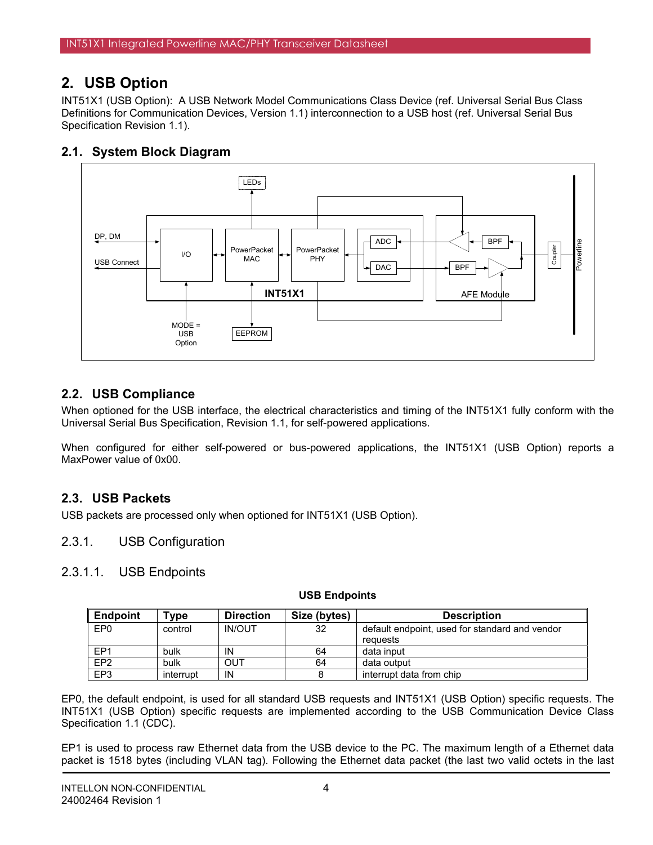# **2. USB Option**

INT51X1 (USB Option): A USB Network Model Communications Class Device (ref. Universal Serial Bus Class Definitions for Communication Devices, Version 1.1) interconnection to a USB host (ref. Universal Serial Bus Specification Revision 1.1).

# **2.1. System Block Diagram**



# **2.2. USB Compliance**

When optioned for the USB interface, the electrical characteristics and timing of the INT51X1 fully conform with the Universal Serial Bus Specification, Revision 1.1, for self-powered applications.

When configured for either self-powered or bus-powered applications, the INT51X1 (USB Option) reports a MaxPower value of 0x00.

# **2.3. USB Packets**

USB packets are processed only when optioned for INT51X1 (USB Option).

## 2.3.1. USB Configuration

## 2.3.1.1. USB Endpoints

| <b>Endpoint</b> | $^{\mathsf{v}}$ vpe | <b>Direction</b> | Size (bytes) | <b>Description</b>                             |
|-----------------|---------------------|------------------|--------------|------------------------------------------------|
| EP <sub>0</sub> | control             | <b>IN/OUT</b>    | 32           | default endpoint, used for standard and vendor |
|                 |                     |                  |              | reguests                                       |
| EP <sub>1</sub> | bulk                | IN               | 64           | data input                                     |
| EP <sub>2</sub> | bulk                | OUT              | 64           | data output                                    |
| EP <sub>3</sub> | interrupt           | IN               |              | interrupt data from chip                       |

### **USB Endpoints**

EP0, the default endpoint, is used for all standard USB requests and INT51X1 (USB Option) specific requests. The INT51X1 (USB Option) specific requests are implemented according to the USB Communication Device Class Specification 1.1 (CDC).

EP1 is used to process raw Ethernet data from the USB device to the PC. The maximum length of a Ethernet data packet is 1518 bytes (including VLAN tag). Following the Ethernet data packet (the last two valid octets in the last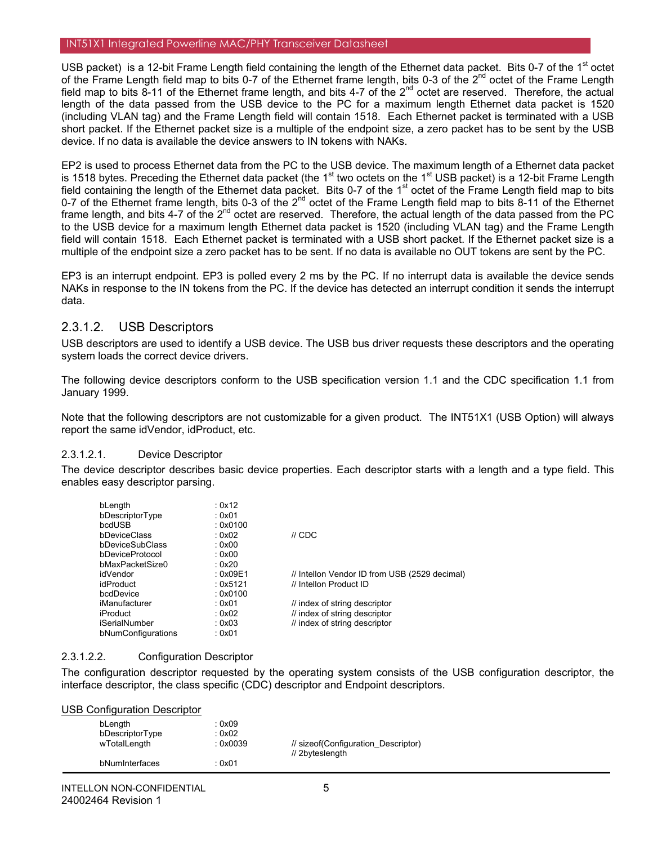USB packet) is a 12-bit Frame Length field containing the length of the Ethernet data packet. Bits 0-7 of the  $1<sup>st</sup>$  octet of the Frame Length field map to bits 0-7 of the Ethernet frame length, bits 0-3 of the  $2^{nd}$  octet of the Frame Length field map to bits 8-11 of the Ethernet frame length, and bits 4-7 of the  $2^{nd}$  octet are reserved. Therefore, the actual length of the data passed from the USB device to the PC for a maximum length Ethernet data packet is 1520 (including VLAN tag) and the Frame Length field will contain 1518. Each Ethernet packet is terminated with a USB short packet. If the Ethernet packet size is a multiple of the endpoint size, a zero packet has to be sent by the USB device. If no data is available the device answers to IN tokens with NAKs.

EP2 is used to process Ethernet data from the PC to the USB device. The maximum length of a Ethernet data packet is 1518 bytes. Preceding the Ethernet data packet (the 1<sup>st</sup> two octets on the 1<sup>st</sup> USB packet) is a 12-bit Frame Length field containing the length of the Ethernet data packet. Bits 0-7 of the  $1<sup>st</sup>$  octet of the Frame Length field map to bits 0-7 of the Ethernet frame length, bits 0-3 of the 2<sup>nd</sup> octet of the Frame Length field map to bits 8-11 of the Ethernet frame length, and bits 4-7 of the 2<sup>nd</sup> octet are reserved. Therefore, the actual length of the data passed from the PC to the USB device for a maximum length Ethernet data packet is 1520 (including VLAN tag) and the Frame Length field will contain 1518. Each Ethernet packet is terminated with a USB short packet. If the Ethernet packet size is a multiple of the endpoint size a zero packet has to be sent. If no data is available no OUT tokens are sent by the PC.

EP3 is an interrupt endpoint. EP3 is polled every 2 ms by the PC. If no interrupt data is available the device sends NAKs in response to the IN tokens from the PC. If the device has detected an interrupt condition it sends the interrupt data.

## 2.3.1.2. USB Descriptors

USB descriptors are used to identify a USB device. The USB bus driver requests these descriptors and the operating system loads the correct device drivers.

The following device descriptors conform to the USB specification version 1.1 and the CDC specification 1.1 from January 1999.

Note that the following descriptors are not customizable for a given product. The INT51X1 (USB Option) will always report the same idVendor, idProduct, etc.

### 2.3.1.2.1. Device Descriptor

The device descriptor describes basic device properties. Each descriptor starts with a length and a type field. This enables easy descriptor parsing.

| bLength            | : 0x12   |                                               |
|--------------------|----------|-----------------------------------------------|
| bDescriptorType    | : 0x01   |                                               |
| bcdUSB             | : 0x0100 |                                               |
| bDeviceClass       | : $0x02$ | $\mathcal U$ CDC                              |
| bDeviceSubClass    | : 0x00   |                                               |
| bDeviceProtocol    | : $0x00$ |                                               |
| bMaxPacketSize0    | : $0x20$ |                                               |
| idVendor           | : 0x09E1 | // Intellon Vendor ID from USB (2529 decimal) |
| idProduct          | : 0x5121 | // Intellon Product ID                        |
| bcdDevice          | : 0x0100 |                                               |
| iManufacturer      | : 0x01   | // index of string descriptor                 |
| iProduct           | : 0x02   | // index of string descriptor                 |
| iSerialNumber      | : 0x03   | // index of string descriptor                 |
| bNumConfigurations | : 0x01   |                                               |

### 2.3.1.2.2. Configuration Descriptor

bNumInterfaces : 0x01

The configuration descriptor requested by the operating system consists of the USB configuration descriptor, the interface descriptor, the class specific (CDC) descriptor and Endpoint descriptors.

| USB Configuration Descriptor |                 |                                     |
|------------------------------|-----------------|-------------------------------------|
| bLenath<br>bDescriptorType   | : 0x09<br>:0x02 |                                     |
| wTotalLength                 | : 0x0039        | // sizeof(Configuration Descriptor) |
|                              |                 | // 2byteslength                     |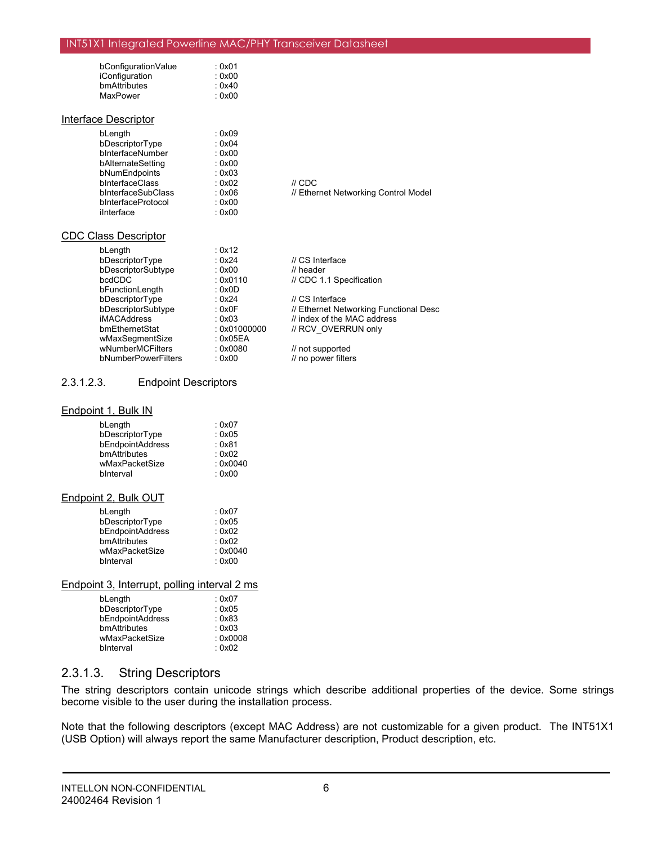| bConfigurationValue | : 0x01 |
|---------------------|--------|
| iConfiguration      | : 0x00 |
| bmAttributes        | : 0x40 |
| MaxPower            | : 0x00 |

#### Interface Descriptor

| : 0x09 |
|--------|
| : 0x04 |
| : 0x00 |
| : 0x00 |
| : 0x03 |
| : 0x02 |
| : 0x06 |
| : 0x00 |
| : 0x00 |
|        |

 $II$  CDC // Ethernet Networking Control Model

#### CDC Class Descriptor

| : 0x12       |                                        |
|--------------|----------------------------------------|
| : $0x24$     | // CS Interface                        |
| : 0x00       | $\prime\prime$ header                  |
| : 0x0110     | // CDC 1.1 Specification               |
| : 0x0D       |                                        |
| : $0x24$     | // CS Interface                        |
| : $0x0F$     | // Ethernet Networking Functional Desc |
| : 0x03       | // index of the MAC address            |
| : 0x01000000 | // RCV OVERRUN only                    |
| : 0x05EA     |                                        |
| : 0x0080     | // not supported                       |
| : 0x00       | // no power filters                    |
|              |                                        |

### 2.3.1.2.3. Endpoint Descriptors

#### Endpoint 1, Bulk IN

| bLength          | : 0x07   |
|------------------|----------|
| bDescriptorType  | : 0x05   |
| bEndpointAddress | : 0x81   |
| bmAttributes     | : 0x02   |
| wMaxPacketSize   | : 0x0040 |
| bInterval        | : 0x00   |
|                  |          |

#### Endpoint 2, Bulk OUT

| bLength          | : $0x07$ |
|------------------|----------|
| bDescriptorType  | : 0x05   |
| bEndpointAddress | : 0x02   |
| bmAttributes     | : 0x02   |
| wMaxPacketSize   | : 0x0040 |
| binterval        | : 0x00   |

#### Endpoint 3, Interrupt, polling interval 2 ms

| bLength          | : 0x07   |
|------------------|----------|
| bDescriptorType  | : 0x05   |
| bEndpointAddress | : 0x83   |
| bmAttributes     | : 0x03   |
| wMaxPacketSize   | : 0x0008 |
| binterval        | : 0x02   |

## 2.3.1.3. String Descriptors

The string descriptors contain unicode strings which describe additional properties of the device. Some strings become visible to the user during the installation process.

Note that the following descriptors (except MAC Address) are not customizable for a given product. The INT51X1 (USB Option) will always report the same Manufacturer description, Product description, etc.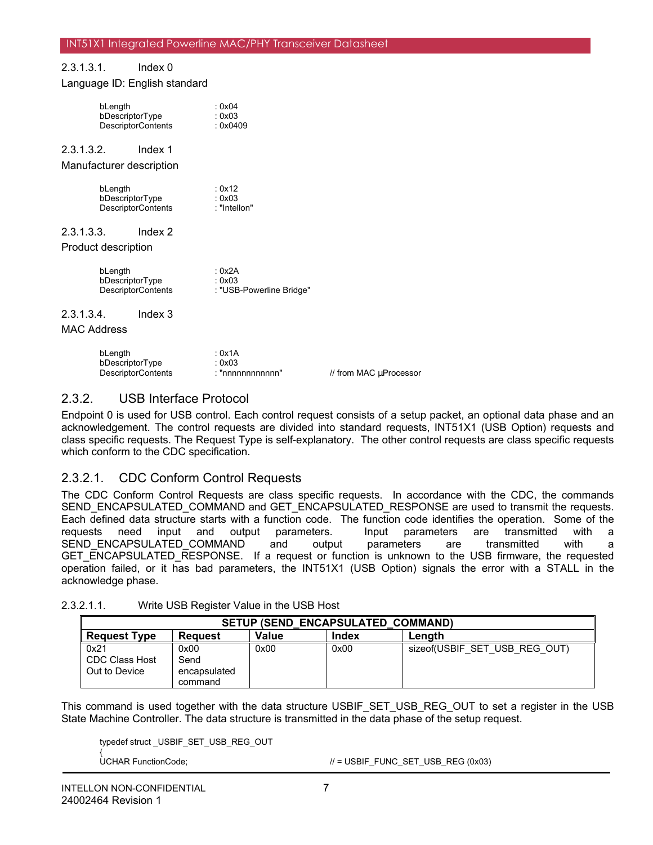### 2.3.1.3.1. Index 0 Language ID: English standard

| bLength                   | bDescriptorType<br><b>DescriptorContents</b> | : 0x04<br>: 0x03<br>: 0x0409                 |  |
|---------------------------|----------------------------------------------|----------------------------------------------|--|
| 2.3.1.3.2.                | Index 1                                      |                                              |  |
|                           | Manufacturer description                     |                                              |  |
| bLength                   | bDescriptorType<br><b>DescriptorContents</b> | : 0x12<br>: 0x03<br>: "Intellon"             |  |
| 2.3.1.3.3.                | Index $2$                                    |                                              |  |
| Product description       |                                              |                                              |  |
| bLength                   | bDescriptorType<br><b>DescriptorContents</b> | : 0x2A<br>: 0x03<br>: "USB-Powerline Bridge" |  |
| 2.3.1.3.4.<br>MAC Address | Index 3                                      |                                              |  |

| bLength                   | : 0x1A           |                        |
|---------------------------|------------------|------------------------|
| bDescriptorType           | : 0x03           |                        |
| <b>DescriptorContents</b> | : "nnnnnnnnnnnn" | // from MAC uProcessor |

## 2.3.2. USB Interface Protocol

Endpoint 0 is used for USB control. Each control request consists of a setup packet, an optional data phase and an acknowledgement. The control requests are divided into standard requests, INT51X1 (USB Option) requests and class specific requests. The Request Type is self-explanatory. The other control requests are class specific requests which conform to the CDC specification.

## 2.3.2.1. CDC Conform Control Requests

The CDC Conform Control Requests are class specific requests. In accordance with the CDC, the commands SEND\_ENCAPSULATED\_COMMAND and GET\_ENCAPSULATED\_RESPONSE are used to transmit the requests. Each defined data structure starts with a function code. The function code identifies the operation. Some of the requests need input and output parameters. Input parameters are transmitted with a requests need input and output parameters. Input parameters are transmitted with a SEND ENCAPSULATED COMMAND and output parameters are transmitted with a GET\_ENCAPSULATED\_RESPONSE. If a request or function is unknown to the USB firmware, the requested operation failed, or it has bad parameters, the INT51X1 (USB Option) signals the error with a STALL in the acknowledge phase.

|                                                | <b>SETUP (SEND ENCAPSULATED COMMAND)</b> |       |       |                               |  |  |  |
|------------------------------------------------|------------------------------------------|-------|-------|-------------------------------|--|--|--|
| <b>Request Type</b>                            | <b>Reguest</b>                           | Value | Index | Lenath                        |  |  |  |
| 0x21<br><b>CDC Class Host</b><br>Out to Device | 0x00<br>Send<br>encapsulated<br>command  | 0x00  | 0x00  | sizeof(USBIF SET USB REG OUT) |  |  |  |

| 2.3.2.1.1. | Write USB Register Value in the USB Host |
|------------|------------------------------------------|
|------------|------------------------------------------|

This command is used together with the data structure USBIF\_SET\_USB\_REG\_OUT to set a register in the USB State Machine Controller. The data structure is transmitted in the data phase of the setup request.

typedef struct \_USBIF\_SET\_USB\_REG\_OUT

{

UCHAR FunctionCode;  $\mu = \text{USBIF\_FUNC\_SET\_USB\_REG (0x03)}$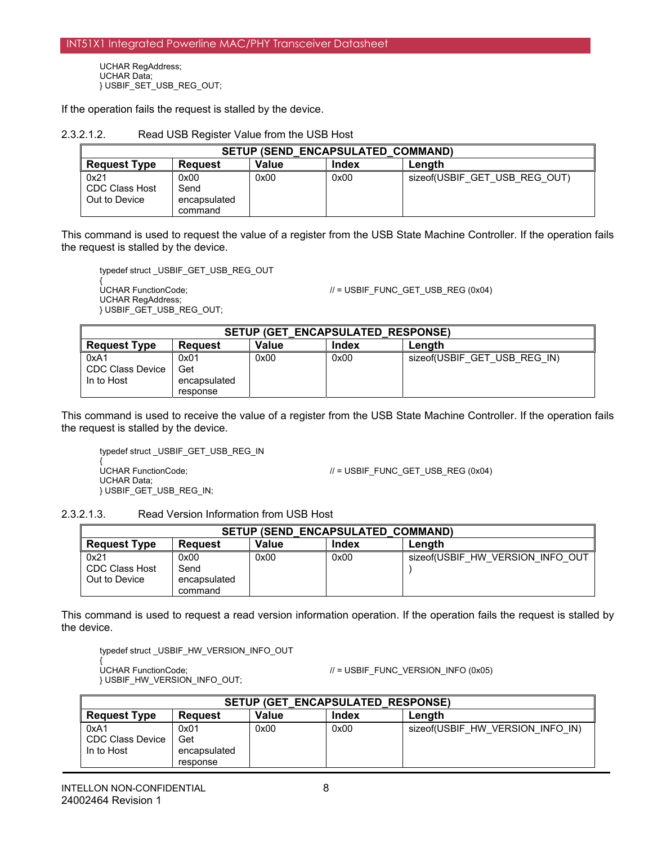UCHAR RegAddress; UCHAR Data; } USBIF\_SET\_USB\_REG\_OUT;

If the operation fails the request is stalled by the device.

2.3.2.1.2. Read USB Register Value from the USB Host

| <b>SETUP (SEND ENCAPSULATED COMMAND)</b> |                              |              |       |                               |  |
|------------------------------------------|------------------------------|--------------|-------|-------------------------------|--|
| <b>Request Type</b>                      | <b>Request</b>               | <b>Value</b> | Index | Lenath                        |  |
| 0x21<br>CDC Class Host<br>Out to Device  | 0x00<br>Send<br>encapsulated | 0x00         | 0x00  | sizeof(USBIF GET USB REG OUT) |  |
|                                          | command                      |              |       |                               |  |

This command is used to request the value of a register from the USB State Machine Controller. If the operation fails the request is stalled by the device.

typedef struct \_USBIF\_GET\_USB\_REG\_OUT

{ UCHAR RegAddress; } USBIF\_GET\_USB\_REG\_OUT;

UCHAR FunctionCode;  $\mu$  = USBIF\_FUNC\_GET\_USB\_REG (0x04)

| <b>SETUP (GET ENCAPSULATED RESPONSE)</b> |                                         |       |       |                              |  |  |
|------------------------------------------|-----------------------------------------|-------|-------|------------------------------|--|--|
| <b>Request Type</b>                      | <b>Reguest</b>                          | Value | Index | Lenath                       |  |  |
| 0xA1<br>CDC Class Device<br>In to Host   | 0x01<br>Get<br>encapsulated<br>response | 0x00  | 0x00  | sizeof(USBIF GET USB REG IN) |  |  |

This command is used to receive the value of a register from the USB State Machine Controller. If the operation fails the request is stalled by the device.

typedef struct \_USBIF\_GET\_USB\_REG\_IN UCHAR FunctionCode: UCHAR Data; } USBIF\_GET\_USB\_REG\_IN;

 $U =$  USBIF\_FUNC\_GET\_USB\_REG (0x04)

2.3.2.1.3. Read Version Information from USB Host

| <b>SETUP (SEND ENCAPSULATED COMMAND)</b>       |                                         |       |       |                                  |  |
|------------------------------------------------|-----------------------------------------|-------|-------|----------------------------------|--|
| <b>Request Type</b>                            | <b>Reguest</b>                          | Value | Index | Lenath                           |  |
| 0x21<br><b>CDC Class Host</b><br>Out to Device | 0x00<br>Send<br>encapsulated<br>command | 0x00  | 0x00  | sizeof(USBIF HW VERSION INFO OUT |  |

This command is used to request a read version information operation. If the operation fails the request is stalled by the device.

typedef struct \_USBIF\_HW\_VERSION\_INFO\_OUT

UCHAR FunctionCode; } USBIF\_HW\_VERSION\_INFO\_OUT;

 $U =$  USBIF\_FUNC\_VERSION\_INFO (0x05)

|                                               | <b>SETUP (GET ENCAPSULATED RESPONSE)</b> |       |       |                                  |  |  |
|-----------------------------------------------|------------------------------------------|-------|-------|----------------------------------|--|--|
| <b>Request Type</b>                           | <b>Request</b>                           | Value | Index | Lenath                           |  |  |
| 0xA1<br><b>CDC Class Device</b><br>In to Host | 0x01<br>Get<br>encapsulated<br>response  | 0x00  | 0x00  | sizeof(USBIF HW VERSION INFO IN) |  |  |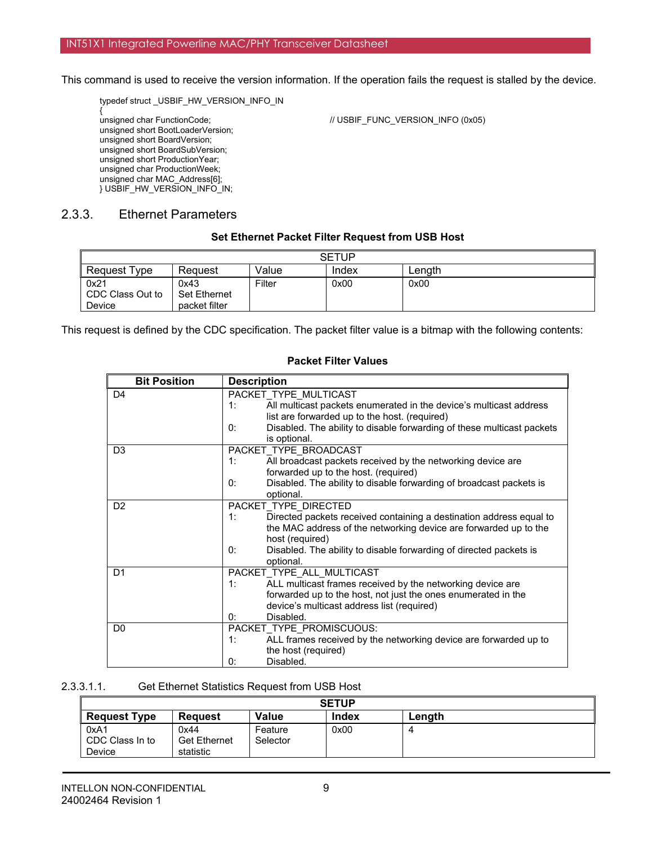This command is used to receive the version information. If the operation fails the request is stalled by the device.

typedef struct \_USBIF\_HW\_VERSION\_INFO\_IN

{ unsigned short BootLoaderVersion; unsigned short BoardVersion; unsigned short BoardSubVersion; unsigned short ProductionYear; unsigned char ProductionWeek; unsigned char MAC\_Address[6]; } USBIF\_HW\_VERSION\_INFO\_IN;

unsigned char FunctionCode;  $\blacksquare$  // USBIF\_FUNC\_VERSION\_INFO (0x05)

## 2.3.3. Ethernet Parameters

#### **Set Ethernet Packet Filter Request from USB Host**

| <b>SETUP</b>                              |                                              |        |       |        |  |  |
|-------------------------------------------|----------------------------------------------|--------|-------|--------|--|--|
| <b>Request Type</b>                       | Reguest                                      | Value  | Index | Lenath |  |  |
| 0x21<br>CDC Class Out to<br><b>Device</b> | 0x43<br><b>Set Ethernet</b><br>packet filter | Filter | 0x00  | 0x00   |  |  |

This request is defined by the CDC specification. The packet filter value is a bitmap with the following contents:

#### **Packet Filter Values**

| <b>Bit Position</b> | <b>Description</b>                                                                                                                                                                                                                                                                |
|---------------------|-----------------------------------------------------------------------------------------------------------------------------------------------------------------------------------------------------------------------------------------------------------------------------------|
| D <sub>4</sub>      | PACKET TYPE MULTICAST<br>All multicast packets enumerated in the device's multicast address<br>1:<br>list are forwarded up to the host. (required)<br>Disabled. The ability to disable forwarding of these multicast packets<br>0:                                                |
|                     | is optional.                                                                                                                                                                                                                                                                      |
| D <sub>3</sub>      | PACKET TYPE BROADCAST<br>All broadcast packets received by the networking device are<br>1:<br>forwarded up to the host. (required)<br>Disabled. The ability to disable forwarding of broadcast packets is<br>0:<br>optional.                                                      |
| D <sub>2</sub>      | PACKET TYPE DIRECTED<br>Directed packets received containing a destination address equal to<br>1:<br>the MAC address of the networking device are forwarded up to the<br>host (required)<br>Disabled. The ability to disable forwarding of directed packets is<br>0:<br>optional. |
| D <sub>1</sub>      | PACKET TYPE ALL MULTICAST<br>ALL multicast frames received by the networking device are<br>1:<br>forwarded up to the host, not just the ones enumerated in the<br>device's multicast address list (required)<br>Disabled.<br>0:                                                   |
| D <sub>0</sub>      | PACKET_TYPE_PROMISCUOUS:<br>ALL frames received by the networking device are forwarded up to<br>1:<br>the host (required)<br>Disabled.<br>0:                                                                                                                                      |

#### 2.3.3.1.1. Get Ethernet Statistics Request from USB Host

| <b>SETUP</b>                      |                                          |                     |       |        |  |
|-----------------------------------|------------------------------------------|---------------------|-------|--------|--|
| <b>Request Type</b>               | <b>Request</b>                           | Value               | Index | Length |  |
| 0xA1<br>CDC Class In to<br>Device | 0x44<br><b>Get Ethernet</b><br>statistic | Feature<br>Selector | 0x00  | 4      |  |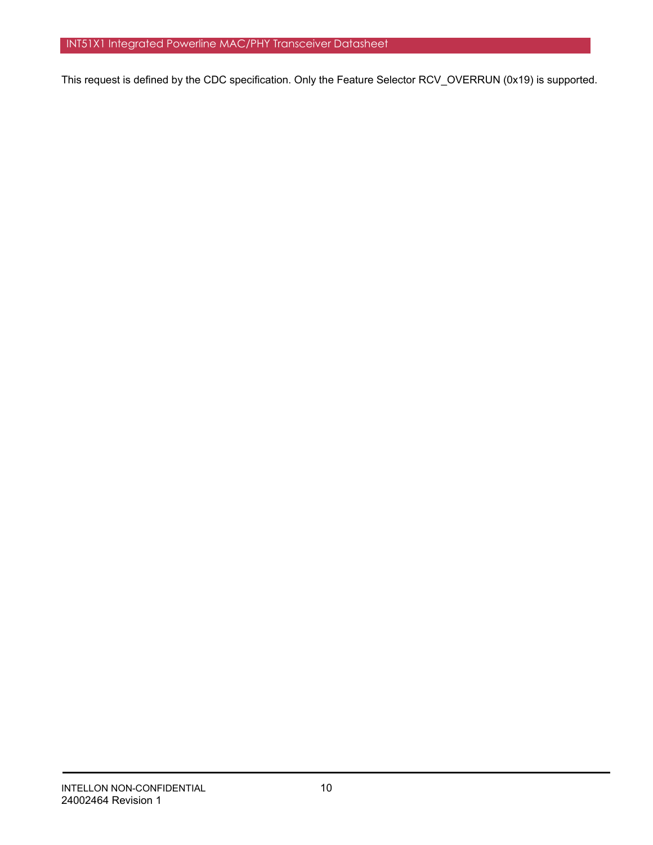This request is defined by the CDC specification. Only the Feature Selector RCV\_OVERRUN (0x19) is supported.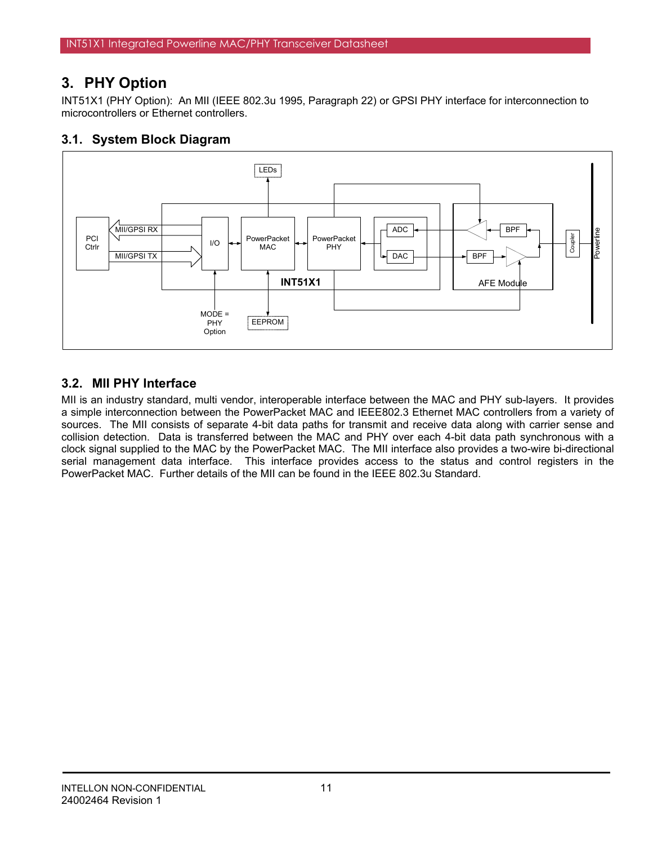# **3. PHY Option**

INT51X1 (PHY Option): An MII (IEEE 802.3u 1995, Paragraph 22) or GPSI PHY interface for interconnection to microcontrollers or Ethernet controllers.

## **3.1. System Block Diagram**



# **3.2. MII PHY Interface**

MII is an industry standard, multi vendor, interoperable interface between the MAC and PHY sub-layers. It provides a simple interconnection between the PowerPacket MAC and IEEE802.3 Ethernet MAC controllers from a variety of sources. The MII consists of separate 4-bit data paths for transmit and receive data along with carrier sense and collision detection. Data is transferred between the MAC and PHY over each 4-bit data path synchronous with a clock signal supplied to the MAC by the PowerPacket MAC. The MII interface also provides a two-wire bi-directional serial management data interface. This interface provides access to the status and control registers in the PowerPacket MAC. Further details of the MII can be found in the IEEE 802.3u Standard.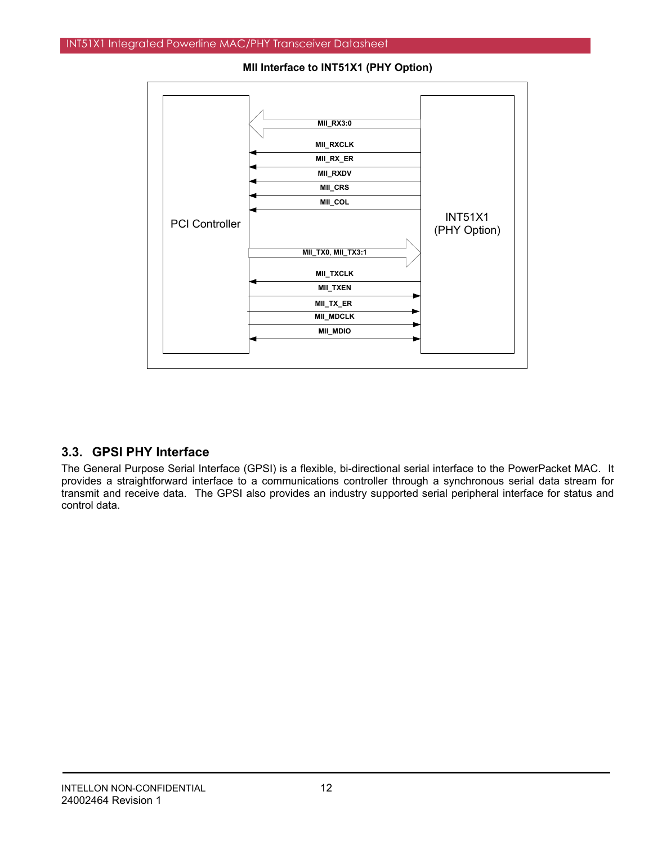

**MII Interface to INT51X1 (PHY Option)** 

# **3.3. GPSI PHY Interface**

The General Purpose Serial Interface (GPSI) is a flexible, bi-directional serial interface to the PowerPacket MAC. It provides a straightforward interface to a communications controller through a synchronous serial data stream for transmit and receive data. The GPSI also provides an industry supported serial peripheral interface for status and control data.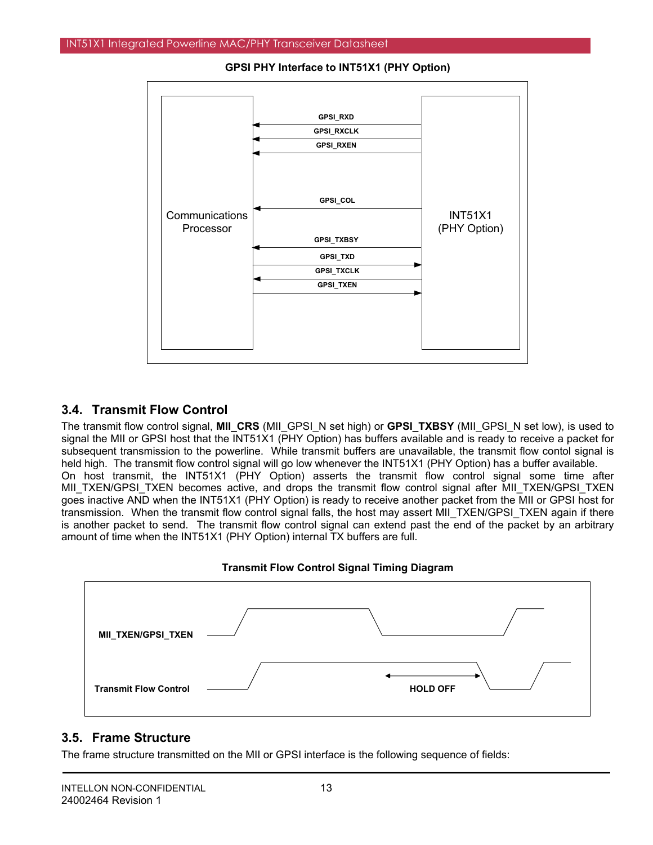

**GPSI PHY Interface to INT51X1 (PHY Option)** 

## **3.4. Transmit Flow Control**

The transmit flow control signal, **MII\_CRS** (MII\_GPSI\_N set high) or **GPSI\_TXBSY** (MII\_GPSI\_N set low), is used to signal the MII or GPSI host that the INT51X1 (PHY Option) has buffers available and is ready to receive a packet for subsequent transmission to the powerline. While transmit buffers are unavailable, the transmit flow contol signal is held high. The transmit flow control signal will go low whenever the INT51X1 (PHY Option) has a buffer available. On host transmit, the INT51X1 (PHY Option) asserts the transmit flow control signal some time after MII\_TXEN/GPSI\_TXEN becomes active, and drops the transmit flow control signal after MII\_TXEN/GPSI\_TXEN goes inactive AND when the INT51X1 (PHY Option) is ready to receive another packet from the MII or GPSI host for transmission. When the transmit flow control signal falls, the host may assert MII\_TXEN/GPSI\_TXEN again if there is another packet to send. The transmit flow control signal can extend past the end of the packet by an arbitrary amount of time when the INT51X1 (PHY Option) internal TX buffers are full.





## **3.5. Frame Structure**

The frame structure transmitted on the MII or GPSI interface is the following sequence of fields: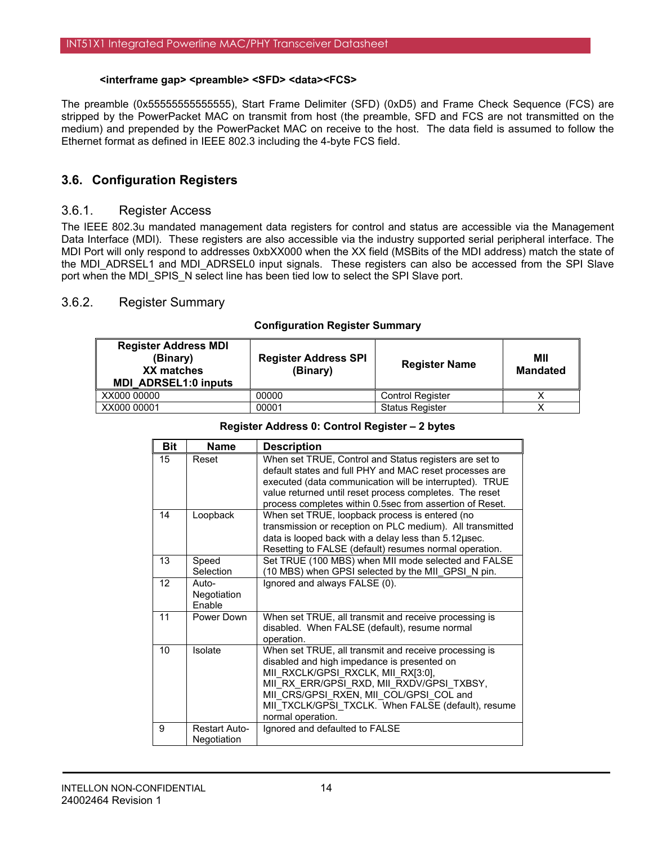### **<interframe gap> <preamble> <SFD> <data><FCS>**

The preamble (0x55555555555555), Start Frame Delimiter (SFD) (0xD5) and Frame Check Sequence (FCS) are stripped by the PowerPacket MAC on transmit from host (the preamble, SFD and FCS are not transmitted on the medium) and prepended by the PowerPacket MAC on receive to the host. The data field is assumed to follow the Ethernet format as defined in IEEE 802.3 including the 4-byte FCS field.

## **3.6. Configuration Registers**

### 3.6.1. Register Access

The IEEE 802.3u mandated management data registers for control and status are accessible via the Management Data Interface (MDI). These registers are also accessible via the industry supported serial peripheral interface. The MDI Port will only respond to addresses 0xbXX000 when the XX field (MSBits of the MDI address) match the state of the MDI\_ADRSEL1 and MDI\_ADRSEL0 input signals. These registers can also be accessed from the SPI Slave port when the MDI\_SPIS\_N select line has been tied low to select the SPI Slave port.

## 3.6.2. Register Summary

### **Configuration Register Summary**

| <b>Register Address MDI</b><br>(Binary)<br>XX matches<br><b>MDI ADRSEL1:0 inputs</b> | <b>Register Address SPI</b><br>(Binary) | <b>Register Name</b>    | МII<br><b>Mandated</b> |
|--------------------------------------------------------------------------------------|-----------------------------------------|-------------------------|------------------------|
| XX000 00000                                                                          | 00000                                   | <b>Control Register</b> |                        |
| XX000 00001                                                                          | 00001                                   | <b>Status Register</b>  |                        |

### **Register Address 0: Control Register – 2 bytes**

| <b>Bit</b> | <b>Name</b>                         | <b>Description</b>                                                                                                                                                                                                                                                                                            |
|------------|-------------------------------------|---------------------------------------------------------------------------------------------------------------------------------------------------------------------------------------------------------------------------------------------------------------------------------------------------------------|
| 15         | Reset                               | When set TRUE, Control and Status registers are set to<br>default states and full PHY and MAC reset processes are<br>executed (data communication will be interrupted). TRUE<br>value returned until reset process completes. The reset<br>process completes within 0.5sec from assertion of Reset.           |
| 14         | Loopback                            | When set TRUE, loopback process is entered (no<br>transmission or reception on PLC medium). All transmitted<br>data is looped back with a delay less than 5.12usec.<br>Resetting to FALSE (default) resumes normal operation.                                                                                 |
| 13         | Speed<br>Selection                  | Set TRUE (100 MBS) when MII mode selected and FALSE<br>(10 MBS) when GPSI selected by the MII_GPSI_N pin.                                                                                                                                                                                                     |
| 12         | Auto-<br>Negotiation<br>Enable      | Ignored and always FALSE (0).                                                                                                                                                                                                                                                                                 |
| 11         | Power Down                          | When set TRUE, all transmit and receive processing is<br>disabled. When FALSE (default), resume normal<br>operation.                                                                                                                                                                                          |
| 10         | Isolate                             | When set TRUE, all transmit and receive processing is<br>disabled and high impedance is presented on<br>MII RXCLK/GPSI RXCLK, MII RX[3:0],<br>MII RX ERR/GPSI RXD, MII RXDV/GPSI TXBSY,<br>MII CRS/GPSI RXEN, MII COL/GPSI COL and<br>MII TXCLK/GPSI TXCLK. When FALSE (default), resume<br>normal operation. |
| 9          | <b>Restart Auto-</b><br>Negotiation | Ignored and defaulted to FALSE                                                                                                                                                                                                                                                                                |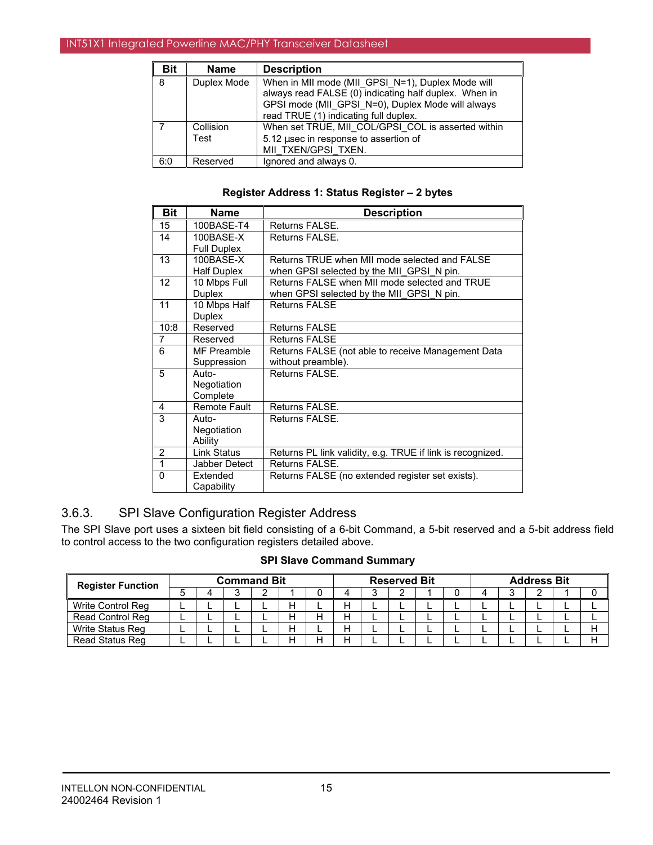| <b>Bit</b> | <b>Name</b>       | <b>Description</b>                                                                                                                                                                                       |
|------------|-------------------|----------------------------------------------------------------------------------------------------------------------------------------------------------------------------------------------------------|
| 8          | Duplex Mode       | When in MII mode (MII GPSI N=1), Duplex Mode will<br>always read FALSE (0) indicating half duplex. When in<br>GPSI mode (MII GPSI N=0), Duplex Mode will always<br>read TRUE (1) indicating full duplex. |
|            | Collision<br>Test | When set TRUE, MII COL/GPSI COL is asserted within<br>5.12 usec in response to assertion of<br>MII TXEN/GPSI TXEN.                                                                                       |
| 6:0        | Reserved          | Ignored and always 0.                                                                                                                                                                                    |

#### **Register Address 1: Status Register – 2 bytes**

| <b>Bit</b>     | Name                | <b>Description</b>                                         |
|----------------|---------------------|------------------------------------------------------------|
| 15             | 100BASE-T4          | Returns FALSE.                                             |
| 14             | 100BASE-X           | Returns FALSE.                                             |
|                | <b>Full Duplex</b>  |                                                            |
| 13             | 100BASE-X           | Returns TRUE when MII mode selected and FALSE              |
|                | Half Duplex         | when GPSI selected by the MII GPSI N pin.                  |
| 12             | 10 Mbps Full        | Returns FALSE when MII mode selected and TRUE              |
|                | Duplex              | when GPSI selected by the MII GPSI N pin.                  |
| 11             | 10 Mbps Half        | Returns FALSE                                              |
|                | <b>Duplex</b>       |                                                            |
| 10:8           | Reserved            | <b>Returns FALSE</b>                                       |
| $\overline{7}$ | Reserved            | <b>Returns FALSE</b>                                       |
| 6              | MF Preamble         | Returns FALSE (not able to receive Management Data         |
|                | Suppression         | without preamble).                                         |
| 5              | Auto-               | Returns FALSE.                                             |
|                | Negotiation         |                                                            |
|                | Complete            |                                                            |
| 4              | <b>Remote Fault</b> | Returns FALSE.                                             |
| 3              | Auto-               | Returns FALSE.                                             |
|                | Negotiation         |                                                            |
|                | Ability             |                                                            |
| 2              | <b>Link Status</b>  | Returns PL link validity, e.g. TRUE if link is recognized. |
| $\mathbf{1}$   | Jabber Detect       | Returns FALSE.                                             |
| 0              | Extended            | Returns FALSE (no extended register set exists).           |
|                | Capability          |                                                            |

# 3.6.3. SPI Slave Configuration Register Address

The SPI Slave port uses a sixteen bit field consisting of a 6-bit Command, a 5-bit reserved and a 5-bit address field to control access to the two configuration registers detailed above.

## **SPI Slave Command Summary**

| <b>Register Function</b> | <b>Command Bit</b> |  |  |  | <b>Reserved Bit</b> |   |   |   | <b>Address Bit</b> |  |  |  |  |  |  |
|--------------------------|--------------------|--|--|--|---------------------|---|---|---|--------------------|--|--|--|--|--|--|
|                          |                    |  |  |  |                     |   |   | ◠ |                    |  |  |  |  |  |  |
| Write Control Reg        |                    |  |  |  |                     | Н |   | - |                    |  |  |  |  |  |  |
| Read Control Reg         |                    |  |  |  |                     | Н |   |   |                    |  |  |  |  |  |  |
| Write Status Reg         |                    |  |  |  |                     | Н | - |   |                    |  |  |  |  |  |  |
| Read Status Reg          |                    |  |  |  |                     |   |   |   |                    |  |  |  |  |  |  |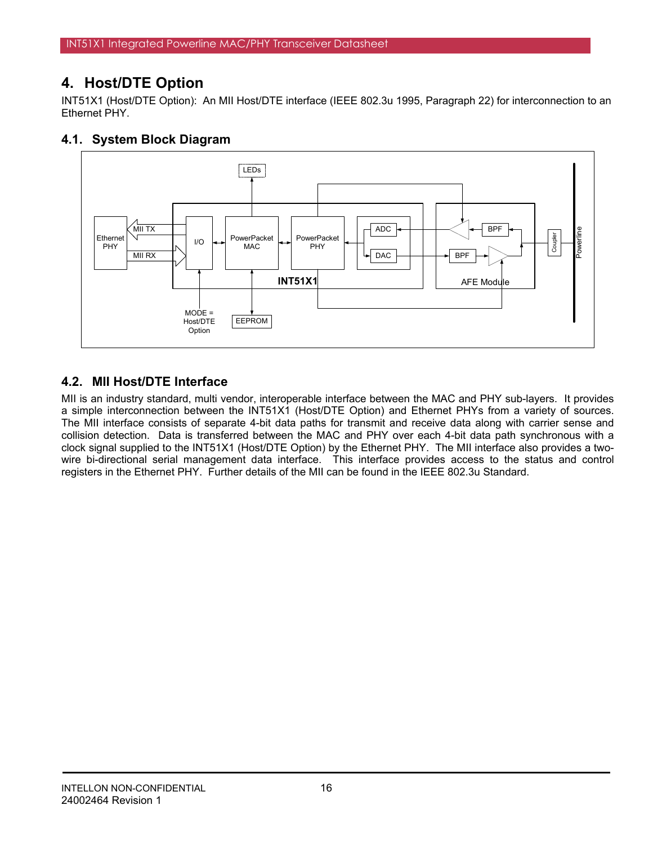# **4. Host/DTE Option**

INT51X1 (Host/DTE Option): An MII Host/DTE interface (IEEE 802.3u 1995, Paragraph 22) for interconnection to an Ethernet PHY.

# **4.1. System Block Diagram**



# **4.2. MII Host/DTE Interface**

MII is an industry standard, multi vendor, interoperable interface between the MAC and PHY sub-layers. It provides a simple interconnection between the INT51X1 (Host/DTE Option) and Ethernet PHYs from a variety of sources. The MII interface consists of separate 4-bit data paths for transmit and receive data along with carrier sense and collision detection. Data is transferred between the MAC and PHY over each 4-bit data path synchronous with a clock signal supplied to the INT51X1 (Host/DTE Option) by the Ethernet PHY. The MII interface also provides a twowire bi-directional serial management data interface. This interface provides access to the status and control registers in the Ethernet PHY. Further details of the MII can be found in the IEEE 802.3u Standard.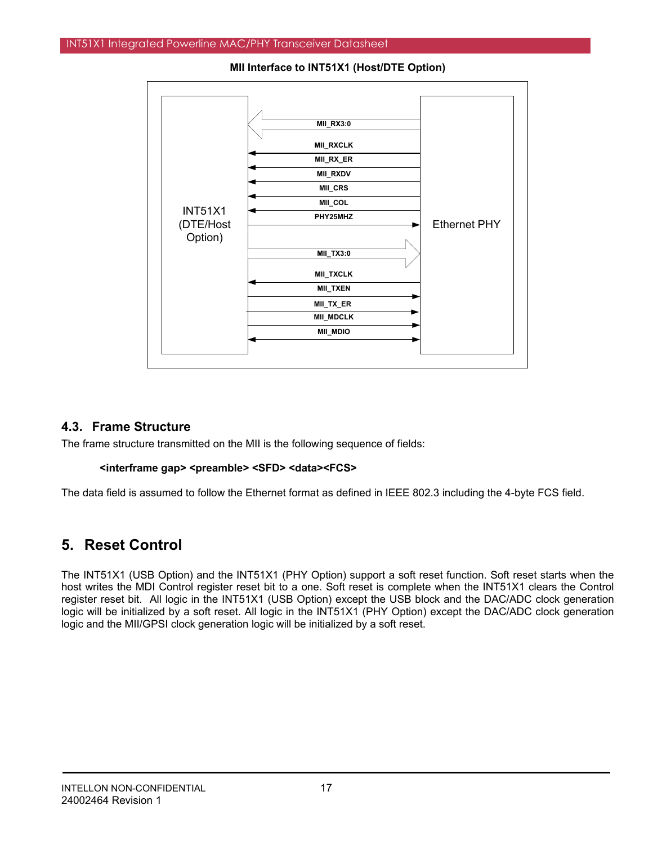

**MII Interface to INT51X1 (Host/DTE Option)** 

## **4.3. Frame Structure**

The frame structure transmitted on the MII is the following sequence of fields:

### **<interframe gap> <preamble> <SFD> <data><FCS>**

The data field is assumed to follow the Ethernet format as defined in IEEE 802.3 including the 4-byte FCS field.

# **5. Reset Control**

The INT51X1 (USB Option) and the INT51X1 (PHY Option) support a soft reset function. Soft reset starts when the host writes the MDI Control register reset bit to a one. Soft reset is complete when the INT51X1 clears the Control register reset bit. All logic in the INT51X1 (USB Option) except the USB block and the DAC/ADC clock generation logic will be initialized by a soft reset. All logic in the INT51X1 (PHY Option) except the DAC/ADC clock generation logic and the MII/GPSI clock generation logic will be initialized by a soft reset.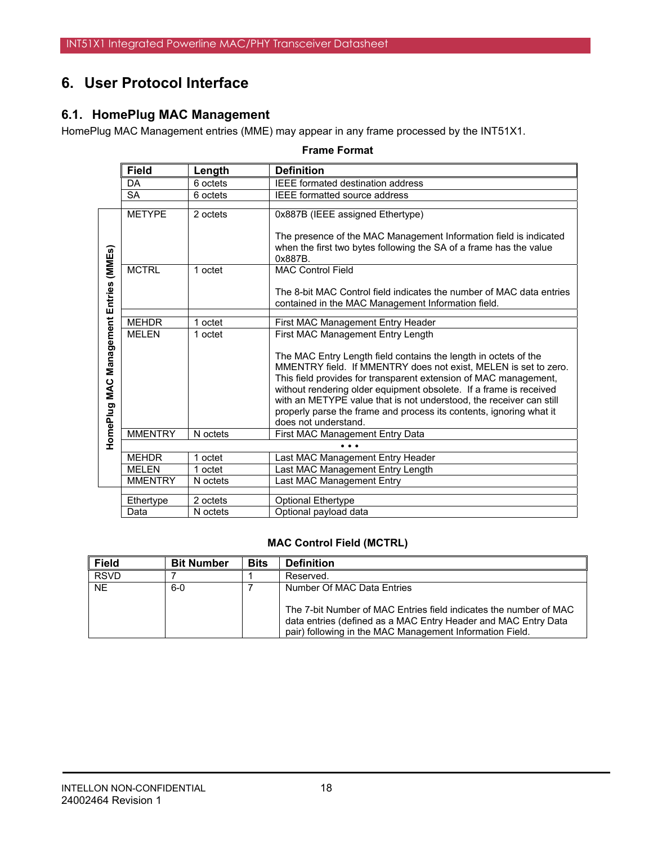# **6. User Protocol Interface**

# **6.1. HomePlug MAC Management**

HomePlug MAC Management entries (MME) may appear in any frame processed by the INT51X1.

#### **Frame Format**

|                           | <b>Field</b>   | Length   | <b>Definition</b>                                                    |
|---------------------------|----------------|----------|----------------------------------------------------------------------|
|                           | <b>DA</b>      | 6 octets | <b>IEEE</b> formated destination address                             |
|                           | <b>SA</b>      | 6 octets | <b>IEEE</b> formatted source address                                 |
|                           |                |          |                                                                      |
|                           | <b>METYPE</b>  | 2 octets | 0x887B (IEEE assigned Ethertype)                                     |
|                           |                |          |                                                                      |
|                           |                |          | The presence of the MAC Management Information field is indicated    |
|                           |                |          | when the first two bytes following the SA of a frame has the value   |
|                           |                |          | 0x887B.                                                              |
| Management Entries (MMEs) | <b>MCTRL</b>   | 1 octet  | <b>MAC Control Field</b>                                             |
|                           |                |          | The 8-bit MAC Control field indicates the number of MAC data entries |
|                           |                |          | contained in the MAC Management Information field.                   |
|                           |                |          |                                                                      |
|                           | <b>MEHDR</b>   | 1 octet  | First MAC Management Entry Header                                    |
|                           | <b>MELEN</b>   | 1 octet  | First MAC Management Entry Length                                    |
|                           |                |          |                                                                      |
|                           |                |          | The MAC Entry Length field contains the length in octets of the      |
|                           |                |          | MMENTRY field. If MMENTRY does not exist, MELEN is set to zero.      |
|                           |                |          | This field provides for transparent extension of MAC management,     |
|                           |                |          | without rendering older equipment obsolete. If a frame is received   |
|                           |                |          | with an METYPE value that is not understood, the receiver can still  |
|                           |                |          | properly parse the frame and process its contents, ignoring what it  |
| HomePlug MAC              |                |          | does not understand.                                                 |
|                           | <b>MMENTRY</b> | N octets | First MAC Management Entry Data                                      |
|                           |                |          |                                                                      |
|                           | <b>MEHDR</b>   | 1 octet  | Last MAC Management Entry Header                                     |
|                           | <b>MELEN</b>   | 1 octet  | Last MAC Management Entry Length                                     |
|                           | <b>MMENTRY</b> | N octets | Last MAC Management Entry                                            |
|                           | Ethertype      | 2 octets | <b>Optional Ethertype</b>                                            |
|                           | Data           | N octets | Optional payload data                                                |

## **MAC Control Field (MCTRL)**

| <b>Field</b> | <b>Bit Number</b> | <b>Bits</b> | <b>Definition</b>                                                                                                                                                                                                             |
|--------------|-------------------|-------------|-------------------------------------------------------------------------------------------------------------------------------------------------------------------------------------------------------------------------------|
| <b>RSVD</b>  |                   |             | Reserved.                                                                                                                                                                                                                     |
| <b>NE</b>    | $6-0$             |             | Number Of MAC Data Entries<br>The 7-bit Number of MAC Entries field indicates the number of MAC<br>data entries (defined as a MAC Entry Header and MAC Entry Data<br>pair) following in the MAC Management Information Field. |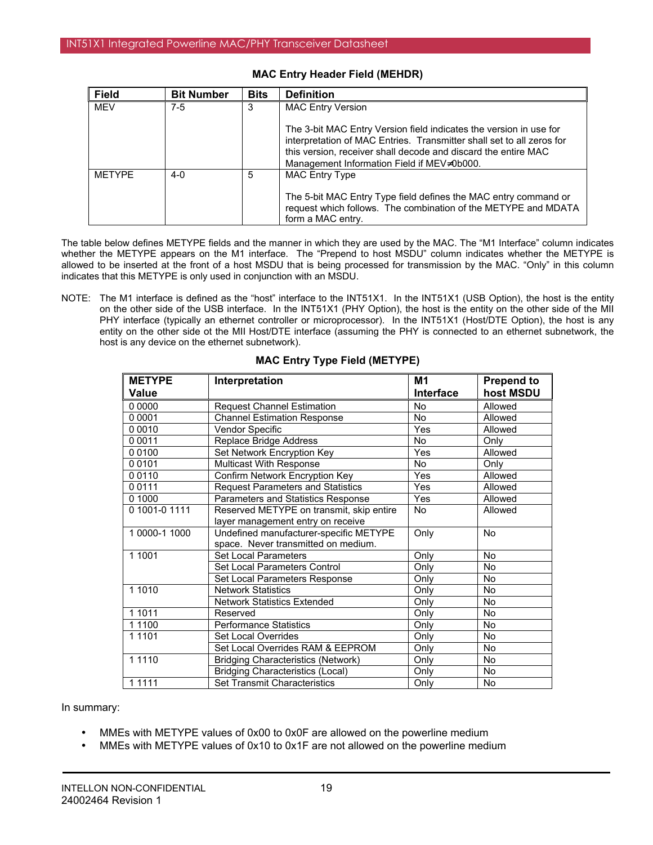| <b>Field</b>  | <b>Bit Number</b> | <b>Bits</b> | <b>Definition</b>                                                                                                                                                                                                                                           |
|---------------|-------------------|-------------|-------------------------------------------------------------------------------------------------------------------------------------------------------------------------------------------------------------------------------------------------------------|
| <b>MEV</b>    | $7-5$             | 3           | <b>MAC Entry Version</b>                                                                                                                                                                                                                                    |
|               |                   |             | The 3-bit MAC Entry Version field indicates the version in use for<br>interpretation of MAC Entries. Transmitter shall set to all zeros for<br>this version, receiver shall decode and discard the entire MAC<br>Management Information Field if MEV≠0b000. |
| <b>METYPE</b> | $4 - 0$           | 5           | <b>MAC Entry Type</b>                                                                                                                                                                                                                                       |
|               |                   |             | The 5-bit MAC Entry Type field defines the MAC entry command or<br>request which follows. The combination of the METYPE and MDATA<br>form a MAC entry.                                                                                                      |

### **MAC Entry Header Field (MEHDR)**

The table below defines METYPE fields and the manner in which they are used by the MAC. The "M1 Interface" column indicates whether the METYPE appears on the M1 interface. The "Prepend to host MSDU" column indicates whether the METYPE is allowed to be inserted at the front of a host MSDU that is being processed for transmission by the MAC. "Only" in this column indicates that this METYPE is only used in conjunction with an MSDU.

NOTE: The M1 interface is defined as the "host" interface to the INT51X1. In the INT51X1 (USB Option), the host is the entity on the other side of the USB interface. In the INT51X1 (PHY Option), the host is the entity on the other side of the MII PHY interface (typically an ethernet controller or microprocessor). In the INT51X1 (Host/DTE Option), the host is any entity on the other side ot the MII Host/DTE interface (assuming the PHY is connected to an ethernet subnetwork, the host is any device on the ethernet subnetwork).

| <b>METYPE</b> | Interpretation                            | M1        | <b>Prepend to</b> |
|---------------|-------------------------------------------|-----------|-------------------|
| <b>Value</b>  |                                           | Interface | host MSDU         |
| 0 0000        | <b>Request Channel Estimation</b>         | <b>No</b> | Allowed           |
| 0 0001        | <b>Channel Estimation Response</b>        | <b>No</b> | Allowed           |
| 0 0 0 1 0     | Vendor Specific                           | Yes       | Allowed           |
| 0 0 0 1 1     | Replace Bridge Address                    | <b>No</b> | Only              |
| 00100         | Set Network Encryption Key                | Yes       | Allowed           |
| 00101         | Multicast With Response                   | <b>No</b> | Only              |
| 00110         | Confirm Network Encryption Key            | Yes       | Allowed           |
| 00111         | <b>Request Parameters and Statistics</b>  | Yes       | Allowed           |
| 0 1000        | Parameters and Statistics Response        | Yes       | Allowed           |
| 0 1001-0 1111 | Reserved METYPE on transmit, skip entire  | No        | Allowed           |
|               | layer management entry on receive         |           |                   |
| 1 0000-1 1000 | Undefined manufacturer-specific METYPE    | Only      | <b>No</b>         |
|               | space. Never transmitted on medium.       |           |                   |
| 1 1001        | Set Local Parameters                      | Only      | No                |
|               | Set Local Parameters Control              | Only      | No                |
|               | Set Local Parameters Response             | Only      | <b>No</b>         |
| 1 1010        | <b>Network Statistics</b>                 | Only      | <b>No</b>         |
|               | Network Statistics Extended               | Only      | <b>No</b>         |
| 1 1011        | Reserved                                  | Only      | <b>No</b>         |
| 1 1 1 0 0     | <b>Performance Statistics</b>             | Only      | <b>No</b>         |
| 1 1 1 0 1     | Set Local Overrides                       | Only      | No                |
|               | Set Local Overrides RAM & EEPROM          | Only      | No                |
| 1 1 1 1 0     | <b>Bridging Characteristics (Network)</b> | Only      | No                |
|               | <b>Bridging Characteristics (Local)</b>   | Only      | <b>No</b>         |
| 1 1 1 1 1     | Set Transmit Characteristics              | Only      | No                |

### **MAC Entry Type Field (METYPE)**

In summary:

- MMEs with METYPE values of 0x00 to 0x0F are allowed on the powerline medium
- MMEs with METYPE values of 0x10 to 0x1F are not allowed on the powerline medium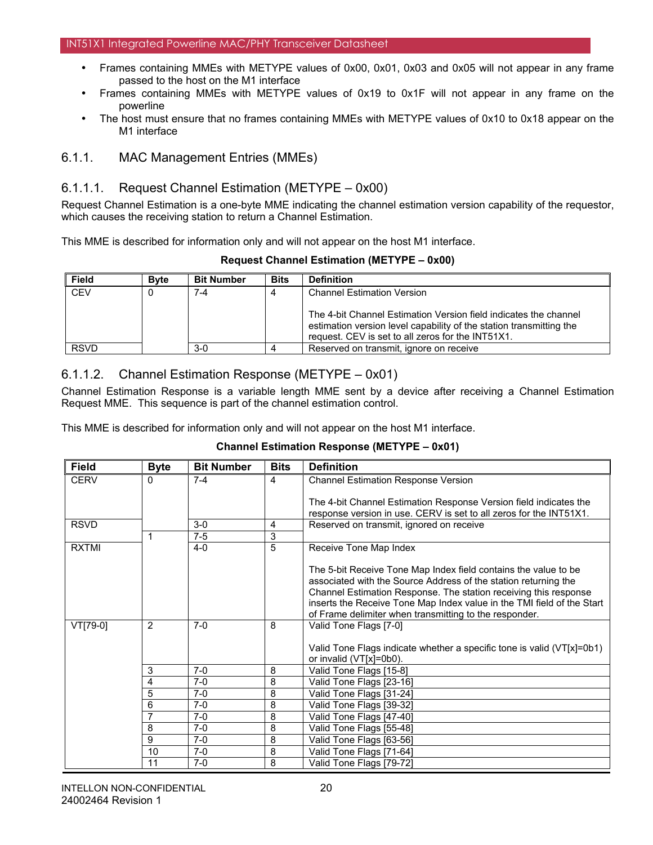- Frames containing MMEs with METYPE values of 0x00, 0x01, 0x03 and 0x05 will not appear in any frame passed to the host on the M1 interface
- Frames containing MMEs with METYPE values of 0x19 to 0x1F will not appear in any frame on the powerline
- The host must ensure that no frames containing MMEs with METYPE values of 0x10 to 0x18 appear on the M1 interface

## 6.1.1. MAC Management Entries (MMEs)

## 6.1.1.1. Request Channel Estimation (METYPE – 0x00)

Request Channel Estimation is a one-byte MME indicating the channel estimation version capability of the requestor, which causes the receiving station to return a Channel Estimation.

This MME is described for information only and will not appear on the host M1 interface.

|  |  | <b>Request Channel Estimation (METYPE - 0x00)</b> |  |  |
|--|--|---------------------------------------------------|--|--|
|--|--|---------------------------------------------------|--|--|

| <b>Field</b> | <b>B</b> vte | <b>Bit Number</b> | <b>Bits</b> | <b>Definition</b>                                                                                                                                                                            |
|--------------|--------------|-------------------|-------------|----------------------------------------------------------------------------------------------------------------------------------------------------------------------------------------------|
| <b>CEV</b>   |              | 7-4               |             | <b>Channel Estimation Version</b>                                                                                                                                                            |
|              |              |                   |             | The 4-bit Channel Estimation Version field indicates the channel<br>estimation version level capability of the station transmitting the<br>request. CEV is set to all zeros for the INT51X1. |
| <b>RSVD</b>  |              | $3-0$             |             | Reserved on transmit, ignore on receive                                                                                                                                                      |

## 6.1.1.2. Channel Estimation Response (METYPE – 0x01)

Channel Estimation Response is a variable length MME sent by a device after receiving a Channel Estimation Request MME. This sequence is part of the channel estimation control.

This MME is described for information only and will not appear on the host M1 interface.

### **Channel Estimation Response (METYPE – 0x01)**

| <b>Field</b> | <b>Byte</b>    | <b>Bit Number</b> | <b>Bits</b> | <b>Definition</b>                                                      |
|--------------|----------------|-------------------|-------------|------------------------------------------------------------------------|
| <b>CERV</b>  | 0              | $7 - 4$           | 4           | <b>Channel Estimation Response Version</b>                             |
|              |                |                   |             |                                                                        |
|              |                |                   |             | The 4-bit Channel Estimation Response Version field indicates the      |
|              |                |                   |             | response version in use. CERV is set to all zeros for the INT51X1.     |
| <b>RSVD</b>  |                | $3-0$             | 4           | Reserved on transmit, ignored on receive                               |
|              | 1              | $7-5$             | 3           |                                                                        |
| <b>RXTMI</b> |                | $4 - 0$           | 5           | Receive Tone Map Index                                                 |
|              |                |                   |             |                                                                        |
|              |                |                   |             | The 5-bit Receive Tone Map Index field contains the value to be        |
|              |                |                   |             | associated with the Source Address of the station returning the        |
|              |                |                   |             | Channel Estimation Response. The station receiving this response       |
|              |                |                   |             | inserts the Receive Tone Map Index value in the TMI field of the Start |
|              |                |                   |             | of Frame delimiter when transmitting to the responder.                 |
| VT[79-0]     | 2              | $7-0$             | 8           | Valid Tone Flags [7-0]                                                 |
|              |                |                   |             |                                                                        |
|              |                |                   |             | Valid Tone Flags indicate whether a specific tone is valid (VT[x]=0b1) |
|              |                |                   |             | or invalid (VT[x]=0b0).                                                |
|              | 3              | $7-0$             | 8           | Valid Tone Flags [15-8]                                                |
|              | 4              | $7-0$             | 8           | Valid Tone Flags [23-16]                                               |
|              | 5              | $7-0$             | 8           | Valid Tone Flags [31-24]                                               |
|              | 6              | $7-0$             | 8           | Valid Tone Flags [39-32]                                               |
|              | 7              | $7-0$             | 8           | Valid Tone Flags [47-40]                                               |
|              | 8              | $7-0$             | 8           | Valid Tone Flags [55-48]                                               |
|              | $\overline{9}$ | $7-0$             | 8           | Valid Tone Flags [63-56]                                               |
|              | 10             | $7-0$             | 8           | Valid Tone Flags [71-64]                                               |
|              | 11             | $7-0$             | 8           | Valid Tone Flags [79-72]                                               |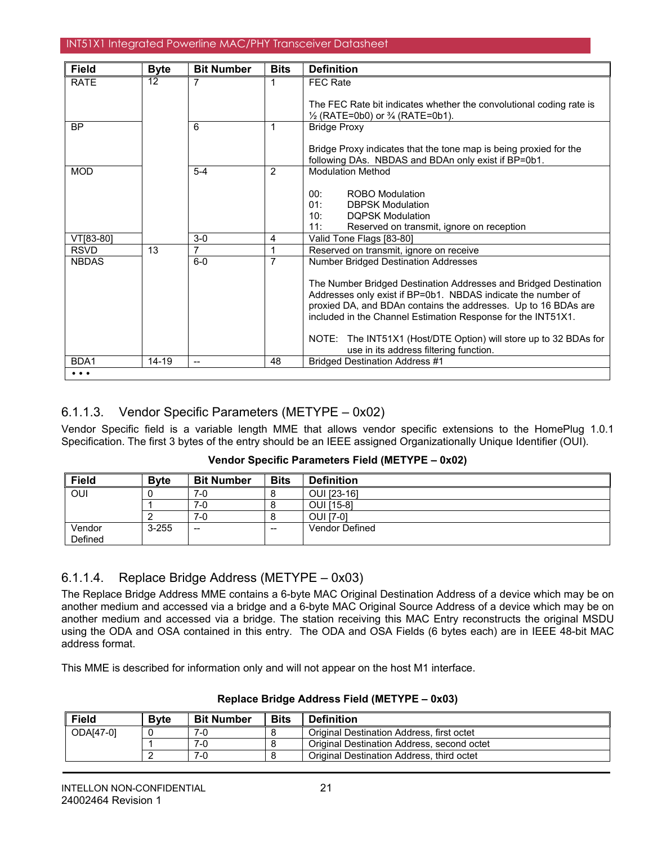| <b>Field</b> | <b>Byte</b> | <b>Bit Number</b> | <b>Bits</b> | <b>Definition</b>                                                                                                                                                                                                                                                  |
|--------------|-------------|-------------------|-------------|--------------------------------------------------------------------------------------------------------------------------------------------------------------------------------------------------------------------------------------------------------------------|
| <b>RATE</b>  | 12          | 7                 | 1           | <b>FEC Rate</b>                                                                                                                                                                                                                                                    |
|              |             |                   |             | The FEC Rate bit indicates whether the convolutional coding rate is<br>$\frac{1}{2}$ (RATE=0b0) or $\frac{3}{4}$ (RATE=0b1).                                                                                                                                       |
| <b>BP</b>    |             | 6                 |             | <b>Bridge Proxy</b>                                                                                                                                                                                                                                                |
|              |             |                   |             | Bridge Proxy indicates that the tone map is being proxied for the<br>following DAs. NBDAS and BDAn only exist if BP=0b1.                                                                                                                                           |
| <b>MOD</b>   |             | $5 - 4$           | 2           | <b>Modulation Method</b>                                                                                                                                                                                                                                           |
|              |             |                   |             | 00:<br><b>ROBO</b> Modulation<br>01:<br><b>DBPSK Modulation</b><br>10:<br><b>DOPSK Modulation</b><br>11:<br>Reserved on transmit, ignore on reception                                                                                                              |
| VT[83-80]    |             | $3-0$             | 4           | Valid Tone Flags [83-80]                                                                                                                                                                                                                                           |
| <b>RSVD</b>  | 13          | 7                 | 1           | Reserved on transmit, ignore on receive                                                                                                                                                                                                                            |
| <b>NBDAS</b> |             | $6-0$             | 7           | <b>Number Bridged Destination Addresses</b>                                                                                                                                                                                                                        |
|              |             |                   |             | The Number Bridged Destination Addresses and Bridged Destination<br>Addresses only exist if BP=0b1. NBDAS indicate the number of<br>proxied DA, and BDAn contains the addresses. Up to 16 BDAs are<br>included in the Channel Estimation Response for the INT51X1. |
|              |             |                   |             | The INT51X1 (Host/DTE Option) will store up to 32 BDAs for<br>NOTE:<br>use in its address filtering function.                                                                                                                                                      |
| BDA1         | $14 - 19$   | $-$               | 48          | <b>Bridged Destination Address #1</b>                                                                                                                                                                                                                              |
| $\cdots$     |             |                   |             |                                                                                                                                                                                                                                                                    |

## 6.1.1.3. Vendor Specific Parameters (METYPE – 0x02)

Vendor Specific field is a variable length MME that allows vendor specific extensions to the HomePlug 1.0.1 Specification. The first 3 bytes of the entry should be an IEEE assigned Organizationally Unique Identifier (OUI).

| Vendor Specific Parameters Field (METYPE - 0x02) |  |  |
|--------------------------------------------------|--|--|
|--------------------------------------------------|--|--|

| <b>Field</b> | <b>Byte</b> | <b>Bit Number</b>        | Bits | <b>Definition</b> |
|--------------|-------------|--------------------------|------|-------------------|
| OUI          |             | 7-0                      | O    | OUI [23-16]       |
|              |             | 7-0                      | o    | <b>OUI [15-8]</b> |
|              |             | 7-0                      | 8    | <b>OUI [7-0]</b>  |
| Vendor       | $3 - 255$   | $\overline{\phantom{m}}$ | $-$  | Vendor Defined    |
| Defined      |             |                          |      |                   |

# 6.1.1.4. Replace Bridge Address (METYPE – 0x03)

The Replace Bridge Address MME contains a 6-byte MAC Original Destination Address of a device which may be on another medium and accessed via a bridge and a 6-byte MAC Original Source Address of a device which may be on another medium and accessed via a bridge. The station receiving this MAC Entry reconstructs the original MSDU using the ODA and OSA contained in this entry. The ODA and OSA Fields (6 bytes each) are in IEEE 48-bit MAC address format.

This MME is described for information only and will not appear on the host M1 interface.

| <b>Field</b> | <b>B</b> vte | <b>Bit Number</b> | <b>Bits</b> | <b>Definition</b>                          |
|--------------|--------------|-------------------|-------------|--------------------------------------------|
| ODA[47-0]    |              | 7-0               |             | Original Destination Address, first octet  |
|              |              | 7-0               |             | Original Destination Address, second octet |
|              |              | 7-C               |             | Original Destination Address, third octet  |

### **Replace Bridge Address Field (METYPE – 0x03)**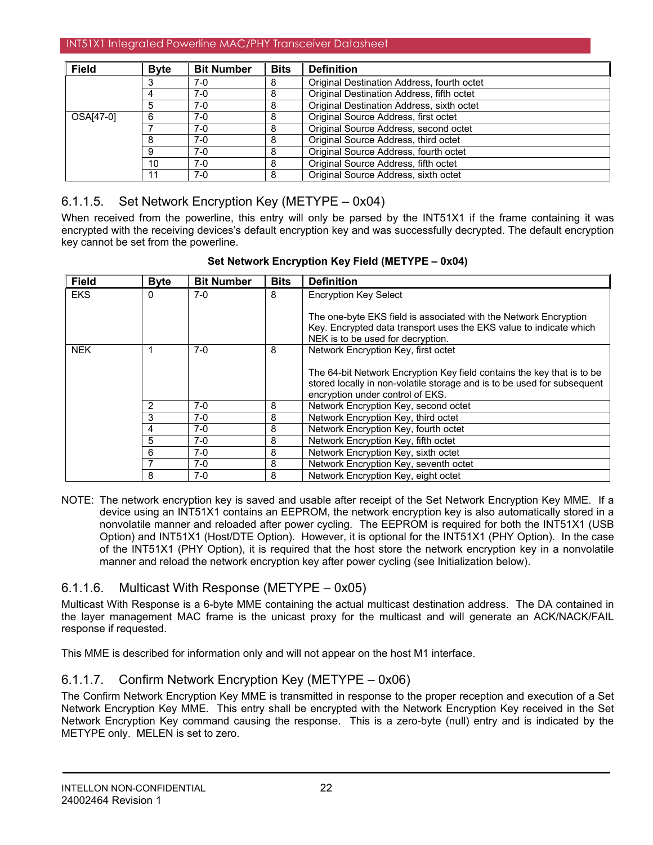| <b>Field</b> | <b>Byte</b> | <b>Bit Number</b> | <b>Bits</b> | <b>Definition</b>                          |
|--------------|-------------|-------------------|-------------|--------------------------------------------|
|              |             | $7-0$             | 8           | Original Destination Address, fourth octet |
|              |             | $7-0$             | 8           | Original Destination Address, fifth octet  |
|              |             | $7-0$             | 8           | Original Destination Address, sixth octet  |
| OSA[47-0]    |             | $7-0$             | 8           | Original Source Address, first octet       |
|              |             | $7-0$             | 8           | Original Source Address, second octet      |
|              |             | $7-0$             | 8           | Original Source Address, third octet       |
|              |             | $7-0$             | 8           | Original Source Address, fourth octet      |
|              | 10          | $7-0$             | 8           | Original Source Address, fifth octet       |
|              | 11          | $7-0$             | 8           | Original Source Address, sixth octet       |

# 6.1.1.5. Set Network Encryption Key (METYPE – 0x04)

When received from the powerline, this entry will only be parsed by the INT51X1 if the frame containing it was encrypted with the receiving devices's default encryption key and was successfully decrypted. The default encryption key cannot be set from the powerline.

| <b>Field</b> | <b>Byte</b> | <b>Bit Number</b> | <b>Bits</b> | <b>Definition</b>                                                       |  |
|--------------|-------------|-------------------|-------------|-------------------------------------------------------------------------|--|
| <b>EKS</b>   | 0           | $7-0$             | 8           | <b>Encryption Key Select</b>                                            |  |
|              |             |                   |             |                                                                         |  |
|              |             |                   |             | The one-byte EKS field is associated with the Network Encryption        |  |
|              |             |                   |             | Key. Encrypted data transport uses the EKS value to indicate which      |  |
|              |             |                   |             | NEK is to be used for decryption.                                       |  |
| <b>NEK</b>   |             | $7-0$             | 8           | Network Encryption Key, first octet                                     |  |
|              |             |                   |             |                                                                         |  |
|              |             |                   |             | The 64-bit Network Encryption Key field contains the key that is to be  |  |
|              |             |                   |             | stored locally in non-volatile storage and is to be used for subsequent |  |
|              |             |                   |             | encryption under control of EKS.                                        |  |
|              | 2           | $7-0$             | 8           | Network Encryption Key, second octet                                    |  |
|              | 3           | $7-0$             | 8           | Network Encryption Key, third octet                                     |  |
|              | 4           | $7-0$             | 8           | Network Encryption Key, fourth octet                                    |  |
|              | 5           | $7-0$             | 8           | Network Encryption Key, fifth octet                                     |  |
|              | 6           | $7-0$             | 8           | Network Encryption Key, sixth octet                                     |  |
|              |             | $7-0$             | 8           | Network Encryption Key, seventh octet                                   |  |
|              | 8           | 7-0               | 8           | Network Encryption Key, eight octet                                     |  |

## **Set Network Encryption Key Field (METYPE – 0x04)**

NOTE: The network encryption key is saved and usable after receipt of the Set Network Encryption Key MME. If a device using an INT51X1 contains an EEPROM, the network encryption key is also automatically stored in a nonvolatile manner and reloaded after power cycling. The EEPROM is required for both the INT51X1 (USB Option) and INT51X1 (Host/DTE Option). However, it is optional for the INT51X1 (PHY Option). In the case of the INT51X1 (PHY Option), it is required that the host store the network encryption key in a nonvolatile manner and reload the network encryption key after power cycling (see Initialization below).

# 6.1.1.6. Multicast With Response (METYPE – 0x05)

Multicast With Response is a 6-byte MME containing the actual multicast destination address. The DA contained in the layer management MAC frame is the unicast proxy for the multicast and will generate an ACK/NACK/FAIL response if requested.

This MME is described for information only and will not appear on the host M1 interface.

# 6.1.1.7. Confirm Network Encryption Key (METYPE – 0x06)

The Confirm Network Encryption Key MME is transmitted in response to the proper reception and execution of a Set Network Encryption Key MME. This entry shall be encrypted with the Network Encryption Key received in the Set Network Encryption Key command causing the response. This is a zero-byte (null) entry and is indicated by the METYPE only. MELEN is set to zero.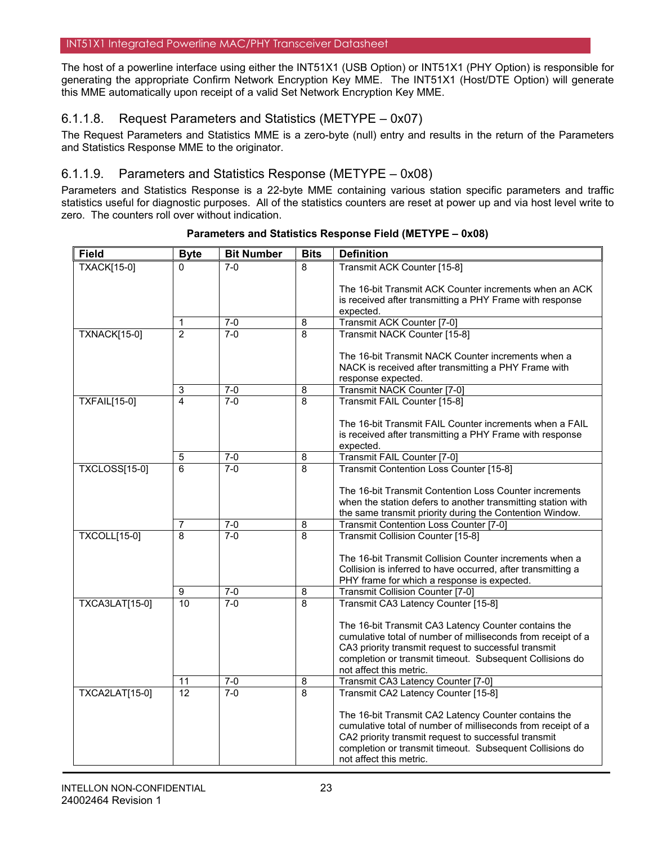The host of a powerline interface using either the INT51X1 (USB Option) or INT51X1 (PHY Option) is responsible for generating the appropriate Confirm Network Encryption Key MME. The INT51X1 (Host/DTE Option) will generate this MME automatically upon receipt of a valid Set Network Encryption Key MME.

# 6.1.1.8. Request Parameters and Statistics (METYPE – 0x07)

The Request Parameters and Statistics MME is a zero-byte (null) entry and results in the return of the Parameters and Statistics Response MME to the originator.

## 6.1.1.9. Parameters and Statistics Response (METYPE – 0x08)

Parameters and Statistics Response is a 22-byte MME containing various station specific parameters and traffic statistics useful for diagnostic purposes. All of the statistics counters are reset at power up and via host level write to zero. The counters roll over without indication.

| <b>Field</b>          | <b>Byte</b>         | <b>Bit Number</b>  | <b>Bits</b>         | <b>Definition</b>                                                                   |
|-----------------------|---------------------|--------------------|---------------------|-------------------------------------------------------------------------------------|
| <b>TXACK[15-0]</b>    | $\Omega$            | $7-0$              | 8                   | Transmit ACK Counter [15-8]                                                         |
|                       |                     |                    |                     | The 16-bit Transmit ACK Counter increments when an ACK                              |
|                       |                     |                    |                     | is received after transmitting a PHY Frame with response                            |
|                       |                     |                    |                     | expected.                                                                           |
|                       | 1                   | $7-0$              | 8                   | Transmit ACK Counter [7-0]                                                          |
| <b>TXNACK[15-0]</b>   | $\overline{2}$      | $7-0$              | 8                   | Transmit NACK Counter [15-8]                                                        |
|                       |                     |                    |                     | The 16-bit Transmit NACK Counter increments when a                                  |
|                       |                     |                    |                     | NACK is received after transmitting a PHY Frame with                                |
|                       |                     |                    |                     | response expected.                                                                  |
|                       | 3                   | $7-0$              | 8                   | Transmit NACK Counter [7-0]                                                         |
| <b>TXFAIL[15-0]</b>   | 4                   | $7 - 0$            | 8                   | Transmit FAIL Counter [15-8]                                                        |
|                       |                     |                    |                     |                                                                                     |
|                       |                     |                    |                     | The 16-bit Transmit FAIL Counter increments when a FAIL                             |
|                       |                     |                    |                     | is received after transmitting a PHY Frame with response                            |
|                       |                     |                    |                     | expected.                                                                           |
| <b>TXCLOSS[15-0]</b>  | 5<br>$\overline{6}$ | $7 - 0$<br>$7 - 0$ | 8<br>$\overline{8}$ | Transmit FAIL Counter [7-0]<br>Transmit Contention Loss Counter [15-8]              |
|                       |                     |                    |                     |                                                                                     |
|                       |                     |                    |                     | The 16-bit Transmit Contention Loss Counter increments                              |
|                       |                     |                    |                     | when the station defers to another transmitting station with                        |
|                       |                     |                    |                     | the same transmit priority during the Contention Window.                            |
|                       | 7                   | $7 - 0$            | 8                   | Transmit Contention Loss Counter [7-0]                                              |
| <b>TXCOLL[15-0]</b>   | 8                   | $7-0$              | 8                   | Transmit Collision Counter [15-8]                                                   |
|                       |                     |                    |                     | The 16-bit Transmit Collision Counter increments when a                             |
|                       |                     |                    |                     | Collision is inferred to have occurred, after transmitting a                        |
|                       |                     |                    |                     | PHY frame for which a response is expected.                                         |
|                       | 9                   | $7 - 0$            | 8                   | Transmit Collision Counter [7-0]                                                    |
| TXCA3LAT[15-0]        | 10                  | $7-0$              | $\overline{8}$      | Transmit CA3 Latency Counter [15-8]                                                 |
|                       |                     |                    |                     | The 16-bit Transmit CA3 Latency Counter contains the                                |
|                       |                     |                    |                     | cumulative total of number of milliseconds from receipt of a                        |
|                       |                     |                    |                     | CA3 priority transmit request to successful transmit                                |
|                       |                     |                    |                     | completion or transmit timeout. Subsequent Collisions do                            |
|                       |                     |                    |                     | not affect this metric.                                                             |
|                       | 11                  | $7 - 0$            | 8                   | Transmit CA3 Latency Counter [7-0]                                                  |
| <b>TXCA2LAT[15-0]</b> | $\overline{12}$     | $7 - 0$            | $\overline{8}$      | Transmit CA2 Latency Counter [15-8]                                                 |
|                       |                     |                    |                     | The 16-bit Transmit CA2 Latency Counter contains the                                |
|                       |                     |                    |                     | cumulative total of number of milliseconds from receipt of a                        |
|                       |                     |                    |                     | CA2 priority transmit request to successful transmit                                |
|                       |                     |                    |                     | completion or transmit timeout. Subsequent Collisions do<br>not affect this metric. |
|                       |                     |                    |                     |                                                                                     |

**Parameters and Statistics Response Field (METYPE – 0x08)**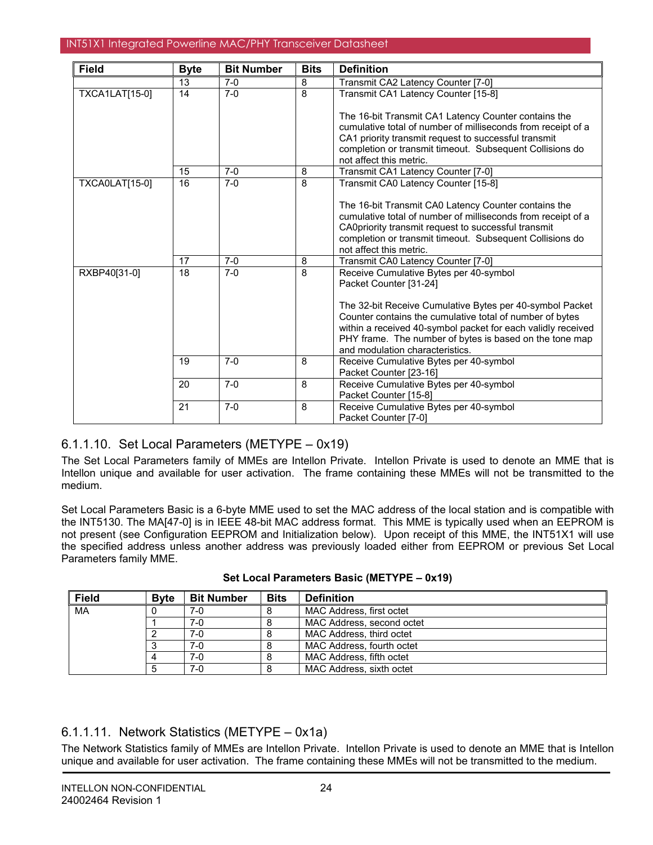| <b>Field</b>          | <b>Byte</b> | <b>Bit Number</b> | <b>Bits</b>  | <b>Definition</b>                                            |
|-----------------------|-------------|-------------------|--------------|--------------------------------------------------------------|
|                       | 13          | $7-0$             | 8            | Transmit CA2 Latency Counter [7-0]                           |
| <b>TXCA1LAT[15-0]</b> | 14          | $7-0$             | $\mathsf{a}$ | Transmit CA1 Latency Counter [15-8]                          |
|                       |             |                   |              | The 16-bit Transmit CA1 Latency Counter contains the         |
|                       |             |                   |              | cumulative total of number of milliseconds from receipt of a |
|                       |             |                   |              | CA1 priority transmit request to successful transmit         |
|                       |             |                   |              | completion or transmit timeout. Subsequent Collisions do     |
|                       |             |                   |              | not affect this metric.                                      |
|                       | 15          | $7-0$             | 8            | Transmit CA1 Latency Counter [7-0]                           |
| <b>TXCA0LAT[15-0]</b> | 16          | $7-0$             | 8            | Transmit CA0 Latency Counter [15-8]                          |
|                       |             |                   |              | The 16-bit Transmit CA0 Latency Counter contains the         |
|                       |             |                   |              | cumulative total of number of milliseconds from receipt of a |
|                       |             |                   |              | CA0priority transmit request to successful transmit          |
|                       |             |                   |              | completion or transmit timeout. Subsequent Collisions do     |
|                       |             |                   |              | not affect this metric.                                      |
|                       | 17          | $7-0$             | 8            | Transmit CA0 Latency Counter [7-0]                           |
| RXBP40[31-0]          | 18          | $7-0$             | 8            | Receive Cumulative Bytes per 40-symbol                       |
|                       |             |                   |              | Packet Counter [31-24]                                       |
|                       |             |                   |              | The 32-bit Receive Cumulative Bytes per 40-symbol Packet     |
|                       |             |                   |              | Counter contains the cumulative total of number of bytes     |
|                       |             |                   |              | within a received 40-symbol packet for each validly received |
|                       |             |                   |              | PHY frame. The number of bytes is based on the tone map      |
|                       |             |                   |              | and modulation characteristics.                              |
|                       | 19          | $7 - 0$           | 8            | Receive Cumulative Bytes per 40-symbol                       |
|                       |             |                   |              | Packet Counter [23-16]                                       |
|                       | 20          | $7 - 0$           | 8            | Receive Cumulative Bytes per 40-symbol                       |
|                       |             |                   |              | Packet Counter [15-8]                                        |
|                       | 21          | $7-0$             | 8            | Receive Cumulative Bytes per 40-symbol                       |
|                       |             |                   |              | Packet Counter [7-0]                                         |

# 6.1.1.10. Set Local Parameters (METYPE – 0x19)

The Set Local Parameters family of MMEs are Intellon Private. Intellon Private is used to denote an MME that is Intellon unique and available for user activation. The frame containing these MMEs will not be transmitted to the medium.

Set Local Parameters Basic is a 6-byte MME used to set the MAC address of the local station and is compatible with the INT5130. The MA[47-0] is in IEEE 48-bit MAC address format. This MME is typically used when an EEPROM is not present (see Configuration EEPROM and Initialization below). Upon receipt of this MME, the INT51X1 will use the specified address unless another address was previously loaded either from EEPROM or previous Set Local Parameters family MME.

| <b>Field</b> | <b>Byte</b> | <b>Bit Number</b> | <b>Bits</b> | <b>Definition</b>         |
|--------------|-------------|-------------------|-------------|---------------------------|
| MA           |             | 7-0               |             | MAC Address, first octet  |
|              |             | 7-0               |             | MAC Address, second octet |
|              |             | $7-0$             |             | MAC Address, third octet  |
|              |             | 7-0               |             | MAC Address, fourth octet |
|              |             | 7-0               |             | MAC Address, fifth octet  |
|              |             | 7-0               |             | MAC Address, sixth octet  |

## **Set Local Parameters Basic (METYPE – 0x19)**

# 6.1.1.11. Network Statistics (METYPE – 0x1a)

The Network Statistics family of MMEs are Intellon Private. Intellon Private is used to denote an MME that is Intellon unique and available for user activation. The frame containing these MMEs will not be transmitted to the medium.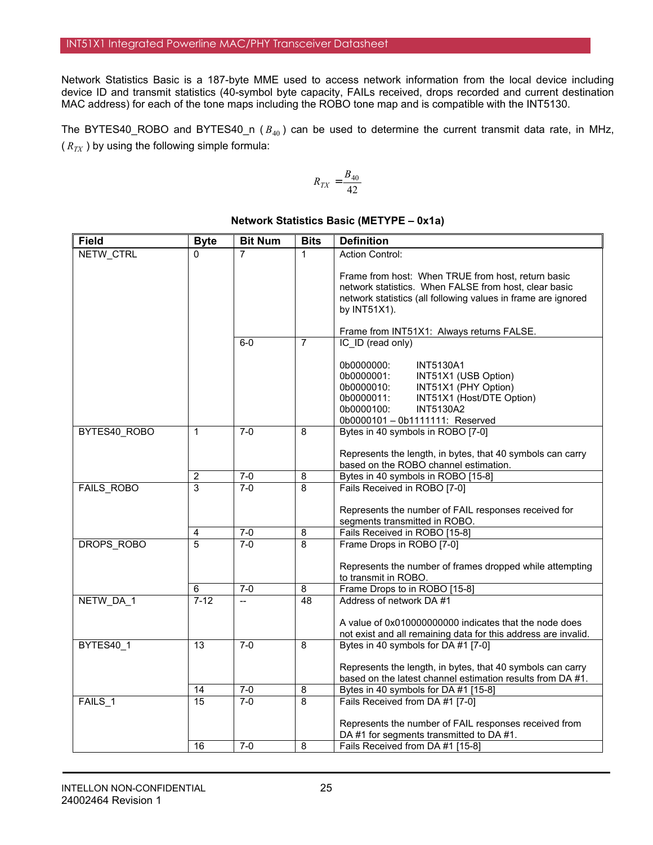Network Statistics Basic is a 187-byte MME used to access network information from the local device including device ID and transmit statistics (40-symbol byte capacity, FAILs received, drops recorded and current destination MAC address) for each of the tone maps including the ROBO tone map and is compatible with the INT5130.

The BYTES40\_ROBO and BYTES40\_n ( $B_{40}$ ) can be used to determine the current transmit data rate, in MHz,  $(R_{TX})$  by using the following simple formula:

$$
R_{TX}=\frac{B_{40}}{42}
$$

#### Field **Byte** Bit Num Bits Definition 7 1 Action Control: Frame from host: When TRUE from host, return basic network statistics. When FALSE from host, clear basic network statistics (all following values in frame are ignored by INT51X1). Frame from INT51X1: Always returns FALSE. NETW\_CTRL 0 6-0 7 IC ID (read only) 0b0000000: INT5130A1 0b0000001: INT51X1 (USB Option)<br>0b0000010: INT51X1 (PHY Option) 0b0000010: INT51X1 (PHY Option)<br>0b0000011: INT51X1 (Host/DTE Op INT51X1 (Host/DTE Option) 0b0000100: INT5130A2 0b0000101 – 0b1111111: Reserved 1 7-0 | 8 | Bytes in 40 symbols in ROBO [7-0] Represents the length, in bytes, that 40 symbols can carry based on the ROBO channel estimation. BYTES40\_ROBO 2 7-0 8 Bytes in 40 symbols in ROBO [15-8]<br>3 7-0 8 Fails Received in ROBO [7-0] Fails Received in ROBO [7-0] Represents the number of FAIL responses received for segments transmitted in ROBO. FAILS\_ROBO 4 7-0 8 Fails Received in ROBO [15-8] 5 7-0 8 Frame Drops in ROBO [7-0] Represents the number of frames dropped while attempting to transmit in ROBO. DROPS\_ROBO 6 7-0 8 Frame Drops to in ROBO [15-8] NETW\_DA\_1 7-12 -- 48 Address of network DA #1 A value of 0x010000000000 indicates that the node does not exist and all remaining data for this address are invalid. 13 7-0 8 Bytes in 40 symbols for DA #1 [7-0] Represents the length, in bytes, that 40 symbols can carry based on the latest channel estimation results from DA #1. BYTES40\_1 14 | 7-0 | 8 | Bytes in 40 symbols for DA #1 [15-8] 15 7-0 8 Fails Received from DA #1 [7-0] Represents the number of FAIL responses received from DA #1 for segments transmitted to DA #1. FAILS\_1 16 7-0 8 Fails Received from DA #1 [15-8]

## **Network Statistics Basic (METYPE – 0x1a)**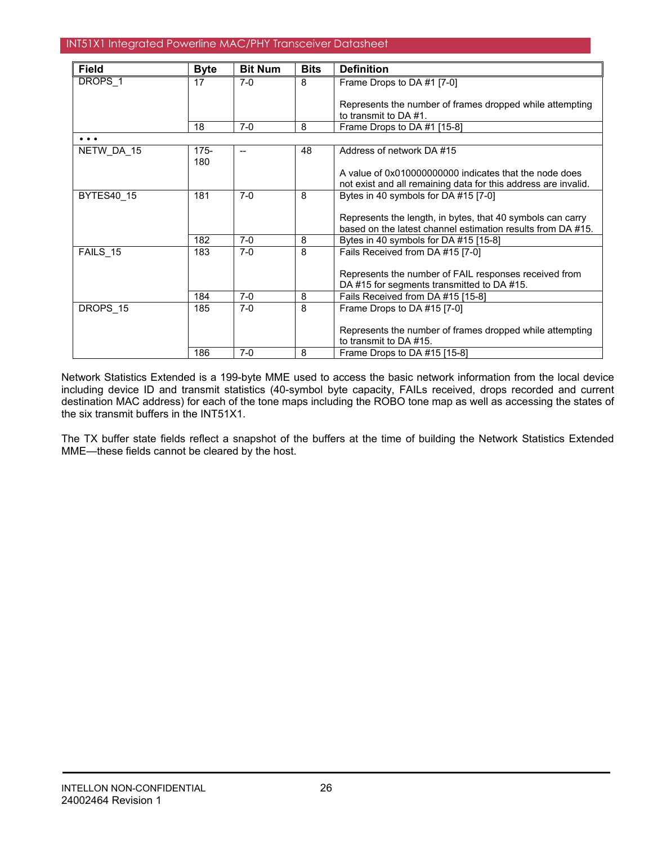| <b>Field</b>        | <b>Byte</b>    | <b>Bit Num</b> | <b>Bits</b> | <b>Definition</b>                                                                                                         |
|---------------------|----------------|----------------|-------------|---------------------------------------------------------------------------------------------------------------------------|
| DROPS <sub>1</sub>  | 17             | $7-0$          | 8           | Frame Drops to DA #1 [7-0]                                                                                                |
|                     |                |                |             | Represents the number of frames dropped while attempting<br>to transmit to DA #1.                                         |
|                     | 18             | $7-0$          | 8           | Frame Drops to DA #1 [15-8]                                                                                               |
| $\bullet$ $\bullet$ |                |                |             |                                                                                                                           |
| NETW DA 15          | $175 -$<br>180 | $- -$          | 48          | Address of network DA #15                                                                                                 |
|                     |                |                |             | A value of 0x010000000000 indicates that the node does<br>not exist and all remaining data for this address are invalid.  |
| <b>BYTES40 15</b>   | 181            | $7-0$          | 8           | Bytes in 40 symbols for DA #15 [7-0]                                                                                      |
|                     |                |                |             | Represents the length, in bytes, that 40 symbols can carry<br>based on the latest channel estimation results from DA #15. |
|                     | 182            | $7-0$          | 8           | Bytes in 40 symbols for DA #15 [15-8]                                                                                     |
| FAILS 15            | 183            | $7-0$          | 8           | Fails Received from DA #15 [7-0]                                                                                          |
|                     |                |                |             | Represents the number of FAIL responses received from<br>DA #15 for segments transmitted to DA #15.                       |
|                     | 184            | $7-0$          | 8           | Fails Received from DA #15 [15-8]                                                                                         |
| DROPS 15            | 185            | $7-0$          | 8           | Frame Drops to DA #15 [7-0]                                                                                               |
|                     |                |                |             | Represents the number of frames dropped while attempting<br>to transmit to DA #15.                                        |
|                     | 186            | $7-0$          | 8           | Frame Drops to DA #15 [15-8]                                                                                              |

Network Statistics Extended is a 199-byte MME used to access the basic network information from the local device including device ID and transmit statistics (40-symbol byte capacity, FAILs received, drops recorded and current destination MAC address) for each of the tone maps including the ROBO tone map as well as accessing the states of the six transmit buffers in the INT51X1.

The TX buffer state fields reflect a snapshot of the buffers at the time of building the Network Statistics Extended MME—these fields cannot be cleared by the host.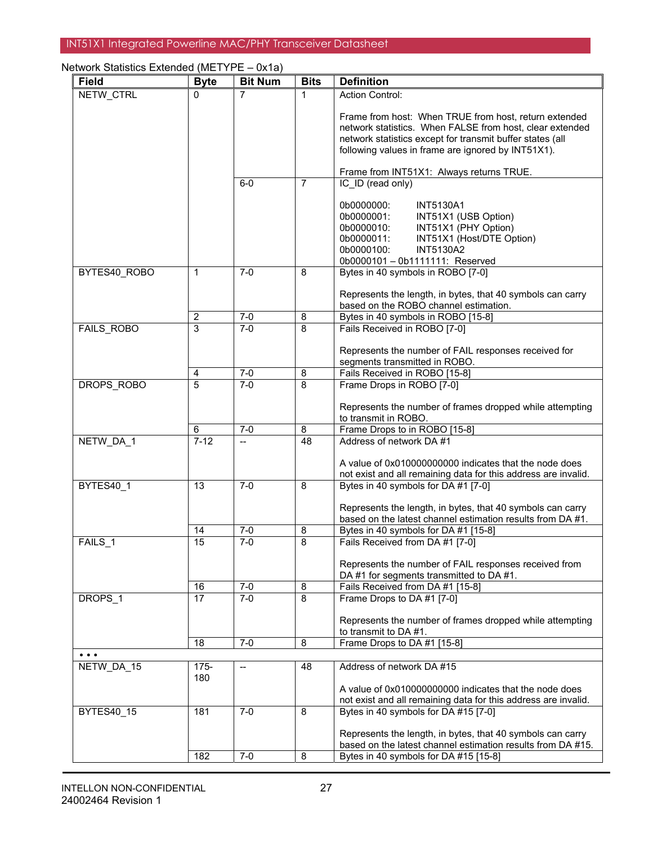| <b>Field</b>                                                                | <b>Byte</b>      | <b>Bit Num</b> | <b>Bits</b>                  | <b>Definition</b>                                                                                                                                                                                                                    |
|-----------------------------------------------------------------------------|------------------|----------------|------------------------------|--------------------------------------------------------------------------------------------------------------------------------------------------------------------------------------------------------------------------------------|
| NETW_CTRL                                                                   | 0                | 7              | 1                            | <b>Action Control:</b>                                                                                                                                                                                                               |
|                                                                             |                  |                |                              | Frame from host: When TRUE from host, return extended<br>network statistics. When FALSE from host, clear extended<br>network statistics except for transmit buffer states (all<br>following values in frame are ignored by INT51X1). |
|                                                                             |                  |                |                              | Frame from INT51X1: Always returns TRUE.                                                                                                                                                                                             |
|                                                                             |                  | $6-0$          | $\overline{7}$               | IC ID (read only)                                                                                                                                                                                                                    |
|                                                                             |                  |                |                              | 0b0000000:<br><b>INT5130A1</b><br>0b0000001:<br>INT51X1 (USB Option)<br>INT51X1 (PHY Option)<br>0b0000010:<br>INT51X1 (Host/DTE Option)<br>0b0000011:<br><b>INT5130A2</b><br>0b0000100:<br>0b0000101-0b1111111: Reserved             |
| BYTES40 ROBO                                                                | $\mathbf{1}$     | $7 - 0$        | $\overline{8}$               | Bytes in 40 symbols in ROBO [7-0]                                                                                                                                                                                                    |
|                                                                             |                  |                |                              | Represents the length, in bytes, that 40 symbols can carry<br>based on the ROBO channel estimation.                                                                                                                                  |
|                                                                             | $\boldsymbol{2}$ | $7-0$          | 8                            | Bytes in 40 symbols in ROBO [15-8]                                                                                                                                                                                                   |
| FAILS_ROBO                                                                  | 3                | $7-0$          | 8                            | Fails Received in ROBO [7-0]                                                                                                                                                                                                         |
|                                                                             |                  |                |                              | Represents the number of FAIL responses received for<br>segments transmitted in ROBO.                                                                                                                                                |
|                                                                             | $\frac{4}{5}$    | $7-0$          | 8                            | Fails Received in ROBO [15-8]                                                                                                                                                                                                        |
| <b>DROPS ROBO</b>                                                           |                  | $7 - 0$        | 8                            | Frame Drops in ROBO [7-0]                                                                                                                                                                                                            |
|                                                                             |                  |                |                              | Represents the number of frames dropped while attempting<br>to transmit in ROBO.                                                                                                                                                     |
|                                                                             | 6                | $7 - 0$        | 8                            | Frame Drops to in ROBO [15-8]                                                                                                                                                                                                        |
| NETW DA 1                                                                   | $7 - 12$         | $\overline{a}$ | $\overline{48}$              | Address of network DA #1<br>A value of 0x010000000000 indicates that the node does                                                                                                                                                   |
|                                                                             |                  |                |                              | not exist and all remaining data for this address are invalid.                                                                                                                                                                       |
| BYTES40 1                                                                   | 13               | $7-0$          | 8                            | Bytes in 40 symbols for DA #1 [7-0]<br>Represents the length, in bytes, that 40 symbols can carry                                                                                                                                    |
|                                                                             |                  |                |                              | based on the latest channel estimation results from DA #1.                                                                                                                                                                           |
| FAILS <sub>1</sub>                                                          | 14<br>15         | $7-0$<br>$7-0$ | $\overline{\mathbf{8}}$<br>8 | Bytes in 40 symbols for DA #1 [15-8]<br>Fails Received from DA #1 [7-0]                                                                                                                                                              |
|                                                                             |                  |                |                              | Represents the number of FAIL responses received from<br>DA #1 for segments transmitted to DA #1.                                                                                                                                    |
|                                                                             | 16               | $7-0$          | 8                            | Fails Received from DA #1 [15-8]                                                                                                                                                                                                     |
| DROPS_1                                                                     | 17               | $7 - 0$        | 8                            | Frame Drops to DA #1 [7-0]                                                                                                                                                                                                           |
|                                                                             |                  |                |                              | Represents the number of frames dropped while attempting<br>to transmit to DA #1.                                                                                                                                                    |
|                                                                             | 18               | $7-0$          | $\overline{\mathbf{8}}$      | Frame Drops to DA #1 [15-8]                                                                                                                                                                                                          |
| $\bullet\hspace{0.1cm} \bullet\hspace{0.1cm} \bullet\hspace{0.1cm} \bullet$ |                  |                |                              |                                                                                                                                                                                                                                      |
| NETW_DA_15                                                                  | $175 -$<br>180   | $\overline{a}$ | 48                           | Address of network DA #15                                                                                                                                                                                                            |
|                                                                             |                  |                |                              | A value of 0x010000000000 indicates that the node does<br>not exist and all remaining data for this address are invalid.                                                                                                             |
| <b>BYTES40 15</b>                                                           | 181              | $7-0$          | 8                            | Bytes in 40 symbols for DA #15 [7-0]                                                                                                                                                                                                 |
|                                                                             |                  |                |                              | Represents the length, in bytes, that 40 symbols can carry<br>based on the latest channel estimation results from DA #15.                                                                                                            |
|                                                                             | 182              | $7 - 0$        | 8                            | Bytes in 40 symbols for DA #15 [15-8]                                                                                                                                                                                                |

## Network Statistics Extended (METYPE – 0x1a)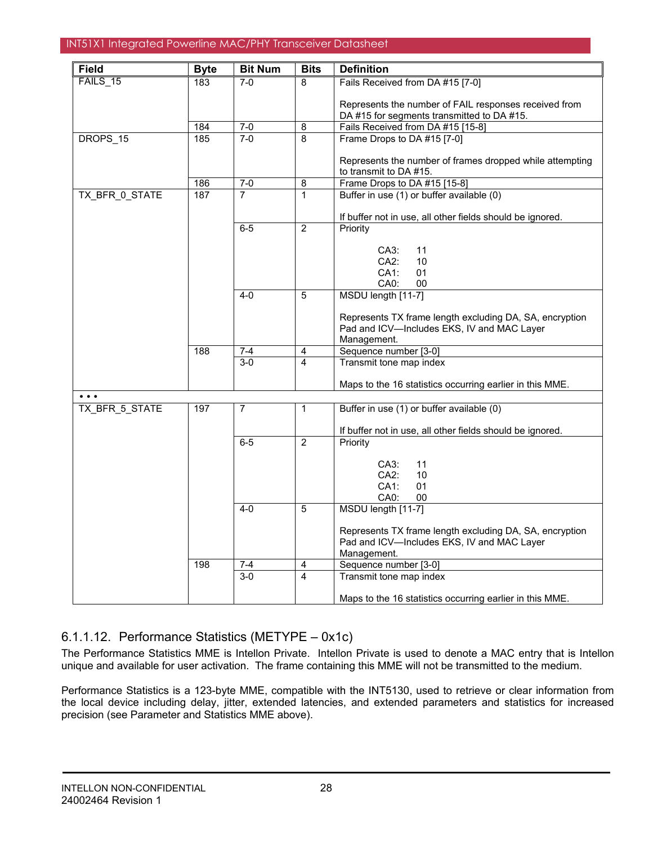| <b>Field</b>            | <b>Byte</b> | <b>Bit Num</b> | <b>Bits</b>             | <b>Definition</b>                                                                                                    |
|-------------------------|-------------|----------------|-------------------------|----------------------------------------------------------------------------------------------------------------------|
| FAILS 15                | 183         | $7-0$          | 8                       | Fails Received from DA #15 [7-0]                                                                                     |
|                         |             |                |                         | Represents the number of FAIL responses received from<br>DA #15 for segments transmitted to DA #15.                  |
|                         | 184         | $7 - 0$        | 8                       | Fails Received from DA #15 [15-8]                                                                                    |
| DROPS 15                | 185         | $7 - 0$        | 8                       | Frame Drops to DA #15 [7-0]                                                                                          |
|                         |             |                |                         | Represents the number of frames dropped while attempting<br>to transmit to DA #15.                                   |
|                         | 186         | $7 - 0$        | $\bf 8$                 | Frame Drops to DA #15 [15-8]                                                                                         |
| TX_BFR_0_STATE          | 187         | $\overline{7}$ | $\mathbf{1}$            | Buffer in use (1) or buffer available (0)                                                                            |
|                         |             |                |                         | If buffer not in use, all other fields should be ignored.                                                            |
|                         |             | $6-5$          | $\overline{2}$          | Priority                                                                                                             |
|                         |             |                |                         | C A3:<br>11                                                                                                          |
|                         |             |                |                         | CA2:<br>10                                                                                                           |
|                         |             |                |                         | CA1:<br>01                                                                                                           |
|                         |             |                |                         | CA0:<br>00                                                                                                           |
|                         |             | $4 - 0$        | 5                       | MSDU length [11-7]                                                                                                   |
|                         |             |                |                         | Represents TX frame length excluding DA, SA, encryption<br>Pad and ICV-Includes EKS, IV and MAC Layer<br>Management. |
|                         | 188         | $7 - 4$        | 4                       | Sequence number [3-0]                                                                                                |
|                         |             | $3-0$          | $\overline{\mathbf{4}}$ | Transmit tone map index                                                                                              |
|                         |             |                |                         |                                                                                                                      |
|                         |             |                |                         | Maps to the 16 statistics occurring earlier in this MME.                                                             |
| $\bullet\bullet\bullet$ |             |                |                         |                                                                                                                      |
| TX BFR 5 STATE          | 197         | $\overline{7}$ | 1                       | Buffer in use (1) or buffer available (0)                                                                            |
|                         |             |                |                         | If buffer not in use, all other fields should be ignored.                                                            |
|                         |             | $6-5$          | $\overline{2}$          | Priority                                                                                                             |
|                         |             |                |                         | 11<br>CA3:                                                                                                           |
|                         |             |                |                         | $CA2$ :<br>10                                                                                                        |
|                         |             |                |                         | $CA1$ :<br>01                                                                                                        |
|                         |             |                |                         | CA <sub>0</sub> :<br>00                                                                                              |
|                         |             | $4-0$          | 5                       | MSDU length [11-7]                                                                                                   |
|                         |             |                |                         | Represents TX frame length excluding DA, SA, encryption                                                              |
|                         |             |                |                         | Pad and ICV-Includes EKS, IV and MAC Layer                                                                           |
|                         |             |                |                         | Management.                                                                                                          |
|                         | 198         | $7 - 4$        | 4                       | Sequence number [3-0]                                                                                                |
|                         |             | $3 - 0$        | 4                       | Transmit tone map index                                                                                              |
|                         |             |                |                         | Maps to the 16 statistics occurring earlier in this MME.                                                             |

# 6.1.1.12. Performance Statistics (METYPE – 0x1c)

The Performance Statistics MME is Intellon Private. Intellon Private is used to denote a MAC entry that is Intellon unique and available for user activation. The frame containing this MME will not be transmitted to the medium.

Performance Statistics is a 123-byte MME, compatible with the INT5130, used to retrieve or clear information from the local device including delay, jitter, extended latencies, and extended parameters and statistics for increased precision (see Parameter and Statistics MME above).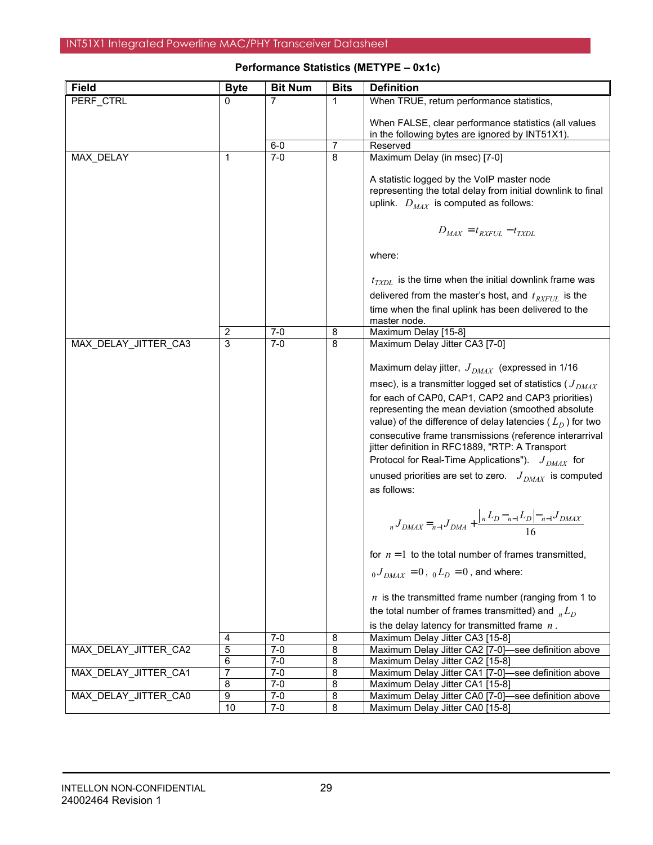| <b>Field</b>         | <b>Byte</b>             | <b>Bit Num</b>     | <b>Bits</b> | <b>Definition</b>                                                                      |
|----------------------|-------------------------|--------------------|-------------|----------------------------------------------------------------------------------------|
| PERF CTRL            | 0                       | 7                  | 1           | When TRUE, return performance statistics,                                              |
|                      |                         |                    |             |                                                                                        |
|                      |                         |                    |             | When FALSE, clear performance statistics (all values                                   |
|                      |                         | $6-0$              | 7           | in the following bytes are ignored by INT51X1).<br>Reserved                            |
| MAX_DELAY            | $\mathbf 1$             | $7-0$              | 8           | Maximum Delay (in msec) [7-0]                                                          |
|                      |                         |                    |             |                                                                                        |
|                      |                         |                    |             | A statistic logged by the VoIP master node                                             |
|                      |                         |                    |             | representing the total delay from initial downlink to final                            |
|                      |                         |                    |             | uplink. $D_{MAX}$ is computed as follows:                                              |
|                      |                         |                    |             |                                                                                        |
|                      |                         |                    |             | $D_{MAX} = t_{RXFUL} - t_{TXDL}$                                                       |
|                      |                         |                    |             |                                                                                        |
|                      |                         |                    |             | where:                                                                                 |
|                      |                         |                    |             |                                                                                        |
|                      |                         |                    |             | $t_{TXDL}$ is the time when the initial downlink frame was                             |
|                      |                         |                    |             | delivered from the master's host, and $t_{RXFUL}$ is the                               |
|                      |                         |                    |             | time when the final uplink has been delivered to the                                   |
|                      |                         |                    |             | master node.                                                                           |
|                      | $\overline{\mathbf{c}}$ | $7 - 0$            | 8           | Maximum Delay [15-8]                                                                   |
| MAX_DELAY_JITTER_CA3 | 3                       | $7-0$              | 8           | Maximum Delay Jitter CA3 [7-0]                                                         |
|                      |                         |                    |             | Maximum delay jitter, $J_{DMAX}$ (expressed in 1/16                                    |
|                      |                         |                    |             | msec), is a transmitter logged set of statistics ( $J_{DMAX}$                          |
|                      |                         |                    |             | for each of CAP0, CAP1, CAP2 and CAP3 priorities)                                      |
|                      |                         |                    |             | representing the mean deviation (smoothed absolute                                     |
|                      |                         |                    |             | value) of the difference of delay latencies ( $L_D$ ) for two                          |
|                      |                         |                    |             | consecutive frame transmissions (reference interarrival                                |
|                      |                         |                    |             | jitter definition in RFC1889, "RTP: A Transport                                        |
|                      |                         |                    |             | Protocol for Real-Time Applications"). $J_{DMAX}$ for                                  |
|                      |                         |                    |             | unused priorities are set to zero. $J_{DMAX}$ is computed                              |
|                      |                         |                    |             | as follows:                                                                            |
|                      |                         |                    |             |                                                                                        |
|                      |                         |                    |             |                                                                                        |
|                      |                         |                    |             | $_{n}J_{DMAX} =_{n-1}J_{DMA} + \frac{ _{n}L_{D}-_{n-1}L_{D} _{n-1}J_{DMAX}}{16}$       |
|                      |                         |                    |             |                                                                                        |
|                      |                         |                    |             | for $n = 1$ to the total number of frames transmitted,                                 |
|                      |                         |                    |             | $_{0}J_{DMAX} = 0$ , $_{0}L_{D} = 0$ , and where:                                      |
|                      |                         |                    |             | $n$ is the transmitted frame number (ranging from 1 to                                 |
|                      |                         |                    |             | the total number of frames transmitted) and $_{n}L_{D}$                                |
|                      |                         |                    |             | is the delay latency for transmitted frame $n$ .                                       |
|                      | 4                       | $7-0$              | 8           | Maximum Delay Jitter CA3 [15-8]                                                        |
| MAX_DELAY_JITTER_CA2 | 5                       | $7 - 0$            | 8           | Maximum Delay Jitter CA2 [7-0]-see definition above                                    |
|                      | 6                       | $7-0$              | 8           | Maximum Delay Jitter CA2 [15-8]                                                        |
| MAX_DELAY_JITTER_CA1 | 7                       | $7-0$              | 8           | Maximum Delay Jitter CA1 [7-0]-see definition above                                    |
| MAX_DELAY_JITTER_CA0 | 8                       | $7 - 0$<br>$7 - 0$ | 8           | Maximum Delay Jitter CA1 [15-8]<br>Maximum Delay Jitter CA0 [7-0]-see definition above |
|                      | 9<br>10                 | $7-0$              | 8<br>8      | Maximum Delay Jitter CA0 [15-8]                                                        |
|                      |                         |                    |             |                                                                                        |

## **Performance Statistics (METYPE – 0x1c)**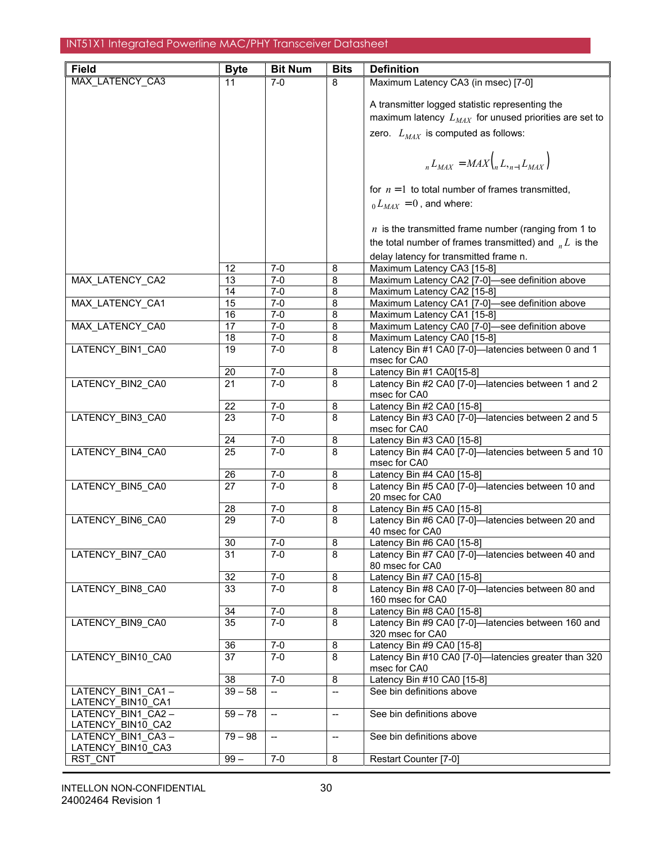| <b>Field</b>                           | <b>Byte</b>     | <b>Bit Num</b>           | <b>Bits</b>             | <b>Definition</b>                                                      |
|----------------------------------------|-----------------|--------------------------|-------------------------|------------------------------------------------------------------------|
| MAX_LATENCY_CA3                        | 11              | $7-0$                    | 8                       | Maximum Latency CA3 (in msec) [7-0]                                    |
|                                        |                 |                          |                         |                                                                        |
|                                        |                 |                          |                         | A transmitter logged statistic representing the                        |
|                                        |                 |                          |                         | maximum latency $L_{MAX}$ for unused priorities are set to             |
|                                        |                 |                          |                         | zero. $L_{MAX}$ is computed as follows:                                |
|                                        |                 |                          |                         | $_{n}L_{MAX} = MAX_{n} (L_{n-1}L_{MAX})$                               |
|                                        |                 |                          |                         | for $n=1$ to total number of frames transmitted,                       |
|                                        |                 |                          |                         | $_0L_{MAX} = 0$ , and where:                                           |
|                                        |                 |                          |                         | $n$ is the transmitted frame number (ranging from 1 to                 |
|                                        |                 |                          |                         | the total number of frames transmitted) and $L_{n}L$ is the            |
|                                        |                 |                          |                         | delay latency for transmitted frame n.                                 |
|                                        | 12              | 7-0                      | 8                       | Maximum Latency CA3 [15-8]                                             |
| MAX LATENCY CA2                        | 13              | $7 - 0$                  | 8                       | Maximum Latency CA2 [7-0]-see definition above                         |
|                                        | 14              | $7-0$                    | 8                       | Maximum Latency CA2 [15-8]                                             |
| MAX LATENCY CA1                        | $\overline{15}$ | $7-0$                    | 8                       | Maximum Latency CA1 [7-0]-see definition above                         |
|                                        | 16              | $7-0$                    | 8                       | Maximum Latency CA1 [15-8]                                             |
| MAX LATENCY CA0                        | 17              | $7 - 0$                  | 8                       | Maximum Latency CA0 [7-0]-see definition above                         |
| <b>LATENCY BIN1 CA0</b>                | 18              | $7-0$<br>$7-0$           | 8                       | Maximum Latency CA0 [15-8]                                             |
|                                        | 19              |                          | 8                       | Latency Bin #1 CA0 [7-0]-latencies between 0 and 1<br>msec for CA0     |
|                                        | 20              | $7-0$                    | 8                       | Latency Bin #1 CA0[15-8]                                               |
| LATENCY_BIN2_CA0                       | 21              | $7-0$                    | 8                       | Latency Bin #2 CA0 [7-0]-latencies between 1 and 2<br>msec for CA0     |
|                                        | 22              | $7-0$                    | 8                       | Latency Bin #2 CA0 [15-8]                                              |
| LATENCY_BIN3_CA0                       | $\overline{23}$ | $7-0$                    | 8                       | Latency Bin #3 CA0 [7-0]-latencies between 2 and 5                     |
|                                        |                 |                          |                         | msec for CA0                                                           |
|                                        | 24              | $7-0$                    | 8                       | Latency Bin #3 CA0 [15-8]                                              |
| LATENCY_BIN4_CA0                       | $\overline{25}$ | $7-0$                    | 8                       | Latency Bin #4 CA0 [7-0]-latencies between 5 and 10<br>msec for CA0    |
|                                        | 26              | $7-0$                    | 8                       | Latency Bin #4 CA0 [15-8]                                              |
| LATENCY_BIN5_CA0                       | 27              | $7-0$                    | 8                       | Latency Bin #5 CA0 [7-0]-latencies between 10 and<br>20 msec for CA0   |
|                                        | 28              | $7 - 0$                  | 8                       | Latency Bin #5 CA0 [15-8]                                              |
| <b>LATENCY BIN6 CA0</b>                | 29              | $7-0$                    | 8                       | Latency Bin #6 CA0 [7-0]-latencies between 20 and<br>40 msec for CA0   |
|                                        | 30              | 7-0                      | 8                       | Latency Bin #6 CA0 $[15-8]$                                            |
| LATENCY BIN7 CA0                       | 31              | $7-0$                    | 8                       | Latency Bin #7 CA0 [7-0]-latencies between 40 and<br>80 msec for CA0   |
|                                        | 32              | $7 - 0$                  | $\bf 8$                 | Latency Bin #7 CA0 [15-8]                                              |
| LATENCY_BIN8_CA0                       | 33              | $7-0$                    | 8                       | Latency Bin #8 CA0 [7-0]-latencies between 80 and<br>160 msec for CA0  |
|                                        | 34              | $7 - 0$                  | 8                       | Latency Bin #8 CA0 [15-8]                                              |
| LATENCY BIN9 CA0                       | 35              | $7-0$                    | 8                       | Latency Bin #9 CA0 [7-0]-latencies between 160 and<br>320 msec for CA0 |
|                                        | 36              | 7-0                      | 8                       | Latency Bin #9 CA0 [15-8]                                              |
| LATENCY BIN10 CA0                      | $\overline{37}$ | $7-0$                    | 8                       | Latency Bin #10 CA0 [7-0]-latencies greater than 320<br>msec for CA0   |
|                                        | 38              | $7-0$                    | $\overline{\mathbf{8}}$ | Latency Bin #10 CA0 [15-8]                                             |
| LATENCY BIN1 CA1-<br>LATENCY_BIN10_CA1 | $39 - 58$       | $\overline{a}$           | --                      | See bin definitions above                                              |
| LATENCY BIN1 CA2-<br>LATENCY_BIN10_CA2 | $59 - 78$       | --                       | --                      | See bin definitions above                                              |
| LATENCY BIN1 CA3-                      | $79 - 98$       | $\overline{\phantom{a}}$ | $- -$                   | See bin definitions above                                              |
| LATENCY_BIN10_CA3                      |                 |                          |                         |                                                                        |
| RST CNT                                | $99 -$          | $7-0$                    | 8                       | Restart Counter [7-0]                                                  |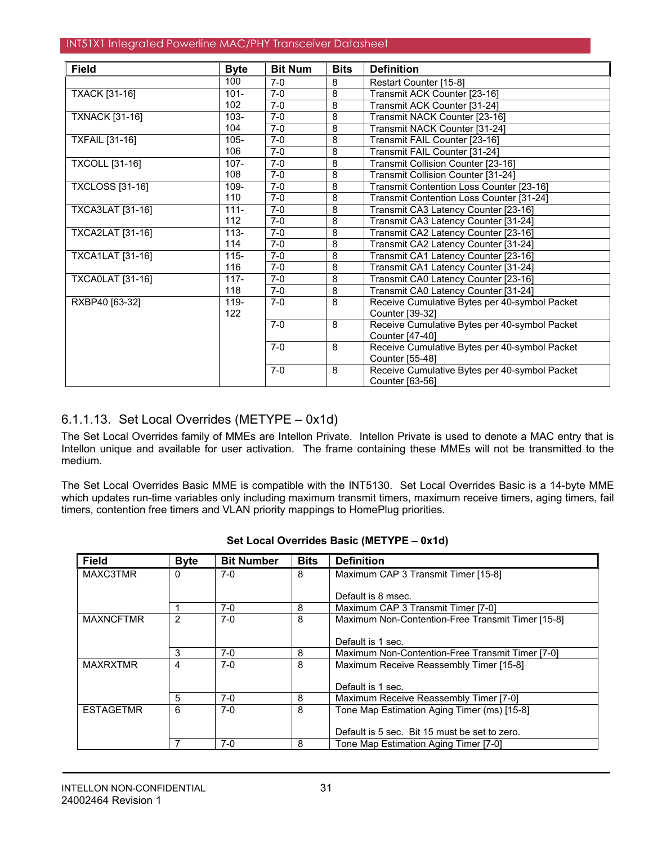| <b>Field</b>            | <b>Byte</b> | <b>Bit Num</b> | <b>Bits</b>    | <b>Definition</b>                             |
|-------------------------|-------------|----------------|----------------|-----------------------------------------------|
|                         | 100         | $7-0$          | 8              | Restart Counter [15-8]                        |
| <b>TXACK [31-16]</b>    | $101 -$     | $7-0$          | $\overline{8}$ | Transmit ACK Counter [23-16]                  |
|                         | 102         | $7-0$          | 8              | Transmit ACK Counter [31-24]                  |
| <b>TXNACK [31-16]</b>   | $103 -$     | $7-0$          | 8              | Transmit NACK Counter [23-16]                 |
|                         | 104         | $7-0$          | 8              | Transmit NACK Counter [31-24]                 |
| <b>TXFAIL [31-16]</b>   | $105 -$     | $7 - 0$        | 8              | Transmit FAIL Counter [23-16]                 |
|                         | 106         | $7-0$          | 8              | Transmit FAIL Counter [31-24]                 |
| <b>TXCOLL [31-16]</b>   | $107 -$     | $7-0$          | 8              | Transmit Collision Counter [23-16]            |
|                         | 108         | $7-0$          | 8              | Transmit Collision Counter [31-24]            |
| <b>TXCLOSS</b> [31-16]  | 109-        | $7-0$          | 8              | Transmit Contention Loss Counter [23-16]      |
|                         | 110         | $7-0$          | 8              | Transmit Contention Loss Counter [31-24]      |
| TXCA3LAT [31-16]        | $111 -$     | $7-0$          | 8              | Transmit CA3 Latency Counter [23-16]          |
|                         | 112         | $7-0$          | 8              | Transmit CA3 Latency Counter [31-24]          |
| <b>TXCA2LAT [31-16]</b> | $113 -$     | $7-0$          | 8              | Transmit CA2 Latency Counter [23-16]          |
|                         | 114         | $7-0$          | 8              | Transmit CA2 Latency Counter [31-24]          |
| TXCA1LAT [31-16]        | $115 -$     | $7-0$          | 8              | Transmit CA1 Latency Counter [23-16]          |
|                         | 116         | $7-0$          | 8              | Transmit CA1 Latency Counter [31-24]          |
| <b>TXCA0LAT [31-16]</b> | $117 -$     | $7-0$          | 8              | Transmit CA0 Latency Counter [23-16]          |
|                         | 118         | $7-0$          | 8              | Transmit CA0 Latency Counter [31-24]          |
| RXBP40 [63-32]          | $119 -$     | $7-0$          | 8              | Receive Cumulative Bytes per 40-symbol Packet |
|                         | 122         |                |                | Counter [39-32]                               |
|                         |             | $7-0$          | 8              | Receive Cumulative Bytes per 40-symbol Packet |
|                         |             |                |                | Counter [47-40]                               |
|                         |             | $7-0$          | 8              | Receive Cumulative Bytes per 40-symbol Packet |
|                         |             |                |                | Counter [55-48]                               |
|                         |             | $7-0$          | 8              | Receive Cumulative Bytes per 40-symbol Packet |
|                         |             |                |                | Counter [63-56]                               |

# 6.1.1.13. Set Local Overrides (METYPE – 0x1d)

The Set Local Overrides family of MMEs are Intellon Private. Intellon Private is used to denote a MAC entry that is Intellon unique and available for user activation. The frame containing these MMEs will not be transmitted to the medium.

The Set Local Overrides Basic MME is compatible with the INT5130. Set Local Overrides Basic is a 14-byte MME which updates run-time variables only including maximum transmit timers, maximum receive timers, aging timers, fail timers, contention free timers and VLAN priority mappings to HomePlug priorities.

| <b>Field</b>     | <b>Byte</b> | <b>Bit Number</b> | <b>Bits</b> | <b>Definition</b>                                 |
|------------------|-------------|-------------------|-------------|---------------------------------------------------|
| MAXC3TMR         | 0           | $7-0$             | 8           | Maximum CAP 3 Transmit Timer [15-8]               |
|                  |             |                   |             |                                                   |
|                  |             |                   |             | Default is 8 msec.                                |
|                  |             | 7-0               | 8           | Maximum CAP 3 Transmit Timer [7-0]                |
| <b>MAXNCFTMR</b> | 2           | $7-0$             | 8           | Maximum Non-Contention-Free Transmit Timer [15-8] |
|                  |             |                   |             |                                                   |
|                  |             |                   |             | Default is 1 sec.                                 |
|                  | 3           | $7-0$             | 8           | Maximum Non-Contention-Free Transmit Timer [7-0]  |
| MAXRXTMR         | 4           | $7-0$             | 8           | Maximum Receive Reassembly Timer [15-8]           |
|                  |             |                   |             |                                                   |
|                  |             |                   |             | Default is 1 sec.                                 |
|                  | 5           | $7-0$             | 8           | Maximum Receive Reassembly Timer [7-0]            |
| <b>ESTAGETMR</b> | 6           | $7-0$             | 8           | Tone Map Estimation Aging Timer (ms) [15-8]       |
|                  |             |                   |             |                                                   |
|                  |             |                   |             | Default is 5 sec. Bit 15 must be set to zero.     |
|                  |             | $7-0$             | 8           | Tone Map Estimation Aging Timer [7-0]             |

| Set Local Overrides Basic (METYPE - 0x1d) |  |
|-------------------------------------------|--|
|-------------------------------------------|--|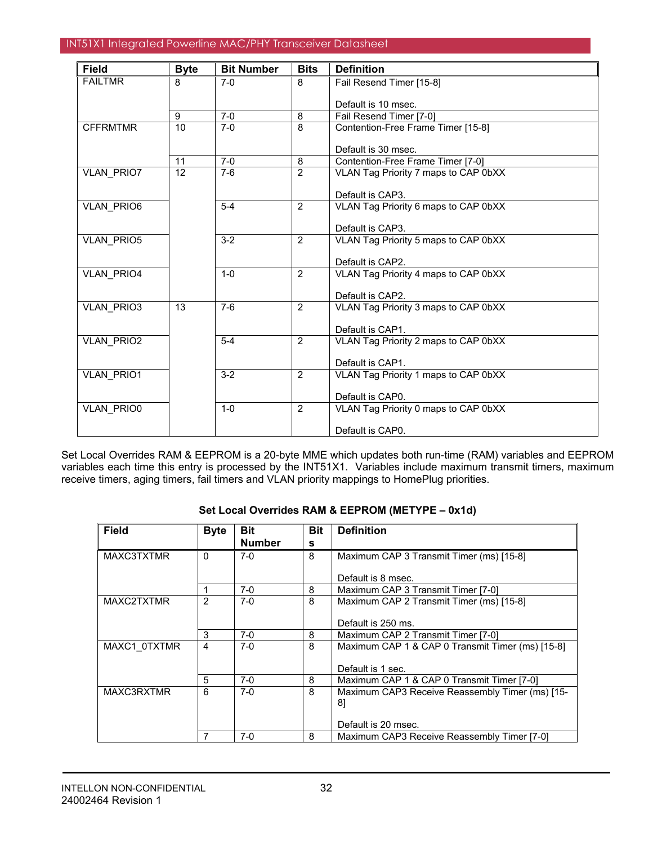| <b>Field</b>      | <b>Byte</b>     | <b>Bit Number</b> | <b>Bits</b>    | <b>Definition</b>                    |
|-------------------|-----------------|-------------------|----------------|--------------------------------------|
| <b>FAILTMR</b>    | 8               | $7-0$             | 8              | Fail Resend Timer [15-8]             |
|                   |                 |                   |                | Default is 10 msec.                  |
|                   | 9               | $7-0$             | 8              | Fail Resend Timer [7-0]              |
| <b>CFFRMTMR</b>   | $\overline{10}$ | $7-0$             | 8              | Contention-Free Frame Timer [15-8]   |
|                   |                 |                   |                |                                      |
|                   |                 |                   |                | Default is 30 msec.                  |
|                   | 11              | $7-0$             | 8              | Contention-Free Frame Timer [7-0]    |
| <b>VLAN PRIO7</b> | 12              | $7-6$             | $\overline{2}$ | VLAN Tag Priority 7 maps to CAP 0bXX |
|                   |                 |                   |                |                                      |
|                   |                 |                   |                | Default is CAP3.                     |
| VLAN_PRIO6        |                 | $5-4$             | $\overline{2}$ | VLAN Tag Priority 6 maps to CAP 0bXX |
|                   |                 |                   |                | Default is CAP3.                     |
| <b>VLAN PRIO5</b> |                 | $3-2$             | 2              | VLAN Tag Priority 5 maps to CAP 0bXX |
|                   |                 |                   |                |                                      |
|                   |                 |                   |                | Default is CAP2.                     |
| VLAN_PRIO4        |                 | $1 - 0$           | 2              | VLAN Tag Priority 4 maps to CAP 0bXX |
|                   |                 |                   |                |                                      |
|                   |                 |                   |                | Default is CAP2.                     |
| <b>VLAN PRIO3</b> | 13              | $7-6$             | 2              | VLAN Tag Priority 3 maps to CAP 0bXX |
|                   |                 |                   |                | Default is CAP1.                     |
| <b>VLAN PRIO2</b> |                 | $5-4$             | 2              | VLAN Tag Priority 2 maps to CAP 0bXX |
|                   |                 |                   |                |                                      |
|                   |                 |                   |                | Default is CAP1.                     |
| VLAN_PRIO1        |                 | $3-2$             | 2              | VLAN Tag Priority 1 maps to CAP 0bXX |
|                   |                 |                   |                |                                      |
|                   |                 |                   |                | Default is CAP0.                     |
| <b>VLAN PRIO0</b> |                 | $1 - 0$           | 2              | VLAN Tag Priority 0 maps to CAP 0bXX |
|                   |                 |                   |                | Default is CAP0.                     |
|                   |                 |                   |                |                                      |

Set Local Overrides RAM & EEPROM is a 20-byte MME which updates both run-time (RAM) variables and EEPROM variables each time this entry is processed by the INT51X1. Variables include maximum transmit timers, maximum receive timers, aging timers, fail timers and VLAN priority mappings to HomePlug priorities.

## **Set Local Overrides RAM & EEPROM (METYPE – 0x1d)**

| <b>Field</b> | <b>Byte</b>  | <b>Bit</b>    | <b>Bit</b> | <b>Definition</b>                                |
|--------------|--------------|---------------|------------|--------------------------------------------------|
|              |              | <b>Number</b> | s          |                                                  |
| MAXC3TXTMR   | $\Omega$     | $7-0$         | 8          | Maximum CAP 3 Transmit Timer (ms) [15-8]         |
|              |              |               |            | Default is 8 msec.                               |
|              |              | $7-0$         | 8          | Maximum CAP 3 Transmit Timer [7-0]               |
| MAXC2TXTMR   | $\mathbf{2}$ | $7-0$         | 8          | Maximum CAP 2 Transmit Timer (ms) [15-8]         |
|              |              |               |            | Default is 250 ms.                               |
|              | 3            | $7-0$         | 8          | Maximum CAP 2 Transmit Timer [7-0]               |
| MAXC1 0TXTMR | 4            | $7-0$         | 8          | Maximum CAP 1 & CAP 0 Transmit Timer (ms) [15-8] |
|              |              |               |            | Default is 1 sec.                                |
|              | 5            | $7-0$         | 8          | Maximum CAP 1 & CAP 0 Transmit Timer [7-0]       |
| MAXC3RXTMR   | 6            | $7-0$         | 8          | Maximum CAP3 Receive Reassembly Timer (ms) [15-  |
|              |              |               |            | 81                                               |
|              |              |               |            | Default is 20 msec.                              |
|              |              | $7-0$         | 8          | Maximum CAP3 Receive Reassembly Timer [7-0]      |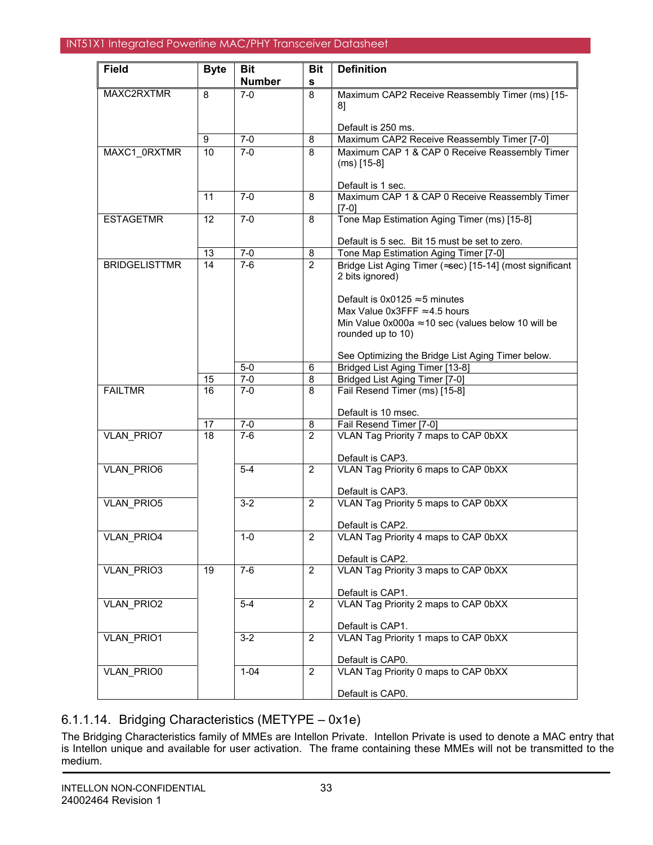| <b>Field</b>         | <b>Byte</b>     | <b>Bit</b>     | <b>Bit</b>     | <b>Definition</b>                                                               |
|----------------------|-----------------|----------------|----------------|---------------------------------------------------------------------------------|
|                      |                 | <b>Number</b>  | $\mathbf s$    |                                                                                 |
| MAXC2RXTMR           | 8               | $7-0$          | 8              | Maximum CAP2 Receive Reassembly Timer (ms) [15-                                 |
|                      |                 |                |                | 81                                                                              |
|                      |                 |                |                |                                                                                 |
|                      |                 |                |                | Default is 250 ms.                                                              |
|                      | 9<br>10         | $7-0$<br>$7-0$ | 8<br>8         | Maximum CAP2 Receive Reassembly Timer [7-0]                                     |
| MAXC1_0RXTMR         |                 |                |                | Maximum CAP 1 & CAP 0 Receive Reassembly Timer<br>$(ms)$ [15-8]                 |
|                      |                 |                |                |                                                                                 |
|                      |                 |                |                | Default is 1 sec.                                                               |
|                      | 11              | $7-0$          | 8              | Maximum CAP 1 & CAP 0 Receive Reassembly Timer                                  |
|                      |                 |                |                | $[7-0]$                                                                         |
| <b>ESTAGETMR</b>     | 12              | $7-0$          | 8              | Tone Map Estimation Aging Timer (ms) [15-8]                                     |
|                      |                 |                |                | Default is 5 sec. Bit 15 must be set to zero.                                   |
|                      | 13              | $7-0$          | 8              | Tone Map Estimation Aging Timer [7-0]                                           |
| <b>BRIDGELISTTMR</b> | 14              | $7-6$          | $\overline{2}$ | Bridge List Aging Timer (≈sec) [15-14] (most significant                        |
|                      |                 |                |                | 2 bits ignored)                                                                 |
|                      |                 |                |                |                                                                                 |
|                      |                 |                |                | Default is $0x0125 \approx 5$ minutes                                           |
|                      |                 |                |                | Max Value $0x3$ FFF $\approx$ 4.5 hours                                         |
|                      |                 |                |                | Min Value 0x000a $\approx$ 10 sec (values below 10 will be<br>rounded up to 10) |
|                      |                 |                |                |                                                                                 |
|                      |                 |                |                | See Optimizing the Bridge List Aging Timer below.                               |
|                      |                 | $5-0$          | 6              | Bridged List Aging Timer [13-8]                                                 |
|                      | 15              | $7 - 0$        | 8              | Bridged List Aging Timer [7-0]                                                  |
| <b>FAILTMR</b>       | $\overline{16}$ | $7-0$          | 8              | Fail Resend Timer (ms) [15-8]                                                   |
|                      |                 |                |                | Default is 10 msec.                                                             |
|                      | 17              | $7 - 0$        | 8              | Fail Resend Timer [7-0]                                                         |
| <b>VLAN PRIO7</b>    | 18              | $7-6$          | $\overline{2}$ | VLAN Tag Priority 7 maps to CAP 0bXX                                            |
|                      |                 |                |                |                                                                                 |
|                      |                 |                |                | Default is CAP3.                                                                |
| <b>VLAN PRIO6</b>    |                 | $5-4$          | $\overline{2}$ | VLAN Tag Priority 6 maps to CAP 0bXX                                            |
|                      |                 |                |                |                                                                                 |
| <b>VLAN PRIO5</b>    |                 | $3-2$          | 2              | Default is CAP3.<br>VLAN Tag Priority 5 maps to CAP 0bXX                        |
|                      |                 |                |                |                                                                                 |
|                      |                 |                |                | Default is CAP2.                                                                |
| VLAN_PRIO4           |                 | $1 - 0$        | $\overline{2}$ | VLAN Tag Priority 4 maps to CAP 0bXX                                            |
|                      |                 |                |                |                                                                                 |
| <b>VLAN PRIO3</b>    | 19              | $7-6$          | $\overline{2}$ | Default is CAP2.<br>VLAN Tag Priority 3 maps to CAP 0bXX                        |
|                      |                 |                |                |                                                                                 |
|                      |                 |                |                | Default is CAP1.                                                                |
| VLAN_PRIO2           |                 | $5 - 4$        | 2              | VLAN Tag Priority 2 maps to CAP 0bXX                                            |
|                      |                 |                |                |                                                                                 |
|                      |                 |                |                | Default is CAP1.                                                                |
| VLAN_PRIO1           |                 | $3 - 2$        | 2              | VLAN Tag Priority 1 maps to CAP 0bXX                                            |
|                      |                 |                |                | Default is CAP0.                                                                |
| VLAN_PRIO0           |                 | $1 - 04$       | $\overline{2}$ | VLAN Tag Priority 0 maps to CAP 0bXX                                            |
|                      |                 |                |                |                                                                                 |
|                      |                 |                |                | Default is CAP0.                                                                |

# 6.1.1.14. Bridging Characteristics (METYPE – 0x1e)

The Bridging Characteristics family of MMEs are Intellon Private. Intellon Private is used to denote a MAC entry that is Intellon unique and available for user activation. The frame containing these MMEs will not be transmitted to the medium.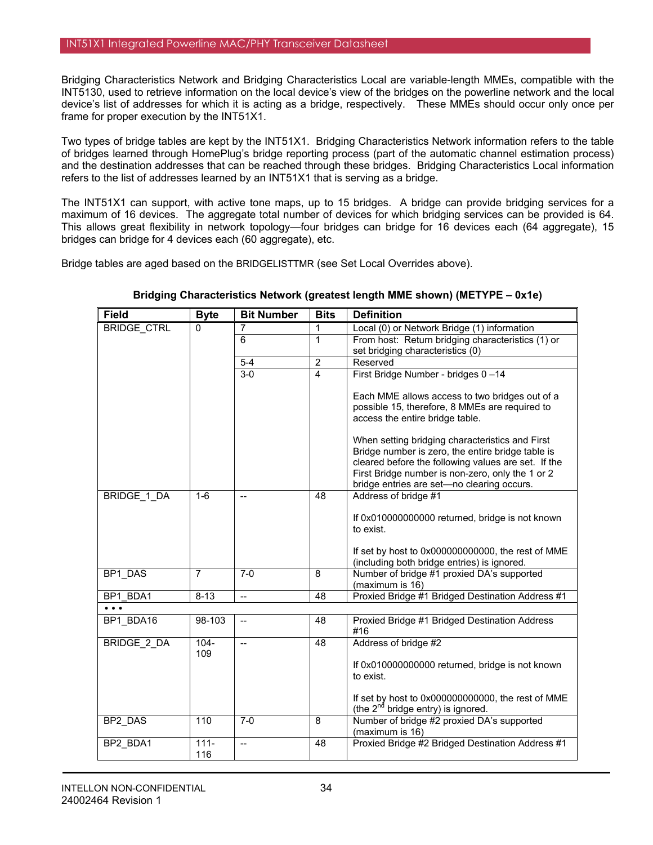Bridging Characteristics Network and Bridging Characteristics Local are variable-length MMEs, compatible with the INT5130, used to retrieve information on the local device's view of the bridges on the powerline network and the local device's list of addresses for which it is acting as a bridge, respectively. These MMEs should occur only once per frame for proper execution by the INT51X1.

Two types of bridge tables are kept by the INT51X1. Bridging Characteristics Network information refers to the table of bridges learned through HomePlug's bridge reporting process (part of the automatic channel estimation process) and the destination addresses that can be reached through these bridges. Bridging Characteristics Local information refers to the list of addresses learned by an INT51X1 that is serving as a bridge.

The INT51X1 can support, with active tone maps, up to 15 bridges. A bridge can provide bridging services for a maximum of 16 devices. The aggregate total number of devices for which bridging services can be provided is 64. This allows great flexibility in network topology—four bridges can bridge for 16 devices each (64 aggregate), 15 bridges can bridge for 4 devices each (60 aggregate), etc.

Bridge tables are aged based on the BRIDGELISTTMR (see Set Local Overrides above).

| <b>Field</b>            | <b>Byte</b>    | <b>Bit Number</b>        | <b>Bits</b>     | <b>Definition</b>                                                                                   |
|-------------------------|----------------|--------------------------|-----------------|-----------------------------------------------------------------------------------------------------|
| <b>BRIDGE CTRL</b>      | 0              | 7                        | 1               | Local (0) or Network Bridge (1) information                                                         |
|                         |                | $\overline{6}$           | $\mathbf{1}$    | From host: Return bridging characteristics (1) or                                                   |
|                         |                |                          |                 | set bridging characteristics (0)                                                                    |
|                         |                | $5-4$                    | $\overline{2}$  | Reserved                                                                                            |
|                         |                | $3 - 0$                  | $\overline{4}$  | First Bridge Number - bridges 0-14                                                                  |
|                         |                |                          |                 | Each MME allows access to two bridges out of a                                                      |
|                         |                |                          |                 | possible 15, therefore, 8 MMEs are required to                                                      |
|                         |                |                          |                 | access the entire bridge table.                                                                     |
|                         |                |                          |                 | When setting bridging characteristics and First                                                     |
|                         |                |                          |                 | Bridge number is zero, the entire bridge table is                                                   |
|                         |                |                          |                 | cleared before the following values are set. If the                                                 |
|                         |                |                          |                 | First Bridge number is non-zero, only the 1 or 2                                                    |
|                         |                |                          |                 | bridge entries are set-no clearing occurs.                                                          |
| BRIDGE 1 DA             | $1-6$          | $\overline{\phantom{a}}$ | 48              | Address of bridge #1                                                                                |
|                         |                |                          |                 | If 0x010000000000 returned, bridge is not known                                                     |
|                         |                |                          |                 | to exist.                                                                                           |
|                         |                |                          |                 | If set by host to 0x000000000000, the rest of MME                                                   |
|                         |                |                          |                 | (including both bridge entries) is ignored.                                                         |
| BP1 DAS                 | $\overline{7}$ | $7-0$                    | 8               | Number of bridge #1 proxied DA's supported                                                          |
|                         |                |                          |                 | (maximum is 16)                                                                                     |
| BP1 BDA1                | $8 - 13$       | $\overline{\phantom{a}}$ | $\overline{48}$ | Proxied Bridge #1 Bridged Destination Address #1                                                    |
| $\bullet\bullet\bullet$ |                |                          |                 |                                                                                                     |
| BP1 BDA16               | 98-103         | $\overline{\phantom{a}}$ | 48              | Proxied Bridge #1 Bridged Destination Address<br>#16                                                |
| <b>BRIDGE 2 DA</b>      | $104 -$<br>109 | $\overline{\phantom{a}}$ | 48              | Address of bridge #2                                                                                |
|                         |                |                          |                 | If 0x010000000000 returned, bridge is not known                                                     |
|                         |                |                          |                 | to exist.                                                                                           |
|                         |                |                          |                 |                                                                                                     |
|                         |                |                          |                 | If set by host to 0x000000000000, the rest of MME<br>(the 2 <sup>nd</sup> bridge entry) is ignored. |
| BP2 DAS                 | 110            | $7-0$                    | 8               | Number of bridge #2 proxied DA's supported                                                          |
| BP2 BDA1                | $111 -$        | $\overline{a}$           | 48              | (maximum is 16)<br>Proxied Bridge #2 Bridged Destination Address #1                                 |
|                         | 116            |                          |                 |                                                                                                     |
|                         |                |                          |                 |                                                                                                     |

**Bridging Characteristics Network (greatest length MME shown) (METYPE – 0x1e)**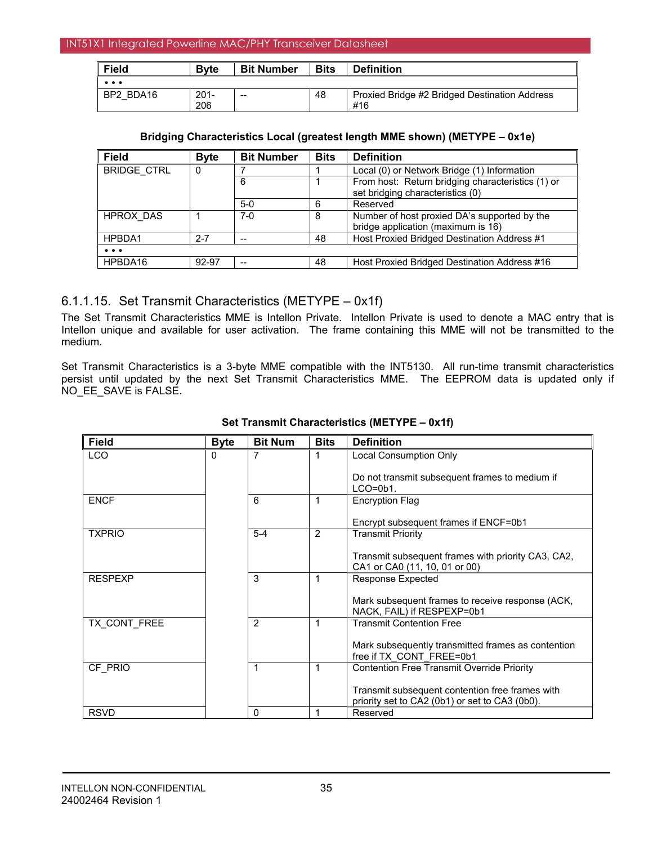| $\parallel$ Field       | <b>B</b> vte | <b>Bit Number</b> | <b>Bits</b> | <b>Definition</b>                             |
|-------------------------|--------------|-------------------|-------------|-----------------------------------------------|
| $\bullet\bullet\bullet$ |              |                   |             |                                               |
| BP2 BDA16               | $201 -$      | $- -$             | -48         | Proxied Bridge #2 Bridged Destination Address |
|                         | 206          |                   |             | #16                                           |

### **Bridging Characteristics Local (greatest length MME shown) (METYPE – 0x1e)**

| <b>Field</b>            | <b>Byte</b> | <b>Bit Number</b>        | <b>Bits</b> | <b>Definition</b>                                 |
|-------------------------|-------------|--------------------------|-------------|---------------------------------------------------|
| <b>BRIDGE CTRL</b>      |             |                          |             | Local (0) or Network Bridge (1) Information       |
|                         |             | 6                        |             | From host: Return bridging characteristics (1) or |
|                         |             |                          |             | set bridging characteristics (0)                  |
|                         |             | $5-0$                    | 6           | Reserved                                          |
| HPROX DAS               |             | 7-0                      | 8           | Number of host proxied DA's supported by the      |
|                         |             |                          |             | bridge application (maximum is 16)                |
| HPBDA1                  | $2 - 7$     | $\overline{\phantom{a}}$ | 48          | Host Proxied Bridged Destination Address #1       |
| $\bullet\bullet\bullet$ |             |                          |             |                                                   |
| HPBDA16                 | 92-97       | --                       | 48          | Host Proxied Bridged Destination Address #16      |

## 6.1.1.15. Set Transmit Characteristics (METYPE – 0x1f)

The Set Transmit Characteristics MME is Intellon Private. Intellon Private is used to denote a MAC entry that is Intellon unique and available for user activation. The frame containing this MME will not be transmitted to the medium.

Set Transmit Characteristics is a 3-byte MME compatible with the INT5130. All run-time transmit characteristics persist until updated by the next Set Transmit Characteristics MME. The EEPROM data is updated only if NO\_EE\_SAVE is FALSE.

| <b>Field</b>   | <b>Byte</b>  | <b>Bit Num</b> | <b>Bits</b>    | <b>Definition</b>                                                                                 |
|----------------|--------------|----------------|----------------|---------------------------------------------------------------------------------------------------|
| <b>LCO</b>     | $\mathbf{0}$ | 7              | 1              | Local Consumption Only                                                                            |
|                |              |                |                | Do not transmit subsequent frames to medium if<br>$LCO = 0b1$ .                                   |
| <b>ENCF</b>    |              | 6              | 1              | <b>Encryption Flag</b>                                                                            |
|                |              |                |                | Encrypt subsequent frames if ENCF=0b1                                                             |
| <b>TXPRIO</b>  |              | $5 - 4$        | $\overline{2}$ | <b>Transmit Priority</b>                                                                          |
|                |              |                |                | Transmit subsequent frames with priority CA3, CA2,<br>CA1 or CA0 (11, 10, 01 or 00)               |
| <b>RESPEXP</b> |              | 3              | 1              | <b>Response Expected</b>                                                                          |
|                |              |                |                | Mark subsequent frames to receive response (ACK,<br>NACK, FAIL) if RESPEXP=0b1                    |
| TX CONT FREE   |              | $\overline{2}$ | 1              | <b>Transmit Contention Free</b>                                                                   |
|                |              |                |                | Mark subsequently transmitted frames as contention<br>free if TX CONT FREE=0b1                    |
| CF PRIO        |              | 1              | 1              | <b>Contention Free Transmit Override Priority</b>                                                 |
|                |              |                |                | Transmit subsequent contention free frames with<br>priority set to CA2 (0b1) or set to CA3 (0b0). |
| <b>RSVD</b>    |              | 0              | 1              | Reserved                                                                                          |

## **Set Transmit Characteristics (METYPE – 0x1f)**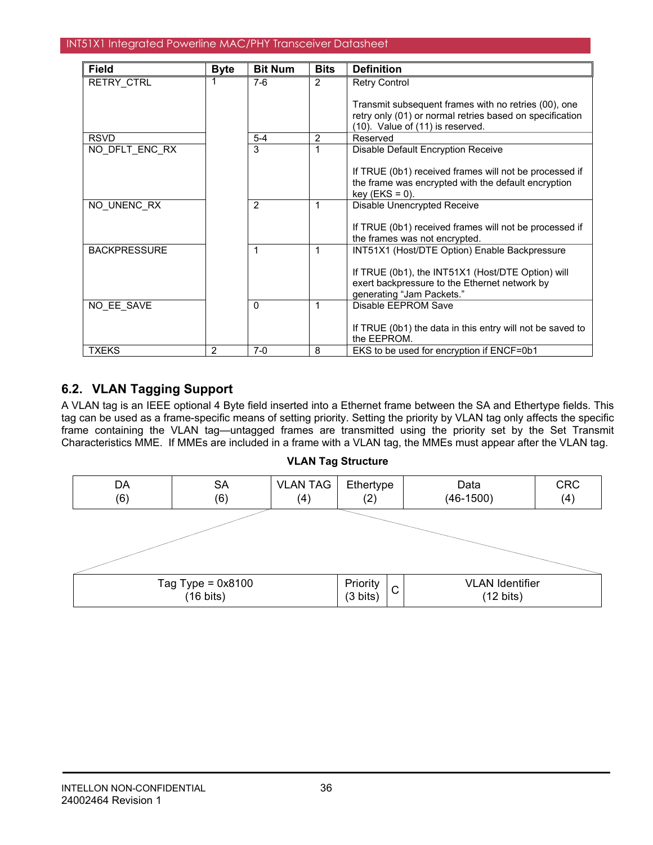| Field               | <b>Byte</b> | <b>Bit Num</b> | <b>Bits</b>    | <b>Definition</b>                                                                                                                                    |
|---------------------|-------------|----------------|----------------|------------------------------------------------------------------------------------------------------------------------------------------------------|
| <b>RETRY CTRL</b>   |             | $7-6$          | $\overline{2}$ | <b>Retry Control</b>                                                                                                                                 |
|                     |             |                |                | Transmit subsequent frames with no retries (00), one<br>retry only (01) or normal retries based on specification<br>(10). Value of (11) is reserved. |
| <b>RSVD</b>         |             | $5 - 4$        | 2              | Reserved                                                                                                                                             |
| NO DFLT ENC RX      |             | 3              |                | Disable Default Encryption Receive                                                                                                                   |
|                     |             |                |                | If TRUE (0b1) received frames will not be processed if<br>the frame was encrypted with the default encryption<br>$key$ (EKS = 0).                    |
| NO UNENC RX         |             | 2              |                | Disable Unencrypted Receive                                                                                                                          |
|                     |             |                |                | If TRUE (0b1) received frames will not be processed if<br>the frames was not encrypted.                                                              |
| <b>BACKPRESSURE</b> |             | 1              | 1              | INT51X1 (Host/DTE Option) Enable Backpressure                                                                                                        |
|                     |             |                |                | If TRUE (0b1), the INT51X1 (Host/DTE Option) will<br>exert backpressure to the Ethernet network by<br>generating "Jam Packets."                      |
| NO EE SAVE          |             | $\Omega$       | 1              | Disable EEPROM Save                                                                                                                                  |
|                     |             |                |                | If TRUE (0b1) the data in this entry will not be saved to<br>the EEPROM.                                                                             |
| <b>TXEKS</b>        | 2           | $7-0$          | 8              | EKS to be used for encryption if ENCF=0b1                                                                                                            |

# **6.2. VLAN Tagging Support**

A VLAN tag is an IEEE optional 4 Byte field inserted into a Ethernet frame between the SA and Ethertype fields. This tag can be used as a frame-specific means of setting priority. Setting the priority by VLAN tag only affects the specific frame containing the VLAN tag—untagged frames are transmitted using the priority set by the Set Transmit Characteristics MME. If MMEs are included in a frame with a VLAN tag, the MMEs must appear after the VLAN tag.



### **VLAN Tag Structure**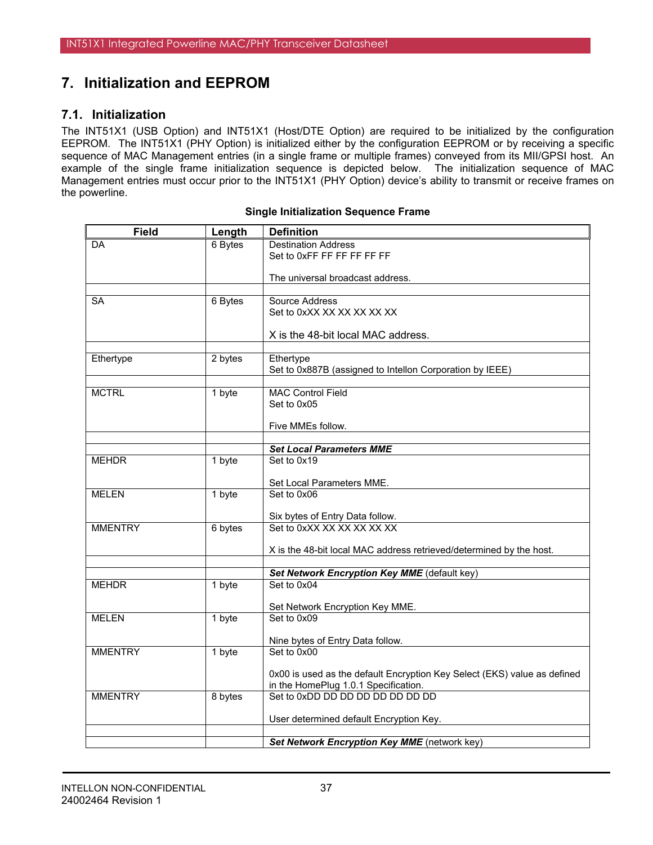# **7. Initialization and EEPROM**

## **7.1. Initialization**

The INT51X1 (USB Option) and INT51X1 (Host/DTE Option) are required to be initialized by the configuration EEPROM. The INT51X1 (PHY Option) is initialized either by the configuration EEPROM or by receiving a specific sequence of MAC Management entries (in a single frame or multiple frames) conveyed from its MII/GPSI host. An example of the single frame initialization sequence is depicted below. The initialization sequence of MAC Management entries must occur prior to the INT51X1 (PHY Option) device's ability to transmit or receive frames on the powerline.

| <b>Field</b>   | Length  | <b>Definition</b>                                                        |
|----------------|---------|--------------------------------------------------------------------------|
| DA             | 6 Bytes | <b>Destination Address</b>                                               |
|                |         | Set to 0xFF FF FF FF FF FF                                               |
|                |         |                                                                          |
|                |         | The universal broadcast address.                                         |
| <b>SA</b>      | 6 Bytes | Source Address                                                           |
|                |         | Set to 0xXX XX XX XX XX XX                                               |
|                |         |                                                                          |
|                |         | X is the 48-bit local MAC address.                                       |
|                |         |                                                                          |
| Ethertype      | 2 bytes | Ethertype                                                                |
|                |         | Set to 0x887B (assigned to Intellon Corporation by IEEE)                 |
|                |         |                                                                          |
| <b>MCTRL</b>   | 1 byte  | <b>MAC Control Field</b>                                                 |
|                |         | Set to 0x05                                                              |
|                |         | Five MMEs follow.                                                        |
|                |         |                                                                          |
|                |         | <b>Set Local Parameters MME</b>                                          |
| <b>MEHDR</b>   | 1 byte  | Set to 0x19                                                              |
|                |         |                                                                          |
|                |         | Set Local Parameters MME.                                                |
| <b>MELEN</b>   | 1 byte  | Set to 0x06                                                              |
|                |         |                                                                          |
|                |         | Six bytes of Entry Data follow.                                          |
| <b>MMENTRY</b> | 6 bytes | Set to 0xXX XX XX XX XX XX                                               |
|                |         | X is the 48-bit local MAC address retrieved/determined by the host.      |
|                |         |                                                                          |
|                |         | Set Network Encryption Key MME (default key)                             |
| <b>MEHDR</b>   | 1 byte  | Set to 0x04                                                              |
|                |         |                                                                          |
|                |         | Set Network Encryption Key MME.                                          |
| <b>MELEN</b>   | 1 byte  | Set to 0x09                                                              |
|                |         |                                                                          |
| <b>MMENTRY</b> | 1 byte  | Nine bytes of Entry Data follow.<br>Set to 0x00                          |
|                |         |                                                                          |
|                |         | 0x00 is used as the default Encryption Key Select (EKS) value as defined |
|                |         | in the HomePlug 1.0.1 Specification.                                     |
| <b>MMENTRY</b> | 8 bytes | Set to 0xDD DD DD DD DD DD DD DD                                         |
|                |         |                                                                          |
|                |         | User determined default Encryption Key.                                  |
|                |         |                                                                          |
|                |         | Set Network Encryption Key MME (network key)                             |

#### **Single Initialization Sequence Frame**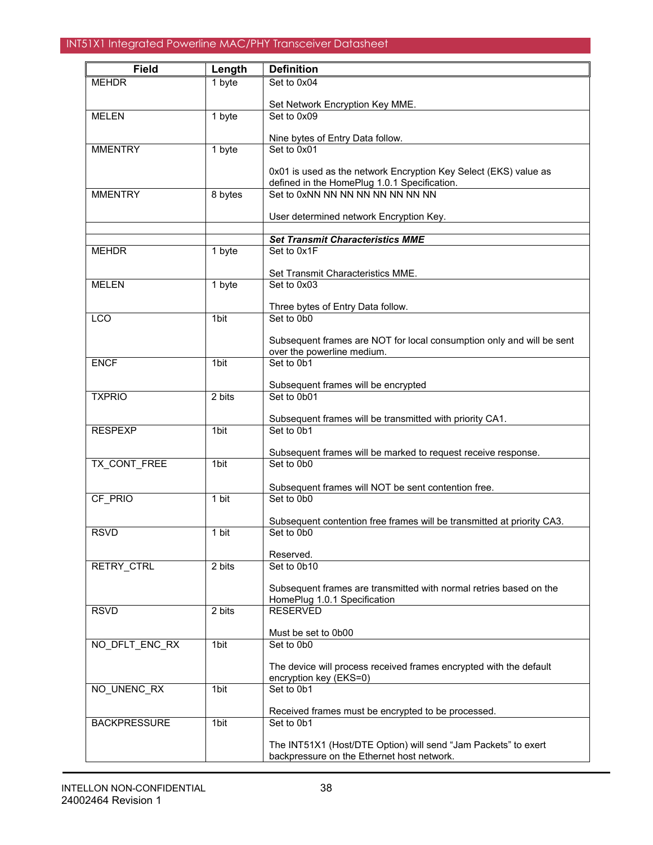| <b>Field</b>        | Length  | <b>Definition</b>                                                                |
|---------------------|---------|----------------------------------------------------------------------------------|
| <b>MEHDR</b>        | 1 byte  | Set to 0x04                                                                      |
|                     |         |                                                                                  |
|                     |         | Set Network Encryption Key MME.                                                  |
| <b>MELEN</b>        | 1 byte  | Set to 0x09                                                                      |
|                     |         | Nine bytes of Entry Data follow.                                                 |
| <b>MMENTRY</b>      | 1 byte  | Set to 0x01                                                                      |
|                     |         |                                                                                  |
|                     |         | 0x01 is used as the network Encryption Key Select (EKS) value as                 |
| <b>MMENTRY</b>      | 8 bytes | defined in the HomePlug 1.0.1 Specification.<br>Set to 0xNN NN NN NN NN NN NN NN |
|                     |         |                                                                                  |
|                     |         | User determined network Encryption Key.                                          |
|                     |         |                                                                                  |
|                     |         | <b>Set Transmit Characteristics MME</b>                                          |
| <b>MEHDR</b>        | 1 byte  | Set to 0x1F                                                                      |
|                     |         | Set Transmit Characteristics MME.                                                |
| <b>MELEN</b>        | 1 byte  | Set to 0x03                                                                      |
|                     |         |                                                                                  |
|                     |         | Three bytes of Entry Data follow.<br>Set to 0b0                                  |
| $\overline{LCO}$    | 1bit    |                                                                                  |
|                     |         | Subsequent frames are NOT for local consumption only and will be sent            |
|                     |         | over the powerline medium.                                                       |
| <b>ENCF</b>         | 1bit    | Set to 0b1                                                                       |
|                     |         |                                                                                  |
| <b>TXPRIO</b>       | 2 bits  | Subsequent frames will be encrypted<br>Set to 0b01                               |
|                     |         |                                                                                  |
|                     |         | Subsequent frames will be transmitted with priority CA1.                         |
| <b>RESPEXP</b>      | 1bit    | Set to 0b1                                                                       |
|                     |         |                                                                                  |
| TX CONT FREE        | 1bit    | Subsequent frames will be marked to request receive response.<br>Set to 0b0      |
|                     |         |                                                                                  |
|                     |         | Subsequent frames will NOT be sent contention free.                              |
| CF PRIO             | 1 bit   | Set to 0b0                                                                       |
|                     |         | Subsequent contention free frames will be transmitted at priority CA3.           |
| <b>RSVD</b>         | 1 bit   | Set to 0b0                                                                       |
|                     |         |                                                                                  |
|                     |         | Reserved.                                                                        |
| RETRY_CTRL          | 2 bits  | Set to 0b10                                                                      |
|                     |         | Subsequent frames are transmitted with normal retries based on the               |
|                     |         | HomePlug 1.0.1 Specification                                                     |
| <b>RSVD</b>         | 2 bits  | <b>RESERVED</b>                                                                  |
|                     |         |                                                                                  |
|                     |         | Must be set to 0b00                                                              |
| NO_DFLT_ENC_RX      | 1bit    | Set to 0b0                                                                       |
|                     |         | The device will process received frames encrypted with the default               |
|                     |         | encryption key (EKS=0)                                                           |
| NO_UNENC_RX         | 1bit    | Set to 0b1                                                                       |
|                     |         |                                                                                  |
| <b>BACKPRESSURE</b> | 1bit    | Received frames must be encrypted to be processed.<br>Set to 0b1                 |
|                     |         |                                                                                  |
|                     |         | The INT51X1 (Host/DTE Option) will send "Jam Packets" to exert                   |
|                     |         | backpressure on the Ethernet host network.                                       |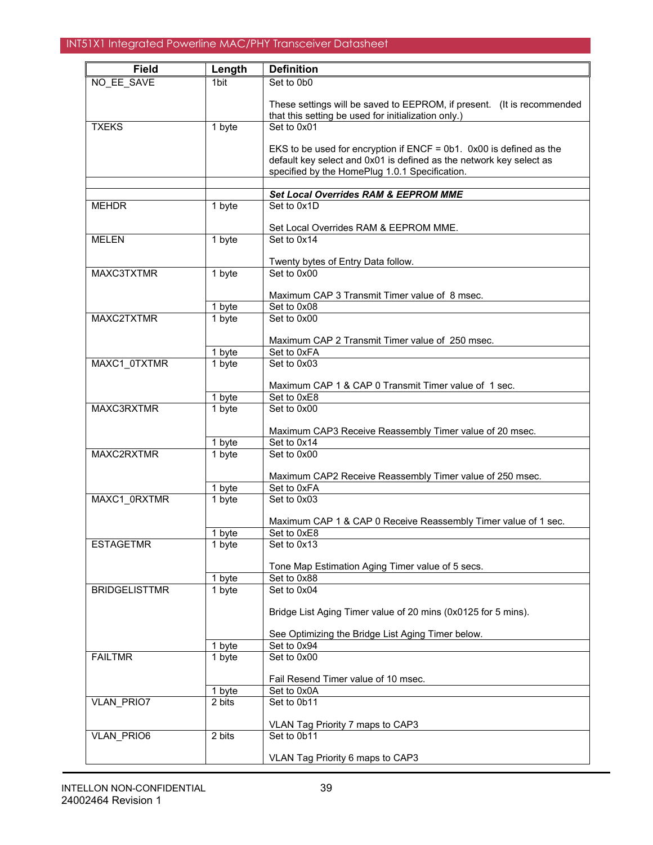| <b>Field</b>         | Length | <b>Definition</b>                                                       |
|----------------------|--------|-------------------------------------------------------------------------|
| NO_EE_SAVE           | 1bit   | Set to 0b0                                                              |
|                      |        | These settings will be saved to EEPROM, if present. (It is recommended  |
| <b>TXEKS</b>         | 1 byte | that this setting be used for initialization only.)<br>Set to 0x01      |
|                      |        |                                                                         |
|                      |        | EKS to be used for encryption if $ENCF = 0b1$ . 0x00 is defined as the  |
|                      |        | default key select and 0x01 is defined as the network key select as     |
|                      |        | specified by the HomePlug 1.0.1 Specification.                          |
|                      |        | <b>Set Local Overrides RAM &amp; EEPROM MME</b>                         |
| <b>MEHDR</b>         | 1 byte | Set to 0x1D                                                             |
|                      |        |                                                                         |
|                      |        | Set Local Overrides RAM & EEPROM MME.                                   |
| <b>MELEN</b>         | 1 byte | Set to 0x14                                                             |
|                      |        |                                                                         |
| MAXC3TXTMR           | 1 byte | Twenty bytes of Entry Data follow.<br>Set to 0x00                       |
|                      |        |                                                                         |
|                      |        | Maximum CAP 3 Transmit Timer value of 8 msec.                           |
|                      | 1 byte | Set to 0x08                                                             |
| MAXC2TXTMR           | 1 byte | Set to 0x00                                                             |
|                      |        | Maximum CAP 2 Transmit Timer value of 250 msec.                         |
|                      | 1 byte | Set to 0xFA                                                             |
| MAXC1 0TXTMR         | 1 byte | Set to 0x03                                                             |
|                      |        |                                                                         |
|                      |        | Maximum CAP 1 & CAP 0 Transmit Timer value of 1 sec.                    |
|                      | 1 byte | Set to 0xE8                                                             |
| MAXC3RXTMR           | 1 byte | Set to 0x00                                                             |
|                      |        | Maximum CAP3 Receive Reassembly Timer value of 20 msec.                 |
|                      | 1 byte | Set to 0x14                                                             |
| MAXC2RXTMR<br>1 byte |        | Set to 0x00                                                             |
|                      |        |                                                                         |
|                      | 1 byte | Maximum CAP2 Receive Reassembly Timer value of 250 msec.<br>Set to 0xFA |
| MAXC1 0RXTMR         | 1 byte | Set to 0x03                                                             |
|                      |        |                                                                         |
|                      |        | Maximum CAP 1 & CAP 0 Receive Reassembly Timer value of 1 sec.          |
|                      | 1 byte | Set to 0xE8                                                             |
| <b>ESTAGETMR</b>     | 1 byte | Set to 0x13                                                             |
|                      |        | Tone Map Estimation Aging Timer value of 5 secs.                        |
|                      | 1 byte | Set to 0x88                                                             |
| <b>BRIDGELISTTMR</b> | 1 byte | Set to 0x04                                                             |
|                      |        |                                                                         |
|                      |        | Bridge List Aging Timer value of 20 mins (0x0125 for 5 mins).           |
|                      |        | See Optimizing the Bridge List Aging Timer below.                       |
|                      | 1 byte | Set to 0x94                                                             |
| <b>FAILTMR</b>       | 1 byte | Set to 0x00                                                             |
|                      |        |                                                                         |
|                      |        | Fail Resend Timer value of 10 msec.                                     |
|                      | 1 byte | Set to 0x0A                                                             |
| VLAN_PRIO7           | 2 bits | Set to 0b11                                                             |
|                      |        | VLAN Tag Priority 7 maps to CAP3                                        |
| VLAN_PRIO6           | 2 bits | Set to 0b11                                                             |
|                      |        |                                                                         |
|                      |        | VLAN Tag Priority 6 maps to CAP3                                        |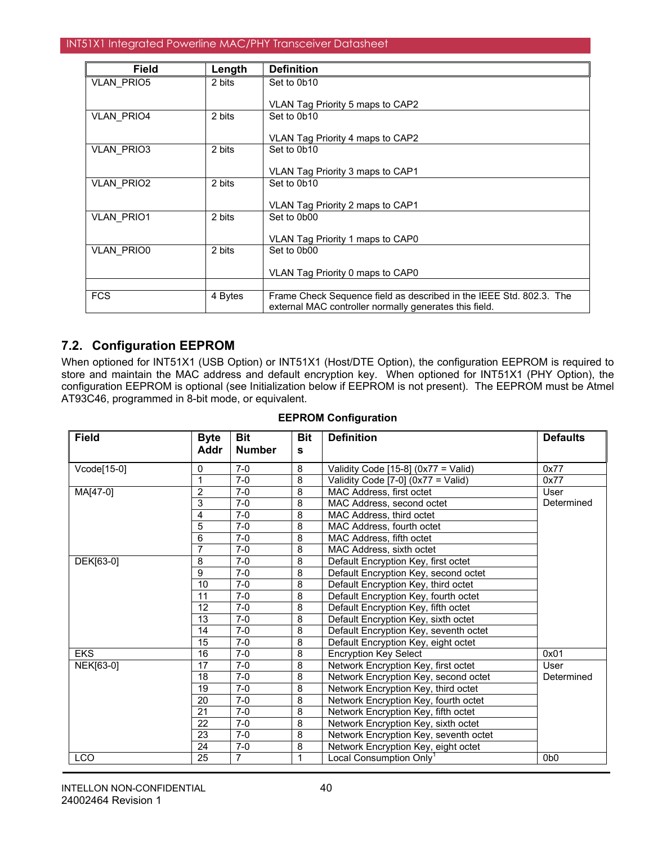| <b>Field</b>      | Length  | <b>Definition</b>                                                                                                             |
|-------------------|---------|-------------------------------------------------------------------------------------------------------------------------------|
| VLAN_PRIO5        | 2 bits  | Set to 0b10                                                                                                                   |
|                   |         | VLAN Tag Priority 5 maps to CAP2                                                                                              |
| <b>VLAN PRIO4</b> | 2 bits  | Set to 0b10                                                                                                                   |
|                   |         | VLAN Tag Priority 4 maps to CAP2                                                                                              |
| <b>VLAN PRIO3</b> | 2 bits  | Set to 0b10                                                                                                                   |
|                   |         | VLAN Tag Priority 3 maps to CAP1                                                                                              |
| <b>VLAN PRIO2</b> | 2 bits  | Set to 0b10                                                                                                                   |
|                   |         | VLAN Tag Priority 2 maps to CAP1                                                                                              |
| <b>VLAN PRIO1</b> | 2 bits  | Set to 0b00                                                                                                                   |
|                   |         | VLAN Tag Priority 1 maps to CAP0                                                                                              |
| <b>VLAN PRIO0</b> | 2 bits  | Set to 0b00                                                                                                                   |
|                   |         | VLAN Tag Priority 0 maps to CAP0                                                                                              |
|                   |         |                                                                                                                               |
| <b>FCS</b>        | 4 Bytes | Frame Check Sequence field as described in the IEEE Std. 802.3. The<br>external MAC controller normally generates this field. |

# **7.2. Configuration EEPROM**

When optioned for INT51X1 (USB Option) or INT51X1 (Host/DTE Option), the configuration EEPROM is required to store and maintain the MAC address and default encryption key. When optioned for INT51X1 (PHY Option), the configuration EEPROM is optional (see Initialization below if EEPROM is not present). The EEPROM must be Atmel AT93C46, programmed in 8-bit mode, or equivalent.

| <b>Field</b> | <b>Byte</b>     | <b>Bit</b>     | <b>Bit</b>     | <b>Definition</b>                     | <b>Defaults</b>  |
|--------------|-----------------|----------------|----------------|---------------------------------------|------------------|
|              | Addr            | <b>Number</b>  | s              |                                       |                  |
| Vcode[15-0]  | 0               | $7-0$          | 8              | Validity Code [15-8] (0x77 = Valid)   | 0x77             |
|              | $\mathbf{1}$    | $7-0$          | $\overline{8}$ | Validity Code [7-0] (0x77 = Valid)    | 0x77             |
| MA[47-0]     | $\overline{2}$  | $7-0$          | $\overline{8}$ | MAC Address, first octet              | User             |
|              | 3               | $7-0$          | 8              | MAC Address, second octet             | Determined       |
|              | $\overline{4}$  | $7-0$          | 8              | MAC Address, third octet              |                  |
|              | 5               | $7-0$          | 8              | MAC Address, fourth octet             |                  |
|              | 6               | $7-0$          | 8              | MAC Address, fifth octet              |                  |
|              | $\overline{7}$  | $7-0$          | 8              | MAC Address, sixth octet              |                  |
| DEK[63-0]    | $\overline{8}$  | $7-0$          | $\overline{8}$ | Default Encryption Key, first octet   |                  |
|              | 9               | $7-0$          | 8              | Default Encryption Key, second octet  |                  |
|              | 10              | $7-0$          | 8              | Default Encryption Key, third octet   |                  |
|              | 11              | $7-0$          | $\bf 8$        | Default Encryption Key, fourth octet  |                  |
|              | 12              | $7-0$          | 8              | Default Encryption Key, fifth octet   |                  |
|              | 13              | $7-0$          | $\overline{8}$ | Default Encryption Key, sixth octet   |                  |
|              | 14              | $7-0$          | 8              | Default Encryption Key, seventh octet |                  |
|              | 15              | $7-0$          | 8              | Default Encryption Key, eight octet   |                  |
| <b>EKS</b>   | 16              | $7-0$          | 8              | <b>Encryption Key Select</b>          | 0x01             |
| NEK[63-0]    | 17              | $7-0$          | $\overline{8}$ | Network Encryption Key, first octet   | <b>User</b>      |
|              | 18              | $7-0$          | $\overline{8}$ | Network Encryption Key, second octet  | Determined       |
|              | 19              | $7-0$          | 8              | Network Encryption Key, third octet   |                  |
|              | 20              | $7-0$          | $\overline{8}$ | Network Encryption Key, fourth octet  |                  |
|              | 21              | $7-0$          | $\overline{8}$ | Network Encryption Key, fifth octet   |                  |
|              | 22              | $7-0$          | 8              | Network Encryption Key, sixth octet   |                  |
|              | $\overline{23}$ | $7-0$          | $\overline{8}$ | Network Encryption Key, seventh octet |                  |
|              | 24              | $7-0$          | 8              | Network Encryption Key, eight octet   |                  |
| <b>LCO</b>   | 25              | $\overline{7}$ | $\mathbf{1}$   | Local Consumption Only <sup>1</sup>   | 0 <sub>b</sub> 0 |

### **EEPROM Configuration**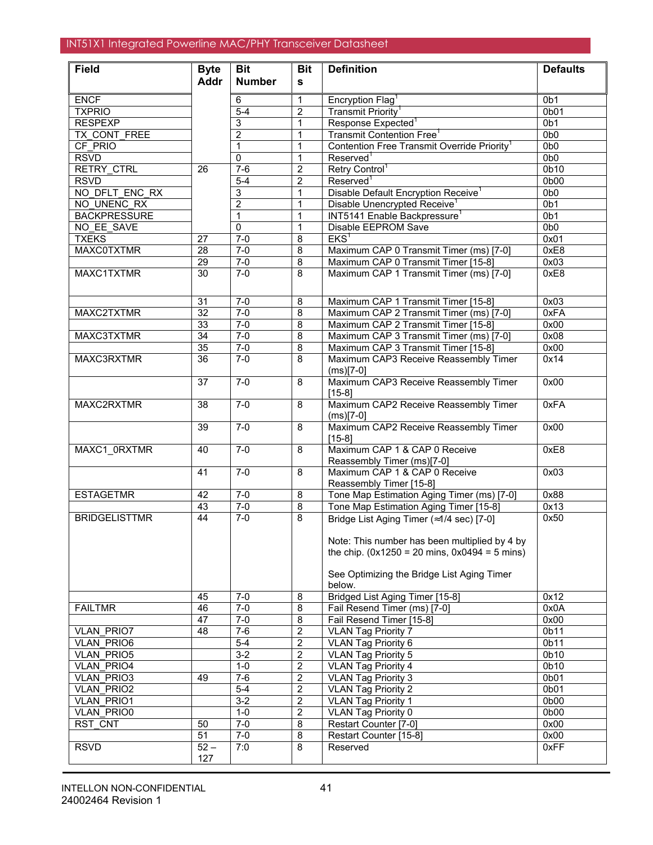| <b>Field</b>                           | <b>Byte</b>     | <b>Bit</b>       | <b>Bit</b>                         | <b>Definition</b>                                               | <b>Defaults</b>           |
|----------------------------------------|-----------------|------------------|------------------------------------|-----------------------------------------------------------------|---------------------------|
|                                        | <b>Addr</b>     | <b>Number</b>    | s                                  |                                                                 |                           |
| <b>ENCF</b>                            |                 | 6                | 1                                  | Encryption Flag <sup>1</sup>                                    | 0 <sub>b1</sub>           |
| <b>TXPRIO</b>                          |                 | $5-4$            | $\overline{2}$                     | Transmit Priority <sup>1</sup>                                  | 0 <sub>b01</sub>          |
| <b>RESPEXP</b>                         |                 | 3                | 1                                  | Response Expected <sup>1</sup>                                  | 0 <sub>b1</sub>           |
| TX CONT FREE                           |                 | $\overline{2}$   | $\mathbf{1}$                       | Transmit Contention Free <sup>1</sup>                           | 0 <sub>b0</sub>           |
| CF PRIO                                |                 | 1                | $\mathbf{1}$                       | Contention Free Transmit Override Priority <sup>1</sup>         | 0 <sub>b0</sub>           |
| <b>RSVD</b>                            |                 | 0                | 1                                  | Reserved <sup>1</sup>                                           | 0 <sub>b0</sub>           |
| RETRY_CTRL                             | $\overline{26}$ | $7 - 6$          | $\overline{2}$                     | Retry Control <sup>1</sup>                                      | 0 <sub>b10</sub>          |
| <b>RSVD</b>                            |                 | $5-4$            | $\overline{2}$                     | Reserved <sup>1</sup>                                           | 0 <sub>b00</sub>          |
| NO DFLT ENC RX                         |                 | 3                | $\mathbf{1}$                       | Disable Default Encryption Receive <sup>1</sup>                 | 0 <sub>b0</sub>           |
| NO UNENC RX                            |                 | $\overline{2}$   | 1                                  | Disable Unencrypted Receive <sup>1</sup>                        | 0 <sub>b1</sub>           |
| <b>BACKPRESSURE</b>                    |                 | 1                | 1                                  | INT5141 Enable Backpressure <sup>1</sup>                        | 0 <sub>b1</sub>           |
| NO_EE_SAVE                             |                 | $\mathbf 0$      | 1                                  | Disable EEPROM Save                                             | 0 <sub>b0</sub>           |
| <b>TXEKS</b>                           | 27              | $7 - 0$          | $\overline{8}$                     | EKS <sup>1</sup>                                                | 0x01                      |
| <b>MAXC0TXTMR</b>                      | $\overline{28}$ | $7 - 0$          | $\overline{8}$                     | Maximum CAP 0 Transmit Timer (ms) [7-0]                         | 0xE8                      |
|                                        | $\overline{29}$ | $7-0$            | $\overline{8}$                     | Maximum CAP 0 Transmit Timer [15-8]                             | 0x03                      |
| MAXC1TXTMR                             | $\overline{30}$ | $7-0$            | 8                                  | Maximum CAP 1 Transmit Timer (ms) [7-0]                         | 0xE8                      |
|                                        |                 |                  |                                    |                                                                 |                           |
|                                        | $\overline{31}$ | $7-0$            | 8                                  | Maximum CAP 1 Transmit Timer [15-8]                             | 0x03                      |
| MAXC2TXTMR                             | $\overline{32}$ | $7-0$            | $\bf 8$                            | Maximum CAP 2 Transmit Timer (ms) [7-0]                         | 0xFA                      |
|                                        | 33              | $7 - 0$          | $\bf 8$                            | Maximum CAP 2 Transmit Timer [15-8]                             | 0x00                      |
| MAXC3TXTMR                             | 34              | $7 - 0$          | $\bf 8$                            | Maximum CAP 3 Transmit Timer (ms) [7-0]                         | 0x08                      |
|                                        | 35              | $7-0$            | $\overline{8}$                     | Maximum CAP 3 Transmit Timer [15-8]                             | 0x00                      |
| MAXC3RXTMR                             | 36              | $7-0$            | 8                                  | Maximum CAP3 Receive Reassembly Timer                           | 0x14                      |
|                                        |                 |                  |                                    | $(ms)[7-0]$                                                     |                           |
|                                        | $\overline{37}$ | $7-0$            | 8                                  | Maximum CAP3 Receive Reassembly Timer                           | 0x00                      |
|                                        |                 |                  |                                    | $[15-8]$                                                        |                           |
| MAXC2RXTMR                             | $\overline{38}$ | $7 - 0$          | $\overline{\mathbf{8}}$            | Maximum CAP2 Receive Reassembly Timer                           | 0xFA                      |
|                                        |                 |                  |                                    | $(ms)[7-0]$                                                     |                           |
|                                        | 39              | $7-0$            | 8                                  | Maximum CAP2 Receive Reassembly Timer                           | 0x00                      |
| MAXC1 0RXTMR                           | 40              | $7-0$            | 8                                  | $[15-8]$<br>Maximum CAP 1 & CAP 0 Receive                       | 0xE8                      |
|                                        |                 |                  |                                    | Reassembly Timer (ms)[7-0]                                      |                           |
|                                        | 41              | $7 - 0$          | 8                                  | Maximum CAP 1 & CAP 0 Receive                                   | 0x03                      |
|                                        |                 |                  |                                    | Reassembly Timer [15-8]                                         |                           |
| <b>ESTAGETMR</b>                       | 42              | $7-0$            | 8                                  | Tone Map Estimation Aging Timer (ms) [7-0]                      | 0x88                      |
|                                        | 43              | $7-0$            | 8                                  | Tone Map Estimation Aging Timer [15-8]                          | 0x13                      |
| <b>BRIDGELISTTMR</b>                   | $\overline{44}$ | $7-0$            | 8                                  | Bridge List Aging Timer (≈1/4 sec) [7-0]                        | 0x50                      |
|                                        |                 |                  |                                    |                                                                 |                           |
|                                        |                 |                  |                                    | Note: This number has been multiplied by 4 by                   |                           |
|                                        |                 |                  |                                    | the chip. $(0x1250 = 20 \text{ mins}, 0x0494 = 5 \text{ mins})$ |                           |
|                                        |                 |                  |                                    |                                                                 |                           |
|                                        |                 |                  |                                    | See Optimizing the Bridge List Aging Timer                      |                           |
|                                        |                 |                  |                                    | below.                                                          |                           |
|                                        | 45              | $7 - 0$          | 8                                  | Bridged List Aging Timer [15-8]                                 | 0x12                      |
| <b>FAILTMR</b>                         | 46              | $7 - 0$          | 8                                  | Fail Resend Timer (ms) [7-0]                                    | 0x0A                      |
|                                        | 47              | $7-0$            | 8                                  | Fail Resend Timer [15-8]                                        | 0x00                      |
| <b>VLAN PRIO7</b>                      | 48              | $7-6$            | $\boldsymbol{2}$                   | <b>VLAN Tag Priority 7</b>                                      | 0b11                      |
| <b>VLAN PRIO6</b>                      |                 | $5-4$            | $\mathbf 2$                        | <b>VLAN Tag Priority 6</b>                                      | 0b11                      |
| <b>VLAN PRIO5</b>                      |                 | $3 - 2$          | $\overline{2}$                     | <b>VLAN Tag Priority 5</b>                                      | 0b10<br>0 <sub>b</sub> 10 |
| <b>VLAN PRIO4</b><br><b>VLAN PRIO3</b> | 49              | $1 - 0$<br>$7-6$ | $\overline{2}$<br>$\boldsymbol{2}$ | <b>VLAN Tag Priority 4</b><br><b>VLAN Tag Priority 3</b>        | 0b01                      |
| <b>VLAN PRIO2</b>                      |                 | $5-4$            | $\boldsymbol{2}$                   | <b>VLAN Tag Priority 2</b>                                      | 0b01                      |
| <b>VLAN PRIO1</b>                      |                 | $3-2$            | $\overline{2}$                     | <b>VLAN Tag Priority 1</b>                                      | 0b00                      |
| <b>VLAN PRIO0</b>                      |                 | $1-0$            | $\overline{2}$                     | <b>VLAN Tag Priority 0</b>                                      | 0b00                      |
| <b>RST CNT</b>                         | 50              | $7-0$            | 8                                  | Restart Counter [7-0]                                           | 0x00                      |
|                                        | 51              | $7-0$            | 8                                  | Restart Counter [15-8]                                          | 0x00                      |
| <b>RSVD</b>                            | $52 -$          | 7:0              | 8                                  | Reserved                                                        | 0xFF                      |
|                                        | 127             |                  |                                    |                                                                 |                           |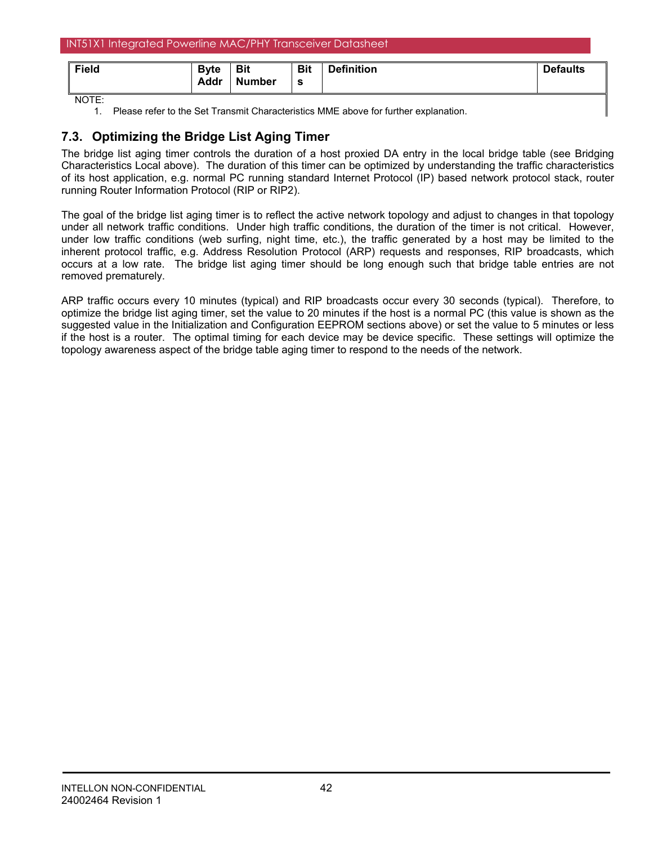| INT51X1 Integrated Powerline MAC/PHY Transceiver Datasheet |                      |                             |                 |                   |                 |  |  |
|------------------------------------------------------------|----------------------|-----------------------------|-----------------|-------------------|-----------------|--|--|
| Field                                                      | <b>B</b> vte<br>Addr | <b>Bit</b><br><b>Number</b> | <b>Bit</b><br>s | <b>Definition</b> | <b>Defaults</b> |  |  |
| NOTE:                                                      |                      |                             |                 |                   |                 |  |  |

1. Please refer to the Set Transmit Characteristics MME above for further explanation.

# **7.3. Optimizing the Bridge List Aging Timer**

The bridge list aging timer controls the duration of a host proxied DA entry in the local bridge table (see Bridging Characteristics Local above). The duration of this timer can be optimized by understanding the traffic characteristics of its host application, e.g. normal PC running standard Internet Protocol (IP) based network protocol stack, router running Router Information Protocol (RIP or RIP2).

The goal of the bridge list aging timer is to reflect the active network topology and adjust to changes in that topology under all network traffic conditions. Under high traffic conditions, the duration of the timer is not critical. However, under low traffic conditions (web surfing, night time, etc.), the traffic generated by a host may be limited to the inherent protocol traffic, e.g. Address Resolution Protocol (ARP) requests and responses, RIP broadcasts, which occurs at a low rate. The bridge list aging timer should be long enough such that bridge table entries are not removed prematurely.

ARP traffic occurs every 10 minutes (typical) and RIP broadcasts occur every 30 seconds (typical). Therefore, to optimize the bridge list aging timer, set the value to 20 minutes if the host is a normal PC (this value is shown as the suggested value in the Initialization and Configuration EEPROM sections above) or set the value to 5 minutes or less if the host is a router. The optimal timing for each device may be device specific. These settings will optimize the topology awareness aspect of the bridge table aging timer to respond to the needs of the network.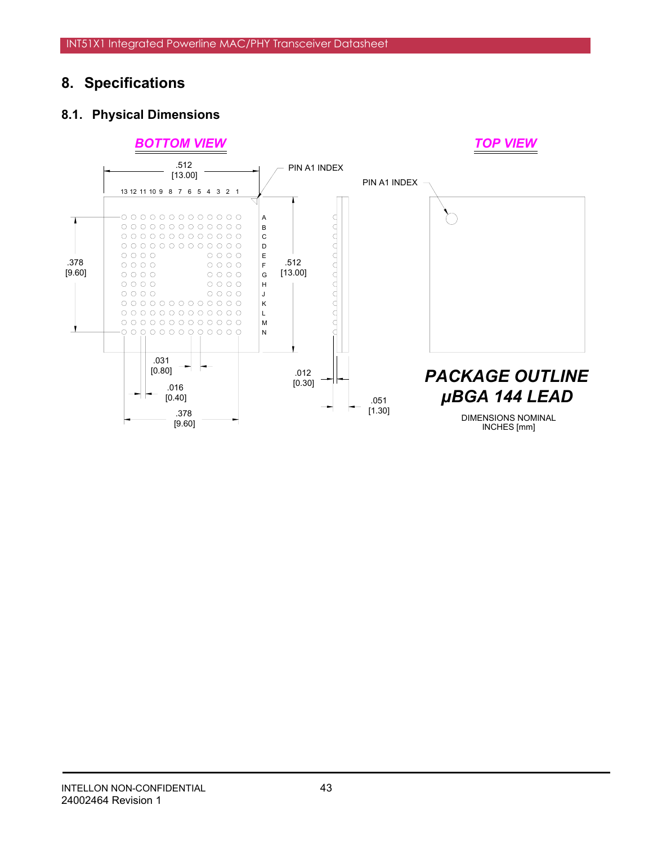# **8. Specifications**

# **8.1. Physical Dimensions**

## *BOTTOM VIEW TOP VIEW*